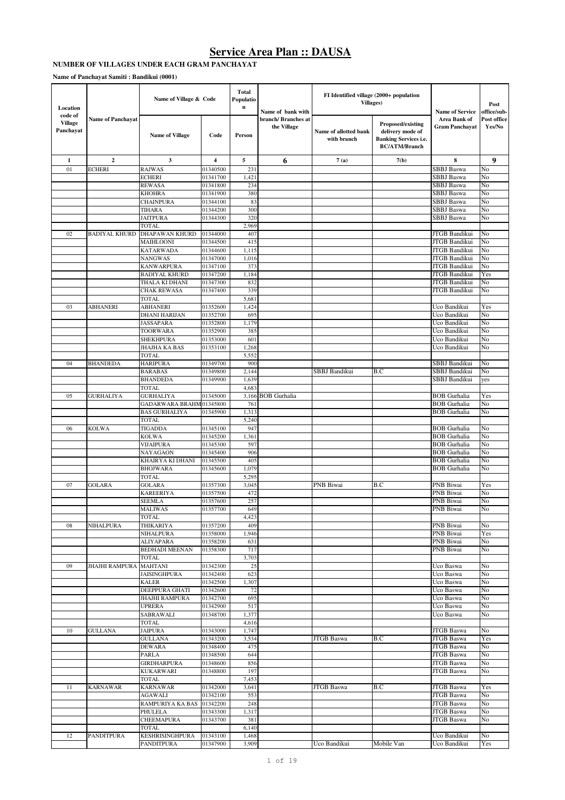#### **NUMBER OF VILLAGES UNDER EACH GRAM PANCHAYAT**

**Name of Panchayat Samiti : Bandikui (0001)**

| Location                               |                          | Name of Village & Code                         |                      | <b>Total</b><br>Populatio<br>$\bf n$ | Name of bank with                 | FI Identified village (2000+ population<br>Villages) |                                                                                               | <b>Name of Service</b>                     | Post<br>office/sub-   |
|----------------------------------------|--------------------------|------------------------------------------------|----------------------|--------------------------------------|-----------------------------------|------------------------------------------------------|-----------------------------------------------------------------------------------------------|--------------------------------------------|-----------------------|
| code of<br><b>Village</b><br>Panchayat | <b>Name of Panchayat</b> | <b>Name of Village</b>                         | Code                 | Person                               | branch/Branches at<br>the Village | Name of allotted bank<br>with branch                 | Proposed/existing<br>delivery mode of<br><b>Banking Services i.e.</b><br><b>BC/ATM/Branch</b> | Area Bank of<br><b>Gram Panchayat</b>      | Post office<br>Yes/No |
| $\mathbf{1}$                           | $\mathbf{2}$             | 3                                              | 4                    | 5                                    | 6                                 | 7(a)                                                 | 7(b)                                                                                          | 8                                          | 9                     |
| 01                                     | ECHERI                   | <b>RAJWAS</b>                                  | 01340500             | 231                                  |                                   |                                                      |                                                                                               | <b>SBBJ</b> Baswa                          | No                    |
|                                        |                          | <b>ECHERI</b>                                  | 01341700             | 1,421                                |                                   |                                                      |                                                                                               | SBBJ Baswa                                 | No                    |
|                                        |                          | <b>REWASA</b><br><b>KHOHRA</b>                 | 01341800<br>01341900 | 234<br>380                           |                                   |                                                      |                                                                                               | SBBJ Baswa<br>SBBJ Baswa                   | No<br>No              |
|                                        |                          | <b>CHAINPURA</b>                               | 01344100             | 83                                   |                                   |                                                      |                                                                                               | SBBJ Baswa                                 | No                    |
|                                        |                          | TIHARA                                         | 01344200             | 300                                  |                                   |                                                      |                                                                                               | <b>SBBJ</b> Baswa                          | No                    |
|                                        |                          | <b>JAITPURA</b>                                | 01344300             | 320                                  |                                   |                                                      |                                                                                               | SBBJ Baswa                                 | No                    |
|                                        |                          | <b>TOTAL</b>                                   |                      | 2,969                                |                                   |                                                      |                                                                                               |                                            |                       |
| 02                                     | <b>BADIYAL KHURD</b>     | DHAPAWAN KHURD                                 | 01344000             | 407                                  |                                   |                                                      |                                                                                               | JTGB Bandikui                              | No                    |
|                                        |                          | MAIHLOONI                                      | 01344500             | 415                                  |                                   |                                                      |                                                                                               | JTGB Bandikui                              | No                    |
|                                        |                          | <b>KATARWADA</b>                               | 01344600             | 1,115                                |                                   |                                                      |                                                                                               | JTGB Bandikui                              | No                    |
|                                        |                          | NANGWAS                                        | 01347000             | 1,016                                |                                   |                                                      |                                                                                               | JTGB Bandikui                              | No                    |
|                                        |                          | <b>KANWARPURA</b>                              | 01347100             | 373                                  |                                   |                                                      |                                                                                               | JTGB Bandikui                              | No                    |
|                                        |                          | <b>BADIYAL KHURD</b>                           | 01347200             | 1,184                                |                                   |                                                      |                                                                                               | JTGB Bandikui                              | Yes                   |
|                                        |                          | THALA KI DHANI                                 | 01347300             | 832                                  |                                   |                                                      |                                                                                               | JTGB Bandikui                              | No                    |
|                                        |                          | <b>CHAK REWASA</b>                             | 01347400             | 339                                  |                                   |                                                      |                                                                                               | JTGB Bandikui                              | No                    |
| 03                                     | ABHANERI                 | <b>TOTAL</b><br><b>ABHANERI</b>                | 01352600             | 5,681<br>1,424                       |                                   |                                                      |                                                                                               | Uco Bandikui                               | Yes                   |
|                                        |                          | DHANI HARIJAN                                  | 01352700             | 695                                  |                                   |                                                      |                                                                                               | Uco Bandikui                               | No                    |
|                                        |                          | <b>JASSAPARA</b>                               | 01352800             | 1,179                                |                                   |                                                      |                                                                                               | Uco Bandikui                               | No                    |
|                                        |                          | <b>TOORWARA</b>                                | 01352900             | 385                                  |                                   |                                                      |                                                                                               | Uco Bandikui                               | No                    |
|                                        |                          | <b>SHEKHPURA</b>                               | 01353000             | 601                                  |                                   |                                                      |                                                                                               | Uco Bandikui                               | No                    |
|                                        |                          | JHAJHA KA BAS                                  | 01353100             | 1,268                                |                                   |                                                      |                                                                                               | Uco Bandikui                               | No                    |
|                                        |                          | <b>TOTAL</b>                                   |                      | 5,552                                |                                   |                                                      |                                                                                               |                                            |                       |
| 04                                     | BHANDEDA                 | <b>HARIPURA</b>                                | 01349700             | 900                                  |                                   |                                                      |                                                                                               | SBBJ Bandikui                              | No                    |
|                                        |                          | <b>BARABAS</b>                                 | 01349800             | 2,144                                |                                   | SBBJ Bandikui                                        | B.C                                                                                           | SBBJ Bandikui                              | No                    |
|                                        |                          | <b>BHANDEDA</b>                                | 01349900             | 1,639                                |                                   |                                                      |                                                                                               | SBBJ Bandikui                              | yes                   |
|                                        |                          | <b>TOTAL</b>                                   |                      | 4,683                                |                                   |                                                      |                                                                                               |                                            |                       |
| 05                                     | <b>GURHALIYA</b>         | <b>GURHALIYA</b>                               | 01345000             | 3,166                                | <b>BOB</b> Gurhalia               |                                                      |                                                                                               | <b>BOB</b> Gurhalia<br><b>BOB</b> Gurhalia | Yes                   |
|                                        |                          | <b>GADARWARA BRAHM</b><br><b>BAS GURHALIYA</b> | 01345800<br>01345900 | 761<br>1,313                         |                                   |                                                      |                                                                                               | <b>BOB</b> Gurhalia                        | No<br>No              |
|                                        |                          | <b>TOTAL</b>                                   |                      | 5,240                                |                                   |                                                      |                                                                                               |                                            |                       |
| 06                                     | KOLWA                    | TIGADDA                                        | 01345100             | 947                                  |                                   |                                                      |                                                                                               | <b>BOB</b> Gurhalia                        | No                    |
|                                        |                          | <b>KOLWA</b>                                   | 01345200             | 1,361                                |                                   |                                                      |                                                                                               | <b>BOB</b> Gurhalia                        | No                    |
|                                        |                          | VIJAIPURA                                      | 01345300             | 597                                  |                                   |                                                      |                                                                                               | <b>BOB</b> Gurhalia                        | No                    |
|                                        |                          | NAYAGAON                                       | 01345400             | 906                                  |                                   |                                                      |                                                                                               | <b>BOB</b> Gurhalia                        | No                    |
|                                        |                          | KHAIRYA KI DHANI                               | 01345500             | 405                                  |                                   |                                                      |                                                                                               | <b>BOB</b> Gurhalia                        | No                    |
|                                        |                          | <b>BHOJWARA</b>                                | 01345600             | 1,079                                |                                   |                                                      |                                                                                               | <b>BOB</b> Gurhalia                        | No                    |
|                                        |                          | <b>TOTAL</b>                                   |                      | 5,295                                |                                   |                                                      |                                                                                               |                                            |                       |
| 07                                     | <b>GOLARA</b>            | <b>GOLARA</b>                                  | 01357300             | 3,045                                |                                   | PNB Biwai                                            | B.C                                                                                           | PNB Biwai                                  | Yes                   |
|                                        |                          | KAREERIYA                                      | 01357500             | 472                                  |                                   |                                                      |                                                                                               | PNB Biwai                                  | No                    |
|                                        |                          | <b>SEEMLA</b>                                  | 01357600             | 257                                  |                                   |                                                      |                                                                                               | PNB Biwai                                  | No                    |
|                                        |                          | <b>MALIWAS</b>                                 | 01357700             | 649                                  |                                   |                                                      |                                                                                               | PNB Biwai                                  | No                    |
| 08                                     | NIHALPURA                | TOTAL<br>THIKARIYA                             | 01357200             | 4,423<br>409                         |                                   |                                                      |                                                                                               | PNB Biwai                                  | No                    |
|                                        |                          | NIHALPURA                                      | 01358000             | 1,946                                |                                   |                                                      |                                                                                               | PNB Biwai                                  | Yes                   |
|                                        |                          | <b>ALIYAPARA</b>                               | 01358200             | 631                                  |                                   |                                                      |                                                                                               | PNB Biwai                                  | No                    |
|                                        |                          | <b>BEDHADI MEENAN</b>                          | 01358300             | 717                                  |                                   |                                                      |                                                                                               | PNB Biwai                                  | No                    |
|                                        |                          | <b>TOTAL</b>                                   |                      | 3,703                                |                                   |                                                      |                                                                                               |                                            |                       |
| 09                                     | JHAJHI RAMPURA MAHTANI   |                                                | 01342300             | 25                                   |                                   |                                                      |                                                                                               | Uco Baswa                                  | No                    |
|                                        |                          | JAISINGHPURA                                   | 01342400             | 623                                  |                                   |                                                      |                                                                                               | Uco Baswa                                  | No                    |
|                                        |                          | KALER                                          | 01342500             | 1,307                                |                                   |                                                      |                                                                                               | Uco Baswa                                  | No                    |
|                                        |                          | DEEPPURA GHATI                                 | 01342600             | 72                                   |                                   |                                                      |                                                                                               | Uco Baswa                                  | No                    |
|                                        |                          | <b>JHAJHI RAMPURA</b>                          | 01342700             | 695                                  |                                   |                                                      |                                                                                               | Uco Baswa                                  | No                    |
|                                        |                          | <b>UPRERA</b>                                  | 01342900             | 517                                  |                                   |                                                      |                                                                                               | Uco Baswa<br>Uco Baswa                     | No                    |
|                                        |                          | <b>SABRAWALI</b><br>TOTAL                      | 01348700             | 1,377<br>4,616                       |                                   |                                                      |                                                                                               |                                            | No                    |
| 10                                     | GULLANA                  | <b>JAIPURA</b>                                 | 01343000             | 1,747                                |                                   |                                                      |                                                                                               | <b>JTGB</b> Baswa                          | No                    |
|                                        |                          | GULLANA                                        | 01343200             | 3,534                                |                                   | JTGB Baswa                                           | B.C                                                                                           | <b>JTGB</b> Baswa                          | Yes                   |
|                                        |                          | DEWARA                                         | 01348400             | 475                                  |                                   |                                                      |                                                                                               | <b>JTGB</b> Baswa                          | No                    |
|                                        |                          | <b>PARLA</b>                                   | 01348500             | 644                                  |                                   |                                                      |                                                                                               | <b>JTGB</b> Baswa                          | No                    |
|                                        |                          | <b>GIRDHARPURA</b>                             | 01348600             | 856                                  |                                   |                                                      |                                                                                               | <b>JTGB</b> Baswa                          | No                    |
|                                        |                          | KUKARWARI                                      | 01348800             | 197                                  |                                   |                                                      |                                                                                               | <b>JTGB</b> Baswa                          | No                    |
|                                        |                          | TOTAL                                          |                      | 7,453                                |                                   |                                                      |                                                                                               |                                            |                       |
| 11                                     | <b>KARNAWAR</b>          | <b>KARNAWAR</b>                                | 01342000             | 3,641                                |                                   | JTGB Baswa                                           | B.C                                                                                           | JTGB Baswa                                 | Yes                   |
|                                        |                          | AGAWALI                                        | 01342100             | 553                                  |                                   |                                                      |                                                                                               | <b>JTGB</b> Baswa                          | No                    |
|                                        |                          | RAMPURIYA KA BAS                               | 01342200             | 248                                  |                                   |                                                      |                                                                                               | JTGB Baswa                                 | No                    |
|                                        |                          | PHULELA<br>CHEEMAPURA                          | 01343300<br>01343700 | 1,317<br>381                         |                                   |                                                      |                                                                                               | <b>JTGB</b> Baswa<br>JTGB Baswa            | No<br>No              |
|                                        |                          | TOTAL                                          |                      | 6,140                                |                                   |                                                      |                                                                                               |                                            |                       |
| 12                                     | PANDITPURA               | <b>KESHRISINGHPURA</b>                         | 01343100             | 1,468                                |                                   |                                                      |                                                                                               | Uco Bandikui                               | No                    |
|                                        |                          | PANDITPURA                                     | 01347900             | 3,909                                |                                   | Uco Bandikui                                         | Mobile Van                                                                                    | Uco Bandikui                               | Yes                   |
|                                        |                          |                                                |                      |                                      |                                   |                                                      |                                                                                               |                                            |                       |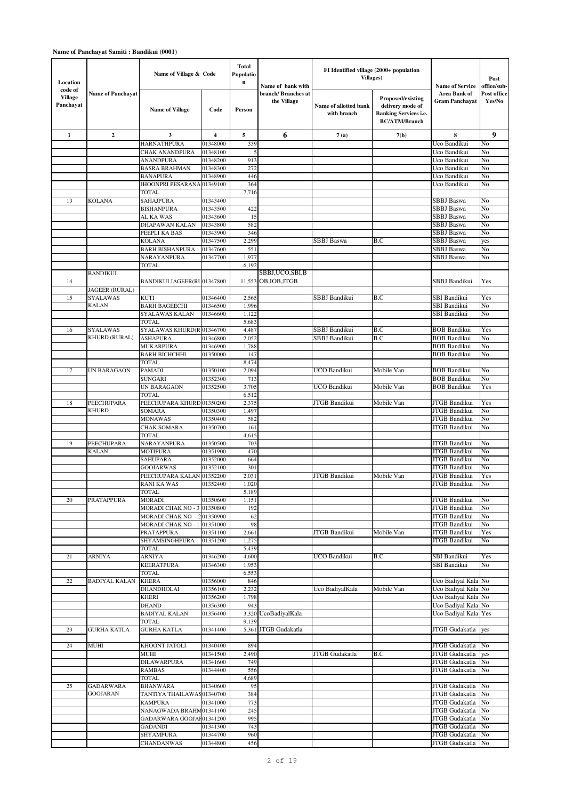| Location                               |                                 | Name of Village & Code                    |                      | Total<br>Populatio<br>$\bf n$ | Name of bank with                  | FI Identified village (2000+ population<br>Villages) |                                                                                               | <b>Name of Service</b>                       | Post<br>office/sub-   |
|----------------------------------------|---------------------------------|-------------------------------------------|----------------------|-------------------------------|------------------------------------|------------------------------------------------------|-----------------------------------------------------------------------------------------------|----------------------------------------------|-----------------------|
| code of<br><b>Village</b><br>Panchayat | <b>Name of Panchayat</b>        | <b>Name of Village</b>                    | Code                 | Person                        | branch/ Branches at<br>the Village | Name of allotted bank<br>with branch                 | Proposed/existing<br>delivery mode of<br><b>Banking Services i.e.</b><br><b>BC/ATM/Branch</b> | <b>Area Bank of</b><br><b>Gram Panchayat</b> | Post office<br>Yes/No |
| $\mathbf{1}$                           | $\mathbf{2}$                    | 3                                         | 4                    | 5                             | 6                                  | 7(a)                                                 | 7(b)                                                                                          | 8                                            | 9                     |
|                                        |                                 | <b>HARNATHPURA</b><br>CHAK ANANDPURA      | 01348000<br>01348100 | 339<br>5                      |                                    |                                                      |                                                                                               | Uco Bandikui<br>Uco Bandikui                 | No<br>No              |
|                                        |                                 | <b>ANANDPURA</b>                          | 01348200             | 913                           |                                    |                                                      |                                                                                               | Uco Bandikui                                 | No                    |
|                                        |                                 | <b>BASRA BRAHMAN</b>                      | 01348300             | 272                           |                                    |                                                      |                                                                                               | Uco Bandikui                                 | No                    |
|                                        |                                 | <b>BANAPURA</b>                           | 01348900             | 446                           |                                    |                                                      |                                                                                               | Uco Bandikui                                 | No                    |
|                                        |                                 | JHOONPRI PESARANA 01349100                |                      | 364                           |                                    |                                                      |                                                                                               | Uco Bandikui                                 | No                    |
| 13                                     | <b>KOLANA</b>                   | TOTAL<br><b>SAHAJPURA</b>                 | 01343400             | 7,716                         |                                    |                                                      |                                                                                               | SBBJ Baswa                                   | No                    |
|                                        |                                 | <b>BISHANPURA</b>                         | 01343500             | 422                           |                                    |                                                      |                                                                                               | SBBJ Baswa                                   | No                    |
|                                        |                                 | AL KA WAS                                 | 01343600             | 15                            |                                    |                                                      |                                                                                               | SBBJ Baswa                                   | No                    |
|                                        |                                 | DHAPAWAN KALAN                            | 01343800             | 582                           |                                    |                                                      |                                                                                               | SBBJ Baswa                                   | No                    |
|                                        |                                 | PEEPLI KA BAS                             | 01343900             | 346                           |                                    |                                                      |                                                                                               | SBBJ Baswa                                   | No                    |
|                                        |                                 | <b>KOLANA</b><br><b>BARH BISHANPURA</b>   | 01347500             | 2,299<br>551                  |                                    | SBBJ Baswa                                           | B.C                                                                                           | SBBJ Baswa<br>SBBJ Baswa                     | yes<br>No             |
|                                        |                                 | NARAYANPURA                               | 01347600<br>01347700 | 1,977                         |                                    |                                                      |                                                                                               | SBBJ Baswa                                   | No                    |
|                                        |                                 | <b>TOTAL</b>                              |                      | 6,192                         |                                    |                                                      |                                                                                               |                                              |                       |
|                                        | <b>BANDIKUI</b>                 |                                           |                      |                               | SBBJ,UCO,SBI,B                     |                                                      |                                                                                               |                                              |                       |
| 14                                     |                                 | <b>BANDIKUI JAGEER(RU01347800</b>         |                      |                               | 11.553 OB, IOB, JTGB               |                                                      |                                                                                               | SBBJ Bandikui                                | Yes                   |
|                                        | JAGEER (RURAL)                  |                                           |                      |                               |                                    | SBBJ Bandikui                                        |                                                                                               | <b>SBI Bandikui</b>                          |                       |
| 15                                     | <b>SYALAWAS</b><br><b>KALAN</b> | KUTI<br><b>BARH BAGEECHI</b>              | 01346400<br>01346500 | 2,565<br>1,996                |                                    |                                                      | B.C                                                                                           | <b>SBI Bandikui</b>                          | Yes<br>No             |
|                                        |                                 | SYALAWAS KALAN                            | 01346600             | 1,122                         |                                    |                                                      |                                                                                               | <b>SBI Bandikui</b>                          | No                    |
|                                        |                                 | TOTAL                                     |                      | 5,683                         |                                    |                                                      |                                                                                               |                                              |                       |
| 16                                     | <b>SYALAWAS</b>                 | SYALAWAS KHURD(R 01346700                 |                      | 4,487                         |                                    | SBBJ Bandikui                                        | B.C                                                                                           | <b>BOB Bandikui</b>                          | Yes                   |
|                                        | KHURD (RURAL)                   | ASHAPURA<br>MUKARPURA                     | 01346800<br>01346900 | 2,052<br>1,788                |                                    | SBBJ Bandikui                                        | B.C                                                                                           | <b>BOB Bandikui</b><br><b>BOB Bandikui</b>   | No<br>No              |
|                                        |                                 | <b>BARH BICHCHHI</b>                      | 01350000             | 147                           |                                    |                                                      |                                                                                               | <b>BOB Bandikui</b>                          | No                    |
|                                        |                                 | <b>TOTAL</b>                              |                      | 8,474                         |                                    |                                                      |                                                                                               |                                              |                       |
| 17                                     | UN BARAGAON                     | PAMADI                                    | 01350100             | 2,094                         |                                    | UCO Bandikui                                         | Mobile Van                                                                                    | <b>BOB Bandikui</b>                          | No                    |
|                                        |                                 | SUNGARI                                   | 01352300             | 713                           |                                    |                                                      |                                                                                               | <b>BOB Bandikui</b>                          | No                    |
|                                        |                                 | <b>UN BARAGAON</b><br><b>TOTAL</b>        | 01352500             | 3,705<br>6,512                |                                    | UCO Bandikui                                         | Mobile Van                                                                                    | <b>BOB Bandikui</b>                          | Yes                   |
| 18                                     | PEECHUPARA                      | PEECHUPARA KHURD 01350200                 |                      | 2,375                         |                                    | JTGB Bandikui                                        | Mobile Van                                                                                    | JTGB Bandikui                                | Yes                   |
|                                        | <b>KHURD</b>                    | SOMARA                                    | 01350300             | 1,497                         |                                    |                                                      |                                                                                               | JTGB Bandikui                                | No                    |
|                                        |                                 | <b>MONAWAS</b>                            | 01350400             | 582                           |                                    |                                                      |                                                                                               | JTGB Bandikui                                | No                    |
|                                        |                                 | CHAK SOMARA                               | 01350700             | 161                           |                                    |                                                      |                                                                                               | JTGB Bandikui                                | No                    |
| 19                                     | PEECHUPARA                      | TOTAL<br><b>NARAYANPURA</b>               | 01350500             | 4,615<br>703                  |                                    |                                                      |                                                                                               | JTGB Bandikui                                | No                    |
|                                        | <b>KALAN</b>                    | MOTIPURA                                  | 01351900             | 470                           |                                    |                                                      |                                                                                               | <b>JTGB</b> Bandikui                         | No                    |
|                                        |                                 | SAHUPARA                                  | 01352000             | 664                           |                                    |                                                      |                                                                                               | JTGB Bandikui                                | No                    |
|                                        |                                 | <b>GOOJARWAS</b>                          | 01352100             | 301                           |                                    |                                                      |                                                                                               | JTGB Bandikui                                | No                    |
|                                        |                                 | PEECHUPARA KALAN 01352200<br>RANI KA WAS  | 01352400             | 2,031<br>1.020                |                                    | JTGB Bandikui                                        | Mobile Van                                                                                    | <b>JTGB Bandikui</b><br>JTGB Bandikui        | Yes<br>No             |
|                                        |                                 | TOTAL                                     |                      | 5,189                         |                                    |                                                      |                                                                                               |                                              |                       |
| 20                                     | PRATAPPURA                      | MORADI                                    | 01350600             | 1,151                         |                                    |                                                      |                                                                                               | JTGB Bandikui                                | No                    |
|                                        |                                 | MORADI CHAK NO - 3 01350800               |                      | 192                           |                                    |                                                      |                                                                                               | JTGB Bandikui                                | No                    |
|                                        |                                 | MORADI CHAK NO - 201350900                |                      | 62                            |                                    |                                                      |                                                                                               | JTGB Bandikui                                | No                    |
|                                        |                                 | <b>MORADI CHAK NO - 1</b><br>PRATAPPURA   | 01351000<br>01351100 | 98<br>2,661                   |                                    | JTGB Bandikui                                        | Mobile Van                                                                                    | JTGB Bandikui<br><b>JTGB Bandikui</b>        | No<br>Yes             |
|                                        |                                 | SHYAMSINGHPURA                            | 01351200             | 1,275                         |                                    |                                                      |                                                                                               | JTGB Bandikui                                | No                    |
|                                        |                                 | <b>TOTAL</b>                              |                      | 5,439                         |                                    |                                                      |                                                                                               |                                              |                       |
| 21                                     | <b>ARNIYA</b>                   | <b>ARNIYA</b>                             | 01346200             | 4,600                         |                                    | UCO Bandikui                                         | B.C                                                                                           | <b>SBI Bandikui</b>                          | Yes                   |
|                                        |                                 | KEERATPURA<br><b>TOTAL</b>                | 01346300             | 1,953<br>6,553                |                                    |                                                      |                                                                                               | <b>SBI Bandikui</b>                          | No                    |
| 22                                     | <b>BADIYAL KALAN</b>            | <b>KHERA</b>                              | 01356000             | 846                           |                                    |                                                      |                                                                                               | Uco Badiyal Kala No                          |                       |
|                                        |                                 | DHANDHOLAI                                | 01356100             | 2,232                         |                                    | Uco BadiyalKala                                      | Mobile Van                                                                                    | Uco Badiyal Kala No                          |                       |
|                                        |                                 | KHERI                                     | 01356200             | 1,798                         |                                    |                                                      |                                                                                               | Uco Badiyal Kala No                          |                       |
|                                        |                                 | <b>DHAND</b>                              | 01356300             | 943                           |                                    |                                                      |                                                                                               | Uco Badiyal Kala No                          |                       |
|                                        |                                 | <b>BADIYAL KALAN</b><br><b>TOTAL</b>      | 01356400             | 3,320<br>9,139                | UcoBadiyalKala                     |                                                      |                                                                                               | Uco Badiyal Kala Yes                         |                       |
| 23                                     | <b>GURHA KATLA</b>              | <b>GURHA KATLA</b>                        | 01341400             | 5,361                         | JTGB Gudakatla                     |                                                      |                                                                                               | JTGB Gudakatla                               | yes                   |
|                                        |                                 |                                           |                      |                               |                                    |                                                      |                                                                                               |                                              |                       |
| 24                                     | MUHI                            | KHOONT JATOLI                             | 01340400             | 894                           |                                    |                                                      |                                                                                               | JTGB Gudakatla                               | No                    |
|                                        |                                 | MUHI<br>DILAWARPURA                       | 01341500<br>01341600 | 2,490<br>749                  |                                    | JTGB Gudakatla                                       | B.C                                                                                           | JTGB Gudakatla<br>JTGB Gudakatla             | yes<br>No             |
|                                        |                                 | <b>RAMBAS</b>                             | 01344400             | 556                           |                                    |                                                      |                                                                                               | JTGB Gudakatla                               | No                    |
|                                        |                                 | TOTAL                                     |                      | 4,689                         |                                    |                                                      |                                                                                               |                                              |                       |
| 25                                     | <b>GADARWARA</b>                | BHANWARA                                  | 01340600             | 95                            |                                    |                                                      |                                                                                               | JTGB Gudakatla                               | No                    |
|                                        | <b>GOOJARAN</b>                 | TANTIYA THAILAWAS01340700                 |                      | 384                           |                                    |                                                      |                                                                                               | JTGB Gudakatla                               | No                    |
|                                        |                                 | <b>RAMPURA</b><br>NANAGWADA BRAHM01341100 | 01341000             | 773<br>245                    |                                    |                                                      |                                                                                               | JTGB Gudakatla<br>JTGB Gudakatla             | No<br>No              |
|                                        |                                 | GADARWARA GOOJAF01341200                  |                      | 995                           |                                    |                                                      |                                                                                               | JTGB Gudakatla                               | No                    |
|                                        |                                 | <b>GADANDI</b>                            | 01341300             | 743                           |                                    |                                                      |                                                                                               | JTGB Gudakatla                               | No                    |
|                                        |                                 | SHYAMPURA                                 | 01344700             | 960                           |                                    |                                                      |                                                                                               | JTGB Gudakatla                               | No                    |
|                                        |                                 | CHANDANWAS                                | 01344800             | 456                           |                                    |                                                      |                                                                                               | JTGB Gudakatla                               | No                    |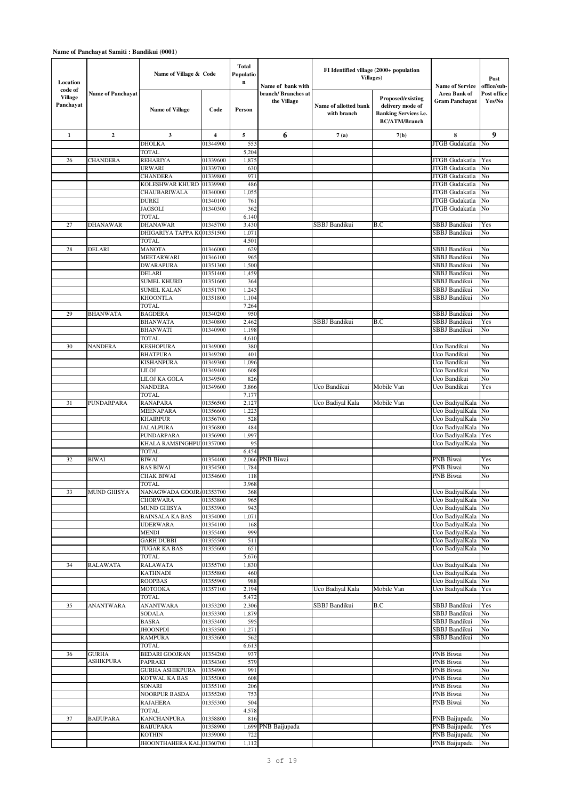| Location                               |                          | Name of Village & Code                 |                         | Total<br>Populatio<br>$\bf n$ |                                                         | FI Identified village (2000+ population<br>Villages) |                                                                                               |                                                                 | Post                                 |
|----------------------------------------|--------------------------|----------------------------------------|-------------------------|-------------------------------|---------------------------------------------------------|------------------------------------------------------|-----------------------------------------------------------------------------------------------|-----------------------------------------------------------------|--------------------------------------|
| code of<br><b>Village</b><br>Panchayat | <b>Name of Panchayat</b> | <b>Name of Village</b>                 | Code                    | Person                        | Name of bank with<br>branch/ Branches at<br>the Village | Name of allotted bank<br>with branch                 | Proposed/existing<br>delivery mode of<br><b>Banking Services i.e.</b><br><b>BC/ATM/Branch</b> | <b>Name of Service</b><br>Area Bank of<br><b>Gram Panchayat</b> | office/sub-<br>Post office<br>Yes/No |
| $\mathbf{1}$                           | $\boldsymbol{2}$         | 3                                      | $\overline{\mathbf{4}}$ | 5                             | 6                                                       | 7(a)                                                 | 7(b)                                                                                          | 8                                                               | 9                                    |
|                                        |                          | <b>DHOLKA</b><br><b>TOTAL</b>          | 01344900                | 553                           |                                                         |                                                      |                                                                                               | <b>JTGB</b> Gudakatla                                           | No                                   |
| 26                                     | <b>CHANDERA</b>          | <b>REHARIYA</b>                        | 01339600                | 5,204<br>1,875                |                                                         |                                                      |                                                                                               | JTGB Gudakatla                                                  | Yes                                  |
|                                        |                          | URWARI                                 | 01339700                | 630                           |                                                         |                                                      |                                                                                               | JTGB Gudakatla                                                  | No                                   |
|                                        |                          | <b>CHANDERA</b>                        | 01339800                | 971                           |                                                         |                                                      |                                                                                               | JTGB Gudakatla                                                  | No                                   |
|                                        |                          | KOLESHWAR KHURD                        | 01339900                | 486                           |                                                         |                                                      |                                                                                               | JTGB Gudakatla                                                  | No                                   |
|                                        |                          | CHAUBARIWALA                           | 01340000                | 1,055                         |                                                         |                                                      |                                                                                               | <b>JTGB</b> Gudakatla                                           | No                                   |
|                                        |                          | DURKI                                  | 01340100                | 761                           |                                                         |                                                      |                                                                                               | JTGB Gudakatla                                                  | No                                   |
|                                        |                          | <b>JAGSOLI</b><br><b>TOTAL</b>         | 01340300                | 362<br>6,140                  |                                                         |                                                      |                                                                                               | JTGB Gudakatla                                                  | No                                   |
| 27                                     | <b>DHANAWAR</b>          | <b>DHANAWAR</b>                        | 01345700                | 3,430                         |                                                         | SBBJ Bandikui                                        | B.C                                                                                           | SBBJ Bandikui                                                   | Yes                                  |
|                                        |                          | DHIGARIYA TAPPA K001351500             |                         | 1,071                         |                                                         |                                                      |                                                                                               | SBBJ Bandikui                                                   | No                                   |
|                                        |                          | TOTAL                                  |                         | 4,501                         |                                                         |                                                      |                                                                                               |                                                                 |                                      |
| 28                                     | <b>DELARI</b>            | <b>MANOTA</b>                          | 01346000                | 629                           |                                                         |                                                      |                                                                                               | SBBJ Bandikui                                                   | No                                   |
|                                        |                          | MEETARWARI                             | 01346100                | 965                           |                                                         |                                                      |                                                                                               | <b>SBBJ</b> Bandikui                                            | No                                   |
|                                        |                          | <b>DWARAPURA</b><br>DELARI             | 01351300<br>01351400    | 1,500                         |                                                         |                                                      |                                                                                               | <b>SBBJ</b> Bandikui<br>SBBJ Bandikui                           | No<br>No                             |
|                                        |                          | SUMEL KHURD                            | 01351600                | 1,459<br>364                  |                                                         |                                                      |                                                                                               | SBBJ Bandikui                                                   | No                                   |
|                                        |                          | <b>SUMEL KALAN</b>                     | 01351700                | 1,243                         |                                                         |                                                      |                                                                                               | SBBJ Bandikui                                                   | No                                   |
|                                        |                          | <b>KHOONTLA</b>                        | 01351800                | 1,104                         |                                                         |                                                      |                                                                                               | SBBJ Bandikui                                                   | No                                   |
|                                        |                          | <b>TOTAL</b>                           |                         | 7,264                         |                                                         |                                                      |                                                                                               |                                                                 |                                      |
| 29                                     | <b>BHANWATA</b>          | <b>BAGDERA</b>                         | 01340200                | 950                           |                                                         |                                                      |                                                                                               | SBBJ Bandikui                                                   | No                                   |
|                                        |                          | <b>BHANWATA</b><br><b>BHANWATI</b>     | 01340800<br>01340900    | 2,462<br>1,198                |                                                         | SBBJ Bandikui                                        | B.C                                                                                           | SBBJ Bandikui<br>SBBJ Bandikui                                  | Yes<br>No                            |
|                                        |                          | <b>TOTAL</b>                           |                         | 4,610                         |                                                         |                                                      |                                                                                               |                                                                 |                                      |
| 30                                     | <b>NANDERA</b>           | KESHOPURA                              | 01349000                | 380                           |                                                         |                                                      |                                                                                               | Uco Bandikui                                                    | No                                   |
|                                        |                          | <b>BHATPURA</b>                        | 01349200                | 401                           |                                                         |                                                      |                                                                                               | Uco Bandikui                                                    | No                                   |
|                                        |                          | KISHANPURA                             | 01349300                | 1,096                         |                                                         |                                                      |                                                                                               | Uco Bandikui                                                    | No                                   |
|                                        |                          | LILOJ<br>LILOJ KA GOLA                 | 01349400<br>01349500    | 608<br>826                    |                                                         |                                                      |                                                                                               | Uco Bandikui<br>Uco Bandikui                                    | No<br>No                             |
|                                        |                          | <b>NANDERA</b>                         | 01349600                | 3,866                         |                                                         | Uco Bandikui                                         | Mobile Van                                                                                    | Uco Bandikui                                                    | Yes                                  |
|                                        |                          | <b>TOTAL</b>                           |                         | 7,177                         |                                                         |                                                      |                                                                                               |                                                                 |                                      |
| 31                                     | PUNDARPARA               | RANAPARA                               | 01356500                | 2,127                         |                                                         | Uco Badiyal Kala                                     | Mobile Van                                                                                    | Uco BadiyalKala                                                 | No                                   |
|                                        |                          | <b>MEENAPARA</b>                       | 01356600                | 1,223                         |                                                         |                                                      |                                                                                               | Uco BadiyalKala                                                 | No                                   |
|                                        |                          | KHAIRPUR<br><b>JALALPURA</b>           | 01356700<br>01356800    | 528<br>484                    |                                                         |                                                      |                                                                                               | Uco BadiyalKala                                                 | No<br>No                             |
|                                        |                          | PUNDARPARA                             | 01356900                | 1,997                         |                                                         |                                                      |                                                                                               | Uco BadiyalKala<br>Uco BadiyalKala                              | Yes                                  |
|                                        |                          | KHALA RAMSINGHPU 01357000              |                         | 95                            |                                                         |                                                      |                                                                                               | Uco BadiyalKala                                                 | No                                   |
|                                        |                          | <b>TOTAL</b>                           |                         | 6,454                         |                                                         |                                                      |                                                                                               |                                                                 |                                      |
| 32                                     | <b>BIWAI</b>             | <b>BIWAI</b>                           | 01354400                | 2,066                         | <b>PNB</b> Biwai                                        |                                                      |                                                                                               | PNB Biwai                                                       | Yes                                  |
|                                        |                          | <b>BAS BIWAI</b>                       | 01354500                | 1,784                         |                                                         |                                                      |                                                                                               | PNB Biwai                                                       | No                                   |
|                                        |                          | CHAK BIWAI<br>TOTAL                    | 01354600                | 118<br>3,968                  |                                                         |                                                      |                                                                                               | PNB Biwai                                                       | No                                   |
| 33                                     | <b>MUND GHISYA</b>       | NANAGWADA GOOJR, 01353700              |                         | 368                           |                                                         |                                                      |                                                                                               | Uco BadiyalKala No                                              |                                      |
|                                        |                          | CHORWARA                               | 01353800                | 965                           |                                                         |                                                      |                                                                                               | Uco BadiyalKala No                                              |                                      |
|                                        |                          | MUND GHISYA                            | 01353900                | 943                           |                                                         |                                                      |                                                                                               | Uco BadiyalKala No                                              |                                      |
|                                        |                          | <b>BAINSALA KA BAS</b>                 | 01354000                | 1,071                         |                                                         |                                                      |                                                                                               | Uco BadiyalKala No                                              |                                      |
|                                        |                          | <b>UDERWARA</b><br>MENDI               | 01354100<br>01355400    | 168<br>999                    |                                                         |                                                      |                                                                                               | Uco BadiyalKala No<br>Uco BadiyalKala No                        |                                      |
|                                        |                          | <b>GARH DUBBI</b>                      | 01355500                | 511                           |                                                         |                                                      |                                                                                               | Uco BadiyalKala No                                              |                                      |
|                                        |                          | TUGAR KA BAS                           | 01355600                | 651                           |                                                         |                                                      |                                                                                               | Uco BadiyalKala No                                              |                                      |
|                                        |                          | <b>TOTAL</b>                           |                         | 5,676                         |                                                         |                                                      |                                                                                               |                                                                 |                                      |
| 34                                     | RALAWATA                 | RALAWATA<br><b>KATHNADI</b>            | 01355700                | 1,830                         |                                                         |                                                      |                                                                                               | Uco BadiyalKala No<br>Uco BadiyalKala No                        |                                      |
|                                        |                          | <b>ROOPBAS</b>                         | 01355800<br>01355900    | 460<br>988                    |                                                         |                                                      |                                                                                               | Uco BadiyalKala No                                              |                                      |
|                                        |                          | MOTOOKA                                | 01357100                | 2,194                         |                                                         | Uco Badiyal Kala                                     | Mobile Van                                                                                    | Uco BadiyalKala Yes                                             |                                      |
|                                        |                          | <b>TOTAL</b>                           |                         | 5,472                         |                                                         |                                                      |                                                                                               |                                                                 |                                      |
| 35                                     | <b>ANANTWARA</b>         | ANANTWARA                              | 01353200                | 2,306                         |                                                         | <b>SBBJ</b> Bandikui                                 | B.C                                                                                           | SBBJ Bandikui                                                   | Yes                                  |
|                                        |                          | <b>SODALA</b>                          | 01353300                | 1,879                         |                                                         |                                                      |                                                                                               | SBBJ Bandikui                                                   | No                                   |
|                                        |                          | BASRA<br><b>JHOONPDI</b>               | 01353400<br>01353500    | 595<br>1,271                  |                                                         |                                                      |                                                                                               | SBBJ Bandikui<br>SBBJ Bandikui                                  | No<br>No                             |
|                                        |                          | RAMPURA                                | 01353600                | 562                           |                                                         |                                                      |                                                                                               | <b>SBBJ</b> Bandikui                                            | No                                   |
|                                        |                          | <b>TOTAL</b>                           |                         | 6,613                         |                                                         |                                                      |                                                                                               |                                                                 |                                      |
| 36                                     | <b>GURHA</b>             | <b>BEDARI GOOJRAN</b>                  | 01354200                | 937                           |                                                         |                                                      |                                                                                               | PNB Biwai                                                       | No                                   |
|                                        | <b>ASHIKPURA</b>         | PAPRAKI                                | 01354300                | 579                           |                                                         |                                                      |                                                                                               | PNB Biwai                                                       | No                                   |
|                                        |                          | GURHA ASHIKPURA<br>KOTWAL KA BAS       | 01354900<br>01355000    | 991<br>608                    |                                                         |                                                      |                                                                                               | PNB Biwai<br>PNB Biwai                                          | No<br>No                             |
|                                        |                          | SONARI                                 | 01355100                | 206                           |                                                         |                                                      |                                                                                               | PNB Biwai                                                       | No                                   |
|                                        |                          | NOORPUR BASDA                          | 01355200                | 753                           |                                                         |                                                      |                                                                                               | PNB Biwai                                                       | No                                   |
|                                        |                          | RAJAHERA                               | 01355300                | 504                           |                                                         |                                                      |                                                                                               | PNB Biwai                                                       | No                                   |
|                                        |                          | <b>TOTAL</b>                           |                         | 4,578                         |                                                         |                                                      |                                                                                               |                                                                 |                                      |
| 37                                     | <b>BAIJUPARA</b>         | <b>KANCHANPURA</b><br><b>BAIJUPARA</b> | 01358800<br>01358900    | 816                           | 1,699 PNB Baijupada                                     |                                                      |                                                                                               | PNB Baijupada<br>PNB Baijupada                                  | No<br>Yes                            |
|                                        |                          | KOTHIN                                 | 01359000                | 722                           |                                                         |                                                      |                                                                                               | PNB Baijupada                                                   | No                                   |
|                                        |                          | JHOONTHAHERA KAL 01360700              |                         | 1,112                         |                                                         |                                                      |                                                                                               | PNB Baijupada                                                   | No                                   |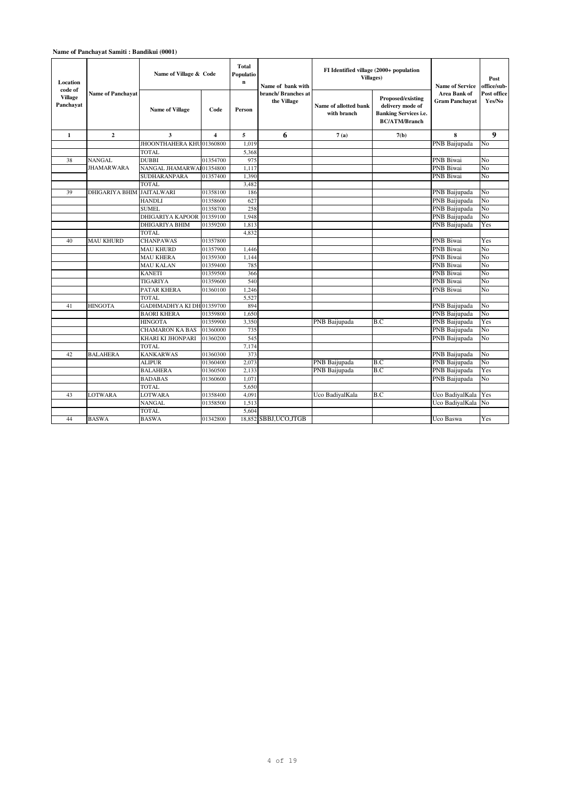## **Name of Panchayat Samiti : Bandikui (0001)**

| Location                               |                          | Name of Village & Code    |                         | <b>Total</b><br>Populatio<br>$\mathbf{n}$ | Name of bank with                  | FI Identified village (2000+ population<br>Villages) |                                                                                               | <b>Name of Service</b>                | Post<br>office/sub-   |
|----------------------------------------|--------------------------|---------------------------|-------------------------|-------------------------------------------|------------------------------------|------------------------------------------------------|-----------------------------------------------------------------------------------------------|---------------------------------------|-----------------------|
| code of<br><b>Village</b><br>Panchavat | <b>Name of Panchavat</b> | <b>Name of Village</b>    | Code                    | Person                                    | branch/ Branches at<br>the Village | Name of allotted bank<br>with branch                 | Proposed/existing<br>delivery mode of<br><b>Banking Services i.e.</b><br><b>BC/ATM/Branch</b> | Area Bank of<br><b>Gram Panchavat</b> | Post office<br>Yes/No |
| $\mathbf{1}$                           | $\mathbf{2}$             | 3                         | $\overline{\mathbf{4}}$ | 5                                         | 6                                  | 7(a)                                                 | 7(b)                                                                                          | 8                                     | 9                     |
|                                        |                          | JHOONTHAHERA KHU01360800  |                         | 1.019                                     |                                    |                                                      |                                                                                               | PNB Baijupada                         | No                    |
|                                        |                          | <b>TOTAL</b>              |                         | 5,368                                     |                                    |                                                      |                                                                                               |                                       |                       |
| 38                                     | <b>NANGAL</b>            | <b>DUBBI</b>              | 01354700                | 975                                       |                                    |                                                      |                                                                                               | <b>PNB</b> Biwai                      | No                    |
|                                        | <b>JHAMARWARA</b>        | NANGAL JHAMARWAI01354800  |                         | 1,117                                     |                                    |                                                      |                                                                                               | PNB Biwai                             | No                    |
|                                        |                          | <b>SUDHARANPARA</b>       | 01357400                | 1.390                                     |                                    |                                                      |                                                                                               | <b>PNB Biwai</b>                      | No                    |
|                                        |                          | <b>TOTAL</b>              |                         | 3,482                                     |                                    |                                                      |                                                                                               |                                       |                       |
| 39                                     | <b>DHIGARIYA BHIM</b>    | <b>JAITALWARI</b>         | 01358100                | 186                                       |                                    |                                                      |                                                                                               | PNB Baijupada                         | No                    |
|                                        |                          | <b>HANDLI</b>             | 01358600                | 627                                       |                                    |                                                      |                                                                                               | PNB Baijupada                         | No                    |
|                                        |                          | <b>SUMEL</b>              | 01358700                | 258                                       |                                    |                                                      |                                                                                               | PNB Baijupada                         | No                    |
|                                        |                          | DHIGARIYA KAPOOR          | 01359100                | 1,948                                     |                                    |                                                      |                                                                                               | PNB Baijupada                         | No                    |
|                                        |                          | DHIGARIYA BHIM            | 01359200                | 1,813                                     |                                    |                                                      |                                                                                               | PNB Baijupada                         | Yes                   |
|                                        |                          | <b>TOTAL</b>              |                         | 4,832                                     |                                    |                                                      |                                                                                               |                                       |                       |
| 40                                     | <b>MAU KHURD</b>         | <b>CHANPAWAS</b>          | 01357800                |                                           |                                    |                                                      |                                                                                               | PNB Biwai                             | Yes                   |
|                                        |                          | <b>MAU KHURD</b>          | 01357900                | 1,446                                     |                                    |                                                      |                                                                                               | <b>PNB</b> Biwai                      | No                    |
|                                        |                          | <b>MAU KHERA</b>          | 01359300                | 1,144                                     |                                    |                                                      |                                                                                               | <b>PNB</b> Biwai                      | No                    |
|                                        |                          | <b>MAU KALAN</b>          | 01359400                | 785                                       |                                    |                                                      |                                                                                               | <b>PNB</b> Biwai                      | No                    |
|                                        |                          | <b>KANETI</b>             | 01359500                | 366                                       |                                    |                                                      |                                                                                               | PNB Biwai                             | No                    |
|                                        |                          | TIGARIYA                  | 01359600                | 540                                       |                                    |                                                      |                                                                                               | <b>PNB</b> Biwai                      | No                    |
|                                        |                          | PATAR KHERA               | 01360100                | 1,246                                     |                                    |                                                      |                                                                                               | PNB Biwai                             | No                    |
|                                        |                          | <b>TOTAL</b>              |                         | 5,527                                     |                                    |                                                      |                                                                                               |                                       |                       |
| 41                                     | <b>HINGOTA</b>           | GADHMADHYA KI DH 01359700 |                         | 894                                       |                                    |                                                      |                                                                                               | PNB Baijupada                         | No                    |
|                                        |                          | <b>BAORI KHERA</b>        | 01359800                | 1.650                                     |                                    |                                                      |                                                                                               | PNB Baijupada                         | No                    |
|                                        |                          | <b>HINGOTA</b>            | 01359900                | 3,350                                     |                                    | PNB Baijupada                                        | B.C                                                                                           | PNB Baijupada                         | Yes                   |
|                                        |                          | <b>CHAMARON KA BAS</b>    | 01360000                | 735                                       |                                    |                                                      |                                                                                               | PNB Baijupada                         | No                    |
|                                        |                          | KHARI KI JHONPARI         | 01360200                | 545                                       |                                    |                                                      |                                                                                               | PNB Baijupada                         | No                    |
|                                        |                          | <b>TOTAL</b>              |                         | 7,174                                     |                                    |                                                      |                                                                                               |                                       |                       |
| 42                                     | <b>BALAHERA</b>          | <b>KANKARWAS</b>          | 01360300                | 373                                       |                                    |                                                      |                                                                                               | PNB Baijupada                         | No                    |
|                                        |                          | <b>ALIPUR</b>             | 01360400                | 2,073                                     |                                    | PNB Baijupada                                        | B.C                                                                                           | PNB Baijupada                         | No                    |
|                                        |                          | <b>BALAHERA</b>           | 01360500                | 2,133                                     |                                    | PNB Baijupada                                        | B.C                                                                                           | PNB Baijupada                         | Yes                   |
|                                        |                          | <b>BADABAS</b>            | 01360600                | 1,071                                     |                                    |                                                      |                                                                                               | PNB Baijupada                         | No                    |
|                                        |                          | <b>TOTAL</b>              |                         | 5,650                                     |                                    |                                                      |                                                                                               |                                       |                       |
| 43                                     | LOTWARA                  | LOTWARA                   | 01358400                | 4,091                                     |                                    | Uco BadiyalKala                                      | B.C                                                                                           | Uco BadiyalKala                       | Yes                   |
|                                        |                          | <b>NANGAL</b>             | 01358500                | 1.513                                     |                                    |                                                      |                                                                                               | Uco BadiyalKala                       | N <sub>0</sub>        |
|                                        |                          | <b>TOTAL</b>              |                         | 5,604                                     |                                    |                                                      |                                                                                               |                                       |                       |
| 44                                     | <b>BASWA</b>             | <b>BASWA</b>              | 01342800                |                                           | 18,852 SBBJ, UCO, JTGB             |                                                      |                                                                                               | Uco Baswa                             | Yes                   |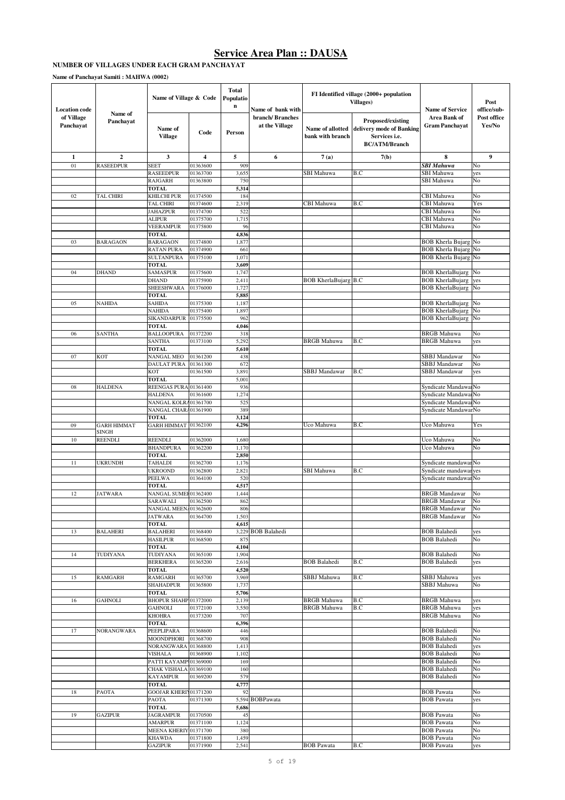# **NUMBER OF VILLAGES UNDER EACH GRAM PANCHAYAT**

**Name of Panchayat Samiti : MAHWA (0002)**

| <b>Location</b> code    |                      | Name of Village & Code                |                         | <b>Total</b><br>Populatio<br>n | Name of bank with                 |                                      | FI Identified village (2000+ population<br>Villages)                                   | <b>Name of Service</b>                             | Post<br>office/sub-   |
|-------------------------|----------------------|---------------------------------------|-------------------------|--------------------------------|-----------------------------------|--------------------------------------|----------------------------------------------------------------------------------------|----------------------------------------------------|-----------------------|
| of Village<br>Panchayat | Name of<br>Panchayat | Name of<br><b>Village</b>             | Code                    | Person                         | branch/Branches<br>at the Village | Name of allotted<br>bank with branch | Proposed/existing<br>delivery mode of Banking<br>Services i.e.<br><b>BC/ATM/Branch</b> | <b>Area Bank of</b><br><b>Gram Panchayat</b>       | Post office<br>Yes/No |
| $\mathbf{1}$            | $\overline{2}$       | 3                                     | $\overline{\mathbf{4}}$ | 5                              | 6                                 | 7(a)                                 | 7(b)                                                                                   | 8                                                  | $\boldsymbol{9}$      |
| 01                      | <b>RASEEDPUR</b>     | <b>SEET</b>                           | 01363600                | 909                            |                                   |                                      |                                                                                        | <b>SBI Mahuwa</b>                                  | No                    |
|                         |                      | <b>RASEEDPUR</b><br><b>RAJGARH</b>    | 01363700<br>01363800    | 3,655<br>750                   |                                   | <b>SBI</b> Mahuwa                    | B.C                                                                                    | SBI Mahuwa<br><b>SBI</b> Mahuwa                    | yes<br>No             |
|                         |                      | <b>TOTAL</b>                          |                         | 5,314                          |                                   |                                      |                                                                                        |                                                    |                       |
| 02                      | TAL CHIRI            | KHILCHI PUR                           | 01374500                | 184                            |                                   |                                      |                                                                                        | CBI Mahuwa                                         | No                    |
|                         |                      | TAL CHIRI                             | 01374600                | 2,319                          |                                   | CBI Mahuwa                           | B.C                                                                                    | CBI Mahuwa                                         | Yes                   |
|                         |                      | <b>JAHAZPUR</b>                       | 01374700                | 522                            |                                   |                                      |                                                                                        | CBI Mahuwa                                         | No                    |
|                         |                      | ALIPUR<br><b>VEERAMPUR</b>            | 01375700<br>01375800    | 1,715<br>96                    |                                   |                                      |                                                                                        | CBI Mahuwa<br>CBI Mahuwa                           | No<br>No              |
|                         |                      | <b>TOTAL</b>                          |                         | 4,836                          |                                   |                                      |                                                                                        |                                                    |                       |
| 03                      | <b>BARAGAON</b>      | <b>BARAGAON</b>                       | 01374800                | 1,877                          |                                   |                                      |                                                                                        | <b>BOB Kherla Bujarg</b>                           | No                    |
|                         |                      | <b>RATAN PURA</b>                     | 01374900                | 661                            |                                   |                                      |                                                                                        | <b>BOB Kherla Bujarg</b>                           | No                    |
|                         |                      | <b>SULTANPURA</b>                     | 01375100                | 1,071                          |                                   |                                      |                                                                                        | <b>BOB Kherla Bujarg</b>                           | No                    |
| 04                      | DHAND                | <b>TOTAL</b><br><b>SAMASPUR</b>       | 01375600                | 3,609<br>1,747                 |                                   |                                      |                                                                                        | <b>BOB KherlaBujarg</b>                            | No                    |
|                         |                      | DHAND                                 | 01375900                | 2,411                          |                                   | <b>BOB KherlaBujarg B.C</b>          |                                                                                        | <b>BOB KherlaBujarg</b>                            | yes                   |
|                         |                      | SHEESHWARA                            | 01376000                | 1,727                          |                                   |                                      |                                                                                        | <b>BOB KherlaBujarg</b>                            | No                    |
|                         |                      | <b>TOTAL</b>                          |                         | 5,885                          |                                   |                                      |                                                                                        |                                                    |                       |
| 05                      | NAHIDA               | SAHIDA                                | 01375300                | 1,187                          |                                   |                                      |                                                                                        | <b>BOB KherlaBujarg</b>                            | No                    |
|                         |                      | <b>NAHIDA</b><br>SIKANDARPUR          | 01375400<br>01375500    | 1,897<br>962                   |                                   |                                      |                                                                                        | <b>BOB</b> KherlaBujarg<br><b>BOB KherlaBujarg</b> | No<br>No              |
|                         |                      | <b>TOTAL</b>                          |                         | 4,046                          |                                   |                                      |                                                                                        |                                                    |                       |
| 06                      | <b>SANTHA</b>        | <b>BALLOOPURA</b>                     | 01372200                | 318                            |                                   |                                      |                                                                                        | <b>BRGB</b> Mahuwa                                 | No                    |
|                         |                      | <b>SANTHA</b>                         | 01373100                | 5,292                          |                                   | BRGB Mahuwa                          | B.C                                                                                    | <b>BRGB</b> Mahuwa                                 | yes                   |
|                         |                      | <b>TOTAL</b>                          |                         | 5,610                          |                                   |                                      |                                                                                        |                                                    |                       |
| 07                      | KOT                  | NANGAL MEO<br><b>DAULAT PURA</b>      | 01361200<br>01361300    | 438<br>672                     |                                   |                                      |                                                                                        | <b>SBBJ</b> Mandawar<br>SBBJ Mandawar              | No<br>No              |
|                         |                      | KOT                                   | 01361500                | 3,891                          |                                   | SBBJ Mandawar                        | B.C                                                                                    | SBBJ Mandawar                                      | yes                   |
|                         |                      | <b>TOTAL</b>                          |                         | 5,001                          |                                   |                                      |                                                                                        |                                                    |                       |
| 08                      | <b>HALDENA</b>       | REENGAS PURA                          | 01361400                | 936                            |                                   |                                      |                                                                                        | Syndicate Mandawa No                               |                       |
|                         |                      | <b>HALDENA</b>                        | 01361600                | 1,274                          |                                   |                                      |                                                                                        | Syndicate Mandawa No                               |                       |
|                         |                      | NANGAL KOLR<br>NANGAL CHAR            | 01361700<br>01361900    | 525<br>389                     |                                   |                                      |                                                                                        | Syndicate Mandawa No<br>Syndicate MandawarNo       |                       |
|                         |                      | <b>TOTAL</b>                          |                         | 3,124                          |                                   |                                      |                                                                                        |                                                    |                       |
| 09                      | <b>GARH HIMMAT</b>   | GARH HIMMAT 01362100                  |                         | 4,296                          |                                   | Uco Mahuwa                           | B.C                                                                                    | Uco Mahuwa                                         | Yes                   |
|                         | SINGH                |                                       |                         |                                |                                   |                                      |                                                                                        |                                                    |                       |
| 10                      | REENDLI              | REENDLI                               | 01362000                | 1,680                          |                                   |                                      |                                                                                        | Uco Mahuwa<br>Uco Mahuwa                           | No                    |
|                         |                      | <b>BHANDPURA</b><br><b>TOTAL</b>      | 01362200                | 1,170<br>2,850                 |                                   |                                      |                                                                                        |                                                    | No                    |
| 11                      | UKRUNDH              | <b>TAHALDI</b>                        | 01362700                | 1,176                          |                                   |                                      |                                                                                        | Syndicate mandawar No                              |                       |
|                         |                      | <b>UKROOND</b>                        | 01362800                | 2,821                          |                                   | SBI Mahuwa                           | B.C                                                                                    | Syndicate mandawar                                 | yes                   |
|                         |                      | <b>PEELWA</b>                         | 01364100                | 520                            |                                   |                                      |                                                                                        | Syndicate mandawar No                              |                       |
|                         |                      | <b>TOTAL</b>                          |                         | 4,517                          |                                   |                                      |                                                                                        |                                                    |                       |
| 12                      | JATWARA              | NANGAL SUMEI 01362400<br>SARAWALI     | 01362500                | 1,444<br>862                   |                                   |                                      |                                                                                        | <b>BRGB</b> Mandawar<br><b>BRGB</b> Mandawar       | No<br>No              |
|                         |                      | NANGAL MEEN 01362600                  |                         | 806                            |                                   |                                      |                                                                                        | <b>BRGB</b> Mandawar                               | No                    |
|                         |                      | <b>JATWARA</b>                        | 01364700                | 1,503                          |                                   |                                      |                                                                                        | <b>BRGB</b> Mandawar                               | No                    |
|                         |                      | <b>TOTAL</b>                          |                         | 4,615                          |                                   |                                      |                                                                                        |                                                    |                       |
| 13                      | <b>BALAHERI</b>      | <b>BALAHERI</b>                       | 01368400                |                                | 3,229 BOB Balahedi                |                                      |                                                                                        | <b>BOB</b> Balahedi                                | yes                   |
|                         |                      | <b>HASILPUR</b><br><b>TOTAL</b>       | 01368500                | 875<br>4,104                   |                                   |                                      |                                                                                        | <b>BOB</b> Balahedi                                | No                    |
| 14                      | TUDIYANA             | TUDIYANA                              | 01365100                | 1,904                          |                                   |                                      |                                                                                        | <b>BOB Balahedi</b>                                | No                    |
|                         |                      | <b>BERKHERA</b>                       | 01365200                | 2,616                          |                                   | <b>BOB</b> Balahedi                  | B.C                                                                                    | <b>BOB</b> Balahedi                                | yes                   |
|                         |                      | <b>TOTAL</b>                          |                         | 4,520                          |                                   |                                      |                                                                                        |                                                    |                       |
| 15                      | <b>RAMGARH</b>       | <b>RAMGARH</b><br>SHAHADPUR           | 01365700<br>01365800    | 3,969<br>1,737                 |                                   | SBBJ Mahuwa                          | B.C                                                                                    | SBBJ Mahuwa<br>SBBJ Mahuwa                         | yes<br>No             |
|                         |                      | <b>TOTAL</b>                          |                         | 5,706                          |                                   |                                      |                                                                                        |                                                    |                       |
| 16                      | <b>GAHNOLI</b>       | BHOPUR SHAHP 01372000                 |                         | 2,139                          |                                   | <b>BRGB</b> Mahuwa                   | B.C                                                                                    | <b>BRGB</b> Mahuwa                                 | yes                   |
|                         |                      | <b>GAHNOLI</b>                        | 01372100                | 3,550                          |                                   | <b>BRGB</b> Mahuwa                   | B.C                                                                                    | <b>BRGB</b> Mahuwa                                 | yes                   |
|                         |                      | <b>KHOHRA</b>                         | 01373200                | 707                            |                                   |                                      |                                                                                        | <b>BRGB</b> Mahuwa                                 | No                    |
|                         |                      | <b>TOTAL</b>                          |                         | 6,396                          |                                   |                                      |                                                                                        |                                                    |                       |
| 17                      | <b>NORANGWARA</b>    | PEEPLIPARA<br><b>MOONDPHORI</b>       | 01368600<br>01368700    | 446<br>908                     |                                   |                                      |                                                                                        | <b>BOB</b> Balahedi<br><b>BOB</b> Balahedi         | No<br>No              |
|                         |                      | <b>NORANGWARA</b>                     | 01368800                | 1,413                          |                                   |                                      |                                                                                        | <b>BOB Balahedi</b>                                | yes                   |
|                         |                      | <b>VISHALA</b>                        | 01368900                | 1,102                          |                                   |                                      |                                                                                        | <b>BOB</b> Balahedi                                | No                    |
|                         |                      | PATTI KAYAMP                          | 01369000                | 169                            |                                   |                                      |                                                                                        | <b>BOB</b> Balahedi                                | No                    |
|                         |                      | CHAK VISHALA<br><b>KAYAMPUR</b>       | 01369100                | 160<br>579                     |                                   |                                      |                                                                                        | <b>BOB</b> Balahedi<br><b>BOB</b> Balahedi         | No<br>No              |
|                         |                      | <b>TOTAL</b>                          | 01369200                | 4,777                          |                                   |                                      |                                                                                        |                                                    |                       |
| 18                      | PAOTA                | GOOJAR KHERIY01371200                 |                         | 92                             |                                   |                                      |                                                                                        | <b>BOB Pawata</b>                                  | No                    |
|                         |                      | PAOTA                                 | 01371300                |                                | 5,594 BOBPawata                   |                                      |                                                                                        | <b>BOB</b> Pawata                                  | yes                   |
|                         |                      | <b>TOTAL</b>                          |                         | 5,686                          |                                   |                                      |                                                                                        |                                                    |                       |
| 19                      | <b>GAZIPUR</b>       | <b>JAGRAMPUR</b>                      | 01370500                | 45                             |                                   |                                      |                                                                                        | <b>BOB Pawata</b>                                  | No                    |
|                         |                      | <b>AMARPUR</b><br><b>MEENA KHERIY</b> | 01371100<br>01371700    | 1,124<br>380                   |                                   |                                      |                                                                                        | <b>BOB Pawata</b><br><b>BOB Pawata</b>             | No<br>No              |
|                         |                      | <b>KHAWDA</b>                         | 01371800                | 1,459                          |                                   |                                      |                                                                                        | <b>BOB Pawata</b>                                  | No                    |
|                         |                      | <b>GAZIPUR</b>                        | 01371900                | 2,541                          |                                   | <b>BOB</b> Pawata                    | B.C                                                                                    | <b>BOB Pawata</b>                                  | yes                   |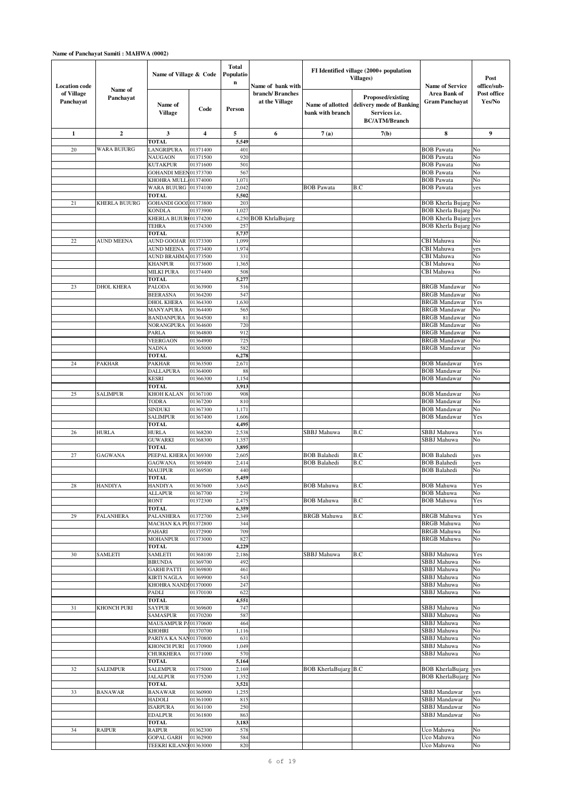| <b>Location code</b>    |                      | Name of Village & Code                     |                      | <b>Total</b><br>Populatio<br>n | Name of bank with                 |                                      | FI Identified village (2000+ population<br>Villages)                                          | <b>Name of Service</b>                       | Post<br>office/sub-   |
|-------------------------|----------------------|--------------------------------------------|----------------------|--------------------------------|-----------------------------------|--------------------------------------|-----------------------------------------------------------------------------------------------|----------------------------------------------|-----------------------|
| of Village<br>Panchayat | Name of<br>Panchayat | Name of<br><b>Village</b>                  | Code                 | Person                         | branch/Branches<br>at the Village | Name of allotted<br>bank with branch | Proposed/existing<br>delivery mode of Banking<br>Services <i>i.e.</i><br><b>BC/ATM/Branch</b> | Area Bank of<br><b>Gram Panchayat</b>        | Post office<br>Yes/No |
| $\mathbf{1}$            | $\mathbf{2}$         | 3                                          | 4                    | 5                              | 6                                 | 7(a)                                 | 7(b)                                                                                          | 8                                            | 9                     |
| 20                      | <b>WARA BUJURG</b>   | <b>TOTAL</b><br>LANGRIPURA                 | 01371400             | 5,549<br>401                   |                                   |                                      |                                                                                               | <b>BOB</b> Pawata                            | No                    |
|                         |                      | <b>NAUGAON</b>                             | 01371500             | 920                            |                                   |                                      |                                                                                               | <b>BOB</b> Pawata                            | No                    |
|                         |                      | <b>KUTAKPUR</b><br><b>GOHANDI MEEN</b>     | 01371600<br>01373700 | 501<br>567                     |                                   |                                      |                                                                                               | <b>BOB</b> Pawata<br><b>BOB</b> Pawata       | No<br>No              |
|                         |                      | KHOHRA MULL.                               | 01374000             | 1,071                          |                                   |                                      |                                                                                               | <b>BOB</b> Pawata                            | No                    |
|                         |                      | <b>WARA BUJURG</b>                         | 01374100             | 2,042                          |                                   | <b>BOB</b> Pawata                    | B.C                                                                                           | <b>BOB</b> Pawata                            | yes                   |
| 21                      | KHERLA BUJURG        | <b>TOTAL</b><br>GOHANDI GOOJ.01373800      |                      | 5,502<br>203                   |                                   |                                      |                                                                                               | <b>BOB Kherla Bujarg</b>                     | No                    |
|                         |                      | <b>KONDLA</b>                              | 01373900             | 1,027                          |                                   |                                      |                                                                                               | <b>BOB</b> Kherla Bujarg                     | No                    |
|                         |                      | KHERLA BUJUR 01374200                      |                      | 4,250                          | BOB KhrlaBujarg                   |                                      |                                                                                               | <b>BOB Kherla Bujarg</b>                     | yes                   |
|                         |                      | TEHRA<br><b>TOTAL</b>                      | 01374300             | 257<br>5,737                   |                                   |                                      |                                                                                               | <b>BOB Kherla Bujarg No</b>                  |                       |
| 22                      | <b>AUND MEENA</b>    | <b>AUND GOOJAR</b>                         | 01373300             | 1,099                          |                                   |                                      |                                                                                               | CBI Mahuwa                                   | No                    |
|                         |                      | <b>AUND MEENA</b>                          | 01373400             | 1,974                          |                                   |                                      |                                                                                               | CBI Mahuwa                                   | yes                   |
|                         |                      | <b>AUND BRAHMA</b><br><b>KHANPUR</b>       | 01373500<br>01373600 | 331<br>1,365                   |                                   |                                      |                                                                                               | CBI Mahuwa<br>CBI Mahuwa                     | No<br>No              |
|                         |                      | <b>MILKI PURA</b>                          | 01374400             | 508                            |                                   |                                      |                                                                                               | CBI Mahuwa                                   | No                    |
|                         |                      | <b>TOTAL</b>                               |                      | 5,277                          |                                   |                                      |                                                                                               |                                              |                       |
| 23                      | <b>DHOL KHERA</b>    | PALODA<br><b>BEERASNA</b>                  | 01363900<br>01364200 | 516<br>547                     |                                   |                                      |                                                                                               | <b>BRGB</b> Mandawar<br><b>BRGB</b> Mandawar | No<br>No              |
|                         |                      | DHOL KHERA                                 | 01364300             | 1,630                          |                                   |                                      |                                                                                               | <b>BRGB</b> Mandawar                         | Yes                   |
|                         |                      | MANYAPURA                                  | 01364400             | 565                            |                                   |                                      |                                                                                               | <b>BRGB</b> Mandawar                         | No                    |
|                         |                      | <b>BANDANPURA</b><br>NORANGPURA            | 01364500<br>01364600 | 81<br>720                      |                                   |                                      |                                                                                               | <b>BRGB</b> Mandawar<br><b>BRGB</b> Mandawar | No<br>No              |
|                         |                      | PARLA                                      | 01364800             | 912                            |                                   |                                      |                                                                                               | <b>BRGB</b> Mandawar                         | No                    |
|                         |                      | <b>VEERGAON</b>                            | 01364900             | 725                            |                                   |                                      |                                                                                               | <b>BRGB</b> Mandawar                         | No                    |
|                         |                      | <b>NADNA</b><br><b>TOTAL</b>               | 01365000             | 582<br>6,278                   |                                   |                                      |                                                                                               | <b>BRGB</b> Mandawar                         | No                    |
| 24                      | <b>PAKHAR</b>        | PAKHAR                                     | 01363500             | 2,671                          |                                   |                                      |                                                                                               | <b>BOB</b> Mandawar                          | Yes                   |
|                         |                      | <b>DALLAPURA</b>                           | 01364000             | 88                             |                                   |                                      |                                                                                               | <b>BOB</b> Mandawar                          | No                    |
|                         |                      | <b>KESRI</b><br><b>TOTAL</b>               | 01366300             | 1,154<br>3,913                 |                                   |                                      |                                                                                               | <b>BOB</b> Mandawar                          | No                    |
| 25                      | <b>SALIMPUR</b>      | KHOH KALAN                                 | 01367100             | 908                            |                                   |                                      |                                                                                               | <b>BOB</b> Mandawar                          | No                    |
|                         |                      | TODRA<br>SINDUKI                           | 01367200<br>01367300 | 810<br>1,171                   |                                   |                                      |                                                                                               | <b>BOB</b> Mandawar<br><b>BOB</b> Mandawar   | No<br>No              |
|                         |                      | <b>SALIMPUR</b>                            | 01367400             | 1,606                          |                                   |                                      |                                                                                               | <b>BOB</b> Mandawar                          | Yes                   |
|                         |                      | <b>TOTAL</b>                               |                      | 4,49.                          |                                   |                                      |                                                                                               |                                              |                       |
| 26                      | <b>HURLA</b>         | <b>HURLA</b><br><b>GUWARKI</b>             | 01368200<br>01368300 | 2,538<br>1,357                 |                                   | SBBJ Mahuwa                          | B.C                                                                                           | SBBJ Mahuwa<br><b>SBBJ</b> Mahuwa            | Yes<br>No             |
|                         |                      | <b>TOTAL</b>                               |                      | 3,895                          |                                   |                                      |                                                                                               |                                              |                       |
| 27                      | <b>GAGWANA</b>       | PEEPAL KHERA                               | 01369300             | 2,605                          |                                   | <b>BOB</b> Balahedi                  | B.C                                                                                           | <b>BOB</b> Balahedi                          | yes                   |
|                         |                      | <b>GAGWANA</b><br>MAUJPUR                  | 01369400<br>01369500 | 2,414<br>440                   |                                   | <b>BOB</b> Balahedi                  | B.C                                                                                           | <b>BOB</b> Balahedi<br><b>BOB Balahedi</b>   | yes<br>No             |
|                         |                      | <b>TOTAL</b>                               |                      | 5,459                          |                                   |                                      |                                                                                               |                                              |                       |
| 28                      | <b>HANDIYA</b>       | <b>HANDIYA</b>                             | 01367600             | 3,645                          |                                   | <b>BOB</b> Mahuwa                    | B.C                                                                                           | <b>BOB</b> Mahuwa                            | Yes<br>No             |
|                         |                      | ALLAPUR<br><b>RONT</b>                     | 01367700<br>01372300 | 239<br>2,475                   |                                   | <b>BOB</b> Mahuwa                    | B.C                                                                                           | <b>BOB</b> Mahuwa<br><b>BOB</b> Mahuwa       | Yes                   |
|                         |                      | <b>TOTAL</b>                               |                      | 6,359                          |                                   |                                      |                                                                                               |                                              |                       |
| 29                      | <b>PALANHERA</b>     | PALANHERA<br>MACHAN KA PU01372800          | 01372700             | 2,349<br>344                   |                                   | <b>BRGB</b> Mahuwa                   | B.C                                                                                           | <b>BRGB</b> Mahuwa<br><b>BRGB</b> Mahuwa     | Yes<br>No             |
|                         |                      | PAHARI                                     | 01372900             | 709                            |                                   |                                      |                                                                                               | <b>BRGB</b> Mahuwa                           | No                    |
|                         |                      | <b>MOHANPUR</b>                            | 01373000             | 827                            |                                   |                                      |                                                                                               | <b>BRGB</b> Mahuwa                           | No                    |
| 30                      | SAMLETI              | <b>TOTAL</b><br><b>SAMLETI</b>             | 01368100             | 4,229<br>2,186                 |                                   | SBBJ Mahuwa                          | B.C                                                                                           | SBBJ Mahuwa                                  | Yes                   |
|                         |                      | <b>BIRUNDA</b>                             | 01369700             | 492                            |                                   |                                      |                                                                                               | <b>SBBJ</b> Mahuwa                           | No                    |
|                         |                      | <b>GARHI PATTI</b>                         | 01369800             | 461                            |                                   |                                      |                                                                                               | SBBJ Mahuwa                                  | No                    |
|                         |                      | <b>KIRTI NAGLA</b><br>KHOHRA NAND:01370000 | 01369900             | 543<br>247                     |                                   |                                      |                                                                                               | SBBJ Mahuwa<br>SBBJ Mahuwa                   | No<br>No              |
|                         |                      | PADLI                                      | 01370100             | 622                            |                                   |                                      |                                                                                               | SBBJ Mahuwa                                  | No                    |
| 31                      |                      | <b>TOTAL</b>                               |                      | 4,551                          |                                   |                                      |                                                                                               | SBBJ Mahuwa                                  | No                    |
|                         | KHONCH PURI          | <b>SAYPUR</b><br>SAMASPUR                  | 01369600<br>01370200 | 747<br>587                     |                                   |                                      |                                                                                               | SBBJ Mahuwa                                  | No                    |
|                         |                      | MAUSAMPUR PA01370600                       |                      | 464                            |                                   |                                      |                                                                                               | SBBJ Mahuwa                                  | No                    |
|                         |                      | <b>KHOHRI</b>                              | 01370700             | 1,116                          |                                   |                                      |                                                                                               | SBBJ Mahuwa<br>SBBJ Mahuwa                   | No<br>No              |
|                         |                      | PARIYA KA NAN01370800<br>KHONCH PURI       | 01370900             | 631<br>1,049                   |                                   |                                      |                                                                                               | SBBJ Mahuwa                                  | No                    |
|                         |                      | <b>CHURKHERA</b>                           | 01371000             | 570                            |                                   |                                      |                                                                                               | SBBJ Mahuwa                                  | No                    |
| 32                      | <b>SALEMPUR</b>      | <b>TOTAL</b><br><b>SALEMPUR</b>            | 01375000             | 5,164<br>2,169                 |                                   | <b>BOB KherlaBujarg B.C</b>          |                                                                                               | <b>BOB KherlaBujarg</b>                      | yes                   |
|                         |                      | <b>JALALPUR</b>                            | 01375200             | 1,352                          |                                   |                                      |                                                                                               | <b>BOB KherlaBujarg</b>                      | No                    |
|                         |                      | <b>TOTAL</b>                               |                      | 3,521                          |                                   |                                      |                                                                                               |                                              |                       |
| 33                      | <b>BANAWAR</b>       | <b>BANAWAR</b><br><b>HADOLI</b>            | 01360900<br>01361000 | 1,255<br>815                   |                                   |                                      |                                                                                               | SBBJ Mandawar<br>SBBJ Mandawar               | yes<br>No             |
|                         |                      | <b>ISARPURA</b>                            | 01361100             | 250                            |                                   |                                      |                                                                                               | SBBJ Mandawar                                | No                    |
|                         |                      | <b>EDALPUR</b>                             | 01361800             | 863                            |                                   |                                      |                                                                                               | SBBJ Mandawar                                | No                    |
| 34                      | <b>RAIPUR</b>        | <b>TOTAL</b><br><b>RAIPUR</b>              | 01362300             | 3,183<br>578                   |                                   |                                      |                                                                                               | Uco Mahuwa                                   | No                    |
|                         |                      | <b>GOPAL GARH</b>                          | 01362900             | 584                            |                                   |                                      |                                                                                               | Uco Mahuwa                                   | No                    |
|                         |                      | TEEKRI KILANO 01363000                     |                      | 820                            |                                   |                                      |                                                                                               | Uco Mahuwa                                   | No                    |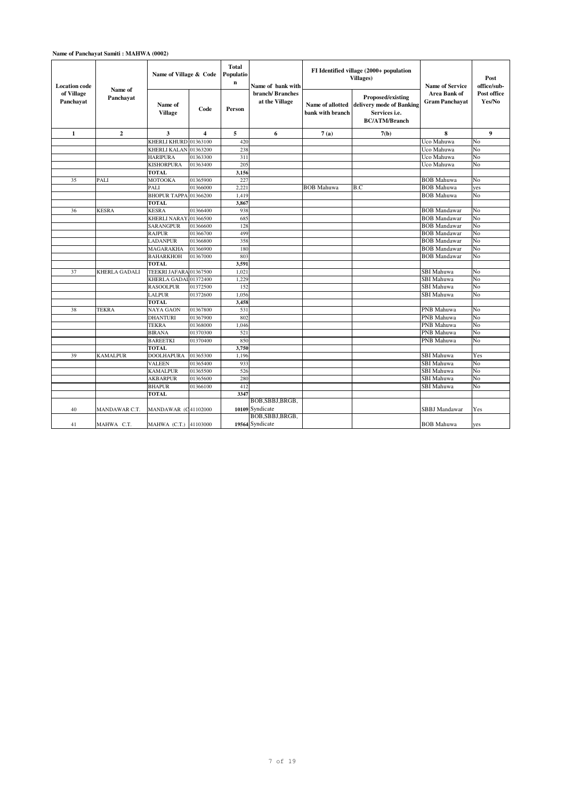### **Name of Panchayat Samiti : MAHWA (0002)**

| <b>Location code</b>    |                      | Name of Village & Code     |                         | <b>Total</b><br>Populatio<br>$\mathbf n$ | Name of bank with                   |                                      | FI Identified village (2000+ population<br>Villages)                                   | <b>Name of Service</b>                       | Post<br>office/sub-   |
|-------------------------|----------------------|----------------------------|-------------------------|------------------------------------------|-------------------------------------|--------------------------------------|----------------------------------------------------------------------------------------|----------------------------------------------|-----------------------|
| of Village<br>Panchavat | Name of<br>Panchavat | Name of<br><b>Village</b>  | Code                    | Person                                   | branch/Branches<br>at the Village   | Name of allotted<br>bank with branch | Proposed/existing<br>delivery mode of Banking<br>Services i.e.<br><b>BC/ATM/Branch</b> | <b>Area Bank of</b><br><b>Gram Panchavat</b> | Post office<br>Yes/No |
| $\mathbf{1}$            | $\mathbf{2}$         | 3                          | $\overline{\mathbf{4}}$ | 5                                        | 6                                   | 7(a)                                 | 7(b)                                                                                   | 8                                            | $\boldsymbol{9}$      |
|                         |                      | <b>KHERLI KHURD</b>        | 01363100                | 420                                      |                                     |                                      |                                                                                        | Uco Mahuwa                                   | No                    |
|                         |                      | <b>KHERLI KALAN</b>        | 01363200                | 238                                      |                                     |                                      |                                                                                        | Uco Mahuwa                                   | No                    |
|                         |                      | <b>HARIPURA</b>            | 01363300                | 311                                      |                                     |                                      |                                                                                        | Uco Mahuwa                                   | No                    |
|                         |                      | <b>KISHORPURA</b>          | 01363400                | 205                                      |                                     |                                      |                                                                                        | Uco Mahuwa                                   | No                    |
|                         |                      | <b>TOTAL</b>               |                         | 3,156                                    |                                     |                                      |                                                                                        |                                              |                       |
| 35                      | PALI                 | MOTOOKA                    | 01365900                | 227                                      |                                     |                                      |                                                                                        | <b>BOB</b> Mahuwa                            | No                    |
|                         |                      | PALI                       | 01366000                | 2,221                                    |                                     | BOB Mahuwa                           | B.C                                                                                    | <b>BOB</b> Mahuwa                            | yes                   |
|                         |                      | <b>BHOPUR TAPPA</b>        | 01366200                | 1,419                                    |                                     |                                      |                                                                                        | <b>BOB</b> Mahuwa                            | No                    |
|                         |                      | <b>TOTAL</b>               |                         | 3,867                                    |                                     |                                      |                                                                                        |                                              |                       |
| 36                      | <b>KESRA</b>         | <b>KESRA</b>               | 01366400                | 938                                      |                                     |                                      |                                                                                        | <b>BOB</b> Mandawar                          | No                    |
|                         |                      | KHERLI NARAY 01366500      |                         | 685                                      |                                     |                                      |                                                                                        | <b>BOB</b> Mandawar                          | No                    |
|                         |                      | SARANGPUR                  | 01366600                | 128                                      |                                     |                                      |                                                                                        | <b>BOB</b> Mandawar                          | No                    |
|                         |                      | <b>RAJPUR</b>              | 01366700                | 499                                      |                                     |                                      |                                                                                        | <b>BOB</b> Mandawar                          | No                    |
|                         |                      | <b>LADANPUR</b>            | 01366800                | 358                                      |                                     |                                      |                                                                                        | <b>BOB</b> Mandawar                          | No                    |
|                         |                      | MAGARAKHA                  | 01366900                | 180                                      |                                     |                                      |                                                                                        | <b>BOB</b> Mandawar                          | No                    |
|                         |                      | <b>BAHARKHOH</b>           | 01367000                | 803                                      |                                     |                                      |                                                                                        | <b>BOB</b> Mandawar                          | No                    |
|                         |                      | <b>TOTAL</b>               |                         | 3,591                                    |                                     |                                      |                                                                                        |                                              |                       |
| 37                      | KHERLA GADALI        | TEEKRI JAFARA 01367500     |                         | 1,021                                    |                                     |                                      |                                                                                        | <b>SBI</b> Mahuwa                            | No                    |
|                         |                      | KHERLA GADAL 01372400      |                         | 1,229                                    |                                     |                                      |                                                                                        | <b>SBI</b> Mahuwa                            | No                    |
|                         |                      | <b>RASOOLPUR</b>           | 01372500                | 152                                      |                                     |                                      |                                                                                        | <b>SBI</b> Mahuwa                            | No                    |
|                         |                      | <b>LALPUR</b>              | 01372600                | 1,056                                    |                                     |                                      |                                                                                        | SBI Mahuwa                                   | No                    |
|                         |                      | <b>TOTAL</b>               |                         | 3,458                                    |                                     |                                      |                                                                                        |                                              |                       |
| 38                      | TEKRA                | NAYA GAON                  | 01367800                | 531                                      |                                     |                                      |                                                                                        | PNB Mahuwa                                   | No                    |
|                         |                      | <b>DHANTURI</b>            | 01367900                | 802                                      |                                     |                                      |                                                                                        | PNB Mahuwa                                   | No                    |
|                         |                      | <b>TEKRA</b>               | 01368000                | 1.046                                    |                                     |                                      |                                                                                        | PNB Mahuwa                                   | No                    |
|                         |                      | <b>BIRANA</b>              | 01370300                | 521                                      |                                     |                                      |                                                                                        | <b>PNB</b> Mahuwa                            | No                    |
|                         |                      | <b>BAREETKI</b>            | 01370400                | 850                                      |                                     |                                      |                                                                                        | PNB Mahuwa                                   | No                    |
|                         |                      | <b>TOTAL</b>               |                         | 3,750                                    |                                     |                                      |                                                                                        |                                              |                       |
| 39                      | <b>KAMALPUR</b>      | <b>DOOLHAPURA</b>          | 01365300                | 1,196                                    |                                     |                                      |                                                                                        | <b>SBI</b> Mahuwa                            | Yes                   |
|                         |                      | <b>VALEEN</b>              | 01365400                | 933                                      |                                     |                                      |                                                                                        | <b>SBI Mahuwa</b>                            | No                    |
|                         |                      | <b>KAMALPUR</b>            | 01365500                | 526                                      |                                     |                                      |                                                                                        | <b>SBI Mahuwa</b>                            | No                    |
|                         |                      | <b>AKBARPUR</b>            | 01365600                | 280                                      |                                     |                                      |                                                                                        | SBI Mahuwa                                   | No                    |
|                         |                      | <b>BHAPUR</b>              | 01366100                | 412                                      |                                     |                                      |                                                                                        | SBI Mahuwa                                   | No                    |
|                         |                      | <b>TOTAL</b>               |                         | 3347                                     |                                     |                                      |                                                                                        |                                              |                       |
| 40                      | MANDAWAR C.T.        | <b>MANDAWAR (C41102000</b> |                         |                                          | BOB, SBBJ, BRGB,<br>10109 Syndicate |                                      |                                                                                        | <b>SBBJ</b> Mandawar                         | Yes                   |
| 41                      | MAHWA C.T.           | MAHWA (C.T.) 41103000      |                         |                                          | BOB, SBBJ, BRGB,<br>19564 Syndicate |                                      |                                                                                        | <b>BOB</b> Mahuwa                            | yes                   |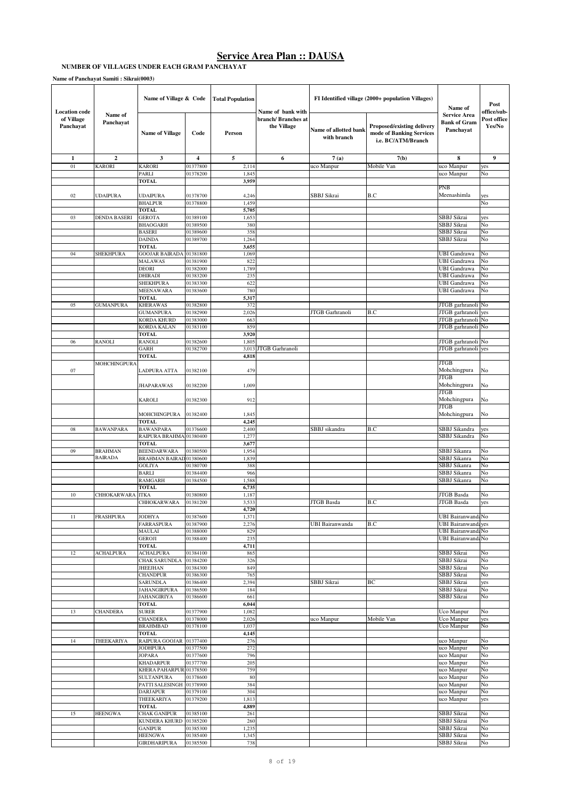#### **NUMBER OF VILLAGES UNDER EACH GRAM PANCHAYAT**

**Name of Panchayat Samiti : Sikrai(0003)**

|                                                 |                      | Name of Village & Code                      |                         | <b>Total Population</b> |                                                         |                                      | FI Identified village (2000+ population Villages)                            | Name of                                                 | Post                                 |
|-------------------------------------------------|----------------------|---------------------------------------------|-------------------------|-------------------------|---------------------------------------------------------|--------------------------------------|------------------------------------------------------------------------------|---------------------------------------------------------|--------------------------------------|
| <b>Location</b> code<br>of Village<br>Panchayat | Name of<br>Panchayat | <b>Name of Village</b>                      | Code                    | Person                  | Name of bank with<br>branch/ Branches at<br>the Village | Name of allotted bank<br>with branch | Proposed/existing delivery<br>mode of Banking Services<br>i.e. BC/ATM/Branch | <b>Service Area</b><br><b>Bank of Gram</b><br>Panchayat | office/sub-<br>Post office<br>Yes/No |
| 1                                               | $\overline{2}$       | 3                                           | $\overline{\mathbf{4}}$ | 5                       | 6                                                       | 7(a)                                 | 7(b)                                                                         | 8                                                       | 9                                    |
| 01                                              | <b>KARORI</b>        | <b>KARORI</b>                               | 01377800                | 2,114                   |                                                         | uco Manpur                           | Mobile Van                                                                   | uco Manpur                                              | yes                                  |
|                                                 |                      | PARLI                                       | 01378200                | 1,845                   |                                                         |                                      |                                                                              | uco Manpur                                              | No                                   |
|                                                 |                      | <b>TOTAL</b>                                |                         | 3,959                   |                                                         |                                      |                                                                              | PNB                                                     |                                      |
| 02                                              | UDAIPURA             | <b>UDAIPURA</b>                             | 01378700                | 4,246                   |                                                         | SBBJ Sikrai                          | B.C                                                                          | Meenashimla                                             | yes                                  |
|                                                 |                      | <b>BHALPUR</b>                              | 01378800                | 1,459                   |                                                         |                                      |                                                                              |                                                         | No                                   |
|                                                 |                      | <b>TOTAL</b>                                |                         | 5,705                   |                                                         |                                      |                                                                              |                                                         |                                      |
| 03                                              | <b>DENDA BASERI</b>  | <b>GEROTA</b>                               | 01389100                | 1,653                   |                                                         |                                      |                                                                              | SBBJ Sikrai                                             | yes                                  |
|                                                 |                      | <b>BHAOGARH</b>                             | 01389500                | 380                     |                                                         |                                      |                                                                              | SBBJ Sikrai                                             | No                                   |
|                                                 |                      | <b>BASERI</b>                               | 01389600                | 358                     |                                                         |                                      |                                                                              | <b>SBBJ</b> Sikrai                                      | No                                   |
|                                                 |                      | <b>DAINDA</b>                               | 01389700                | 1,264                   |                                                         |                                      |                                                                              | SBBJ Sikrai                                             | No                                   |
| 04                                              | <b>SHEKHPURA</b>     | <b>TOTAL</b><br><b>GOOJAR BAIRADA</b>       | 01381800                | 3,655<br>1,069          |                                                         |                                      |                                                                              | <b>UBI</b> Gandrawa                                     | No                                   |
|                                                 |                      | <b>MALAWAS</b>                              | 01381900                | 822                     |                                                         |                                      |                                                                              | <b>UBI</b> Gandrawa                                     | No                                   |
|                                                 |                      | <b>DEORI</b>                                | 01382000                | 1,789                   |                                                         |                                      |                                                                              | <b>UBI</b> Gandrawa                                     | No                                   |
|                                                 |                      | <b>DHIRADI</b>                              | 01383200                | 235                     |                                                         |                                      |                                                                              | UBI Gandrawa                                            | No                                   |
|                                                 |                      | <b>SHEKHPURA</b>                            | 01383300                | 622                     |                                                         |                                      |                                                                              | <b>UBI</b> Gandrawa                                     | No                                   |
|                                                 |                      | <b>MEENAWARA</b>                            | 01383600                | 780                     |                                                         |                                      |                                                                              | <b>UBI</b> Gandrawa                                     | No                                   |
|                                                 |                      | <b>TOTAL</b>                                |                         | 5,317                   |                                                         |                                      |                                                                              |                                                         |                                      |
| 05                                              | <b>GUMANPURA</b>     | <b>KHERAWAS</b>                             | 01382800                | 372                     |                                                         |                                      |                                                                              | JTGB garhranoli                                         | No                                   |
|                                                 |                      | <b>GUMANPURA</b><br><b>KORDA KHURD</b>      | 01382900<br>01383000    | 2,026<br>663            |                                                         | JTGB Garhranoli                      | B.C                                                                          | JTGB garhranoli yes<br>JTGB garhranoli                  | No                                   |
|                                                 |                      | <b>KORDA KALAN</b>                          | 01383100                | 859                     |                                                         |                                      |                                                                              | JTGB garhranoli No                                      |                                      |
|                                                 |                      | <b>TOTAL</b>                                |                         | 3,920                   |                                                         |                                      |                                                                              |                                                         |                                      |
| 06                                              | <b>RANOLI</b>        | <b>RANOLI</b>                               | 01382600                | 1,805                   |                                                         |                                      |                                                                              | JTGB garhranoli No                                      |                                      |
|                                                 |                      | <b>GARH</b>                                 | 01382700                | 3,013                   | <b>JTGB</b> Garhranoli                                  |                                      |                                                                              | JTGB garhranoli                                         | yes                                  |
|                                                 |                      | <b>TOTAL</b>                                |                         | 4,818                   |                                                         |                                      |                                                                              |                                                         |                                      |
| 07                                              | MOHCHINGPURA         | LADPURA ATTA                                | 01382100                | 479                     |                                                         |                                      |                                                                              | <b>JTGB</b><br>Mohchingpura<br><b>JTGB</b>              | No                                   |
|                                                 |                      | <b>JHAPARAWAS</b>                           | 01382200                | 1,009                   |                                                         |                                      |                                                                              | Mohchingpura<br><b>JTGB</b>                             | No                                   |
|                                                 |                      | <b>KAROLI</b>                               | 01382300                | 912                     |                                                         |                                      |                                                                              | Mohchingpura<br><b>JTGB</b>                             | No                                   |
|                                                 |                      | MOHCHINGPURA                                | 01382400                | 1,845                   |                                                         |                                      |                                                                              | Mohchingpura                                            | No                                   |
|                                                 |                      | <b>TOTAL</b>                                |                         | 4,245                   |                                                         |                                      |                                                                              |                                                         |                                      |
| 08                                              | <b>BAWANPARA</b>     | <b>BAWANPARA</b><br>RAIPURA BRAHMAI01380400 | 01376600                | 2,400<br>1,277          |                                                         | SBBJ sikandra                        | B.C                                                                          | SBBJ Sikandra<br>SBBJ Sikandra                          | yes<br>No                            |
|                                                 |                      | <b>TOTAL</b>                                |                         | 3,677                   |                                                         |                                      |                                                                              |                                                         |                                      |
| 09                                              | <b>BRAHMAN</b>       | <b>BEENDARWARA</b>                          | 01380500                | 1,954                   |                                                         |                                      |                                                                              | SBBJ Sikanra                                            | No                                   |
|                                                 | <b>BAIRADA</b>       | BRAHMAN BAIRAD01380600                      |                         | 1,839                   |                                                         |                                      |                                                                              | SBBJ Sikanra                                            | No                                   |
|                                                 |                      | <b>GOLIYA</b>                               | 01380700                | 388                     |                                                         |                                      |                                                                              | <b>SBBJ</b> Sikanra                                     | No                                   |
|                                                 |                      | <b>BARLI</b>                                | 01384400                | 966                     |                                                         |                                      |                                                                              | SBBJ Sikanra<br>SBBJ Sikanra                            | No<br>No                             |
|                                                 |                      | <b>RAMGARH</b><br><b>TOTAL</b>              | 01384500                | 1,588<br>6,735          |                                                         |                                      |                                                                              |                                                         |                                      |
| 10                                              | <b>CHHOKARWARA</b>   | <b>ITKA</b>                                 | 01380800                | 1,187                   |                                                         |                                      |                                                                              | JTGB Basda                                              | No                                   |
|                                                 |                      | <b>CHHOKARWARA</b>                          | 01381200                | 3,533                   |                                                         | JTGB Basda                           | B.C                                                                          | <b>JTGB</b> Basda                                       | yes                                  |
|                                                 |                      |                                             |                         | 4,720                   |                                                         |                                      |                                                                              |                                                         |                                      |
| $11\,$                                          | <b>FRASHPURA</b>     | <b>JODHYA</b>                               | 01387600                | 1,371                   |                                                         |                                      |                                                                              | <b>UBI Bairanwand: No</b>                               |                                      |
|                                                 |                      | <b>FARRASPURA</b>                           | 01387900                | 2,276                   |                                                         | UBI Bairanwanda                      | B.C                                                                          | <b>UBI Bairanwandayes</b>                               |                                      |
|                                                 |                      | MAULAI<br><b>GEROJI</b>                     | 01388000<br>01388400    | 829<br>235              |                                                         |                                      |                                                                              | <b>UBI Bairanwand: No</b><br>UBI Bairanwand: No         |                                      |
|                                                 |                      | <b>TOTAL</b>                                |                         | 4,711                   |                                                         |                                      |                                                                              |                                                         |                                      |
| 12                                              | <b>ACHALPURA</b>     | <b>ACHALPURA</b>                            | 01384100                | 865                     |                                                         |                                      |                                                                              | SBBJ Sikrai                                             | No                                   |
|                                                 |                      | <b>CHAK SARUNDLA</b>                        | 01384200                | 326                     |                                                         |                                      |                                                                              | SBBJ Sikrai                                             | No                                   |
|                                                 |                      | <b>JHEEJHAN</b>                             | 01384300                | 849                     |                                                         |                                      |                                                                              | SBBJ Sikrai                                             | No                                   |
|                                                 |                      | <b>CHANDPUR</b>                             | 01386300                | 765                     |                                                         |                                      |                                                                              | SBBJ Sikrai                                             | No                                   |
|                                                 |                      | <b>SARUNDLA</b><br><b>JAHANGIRPURA</b>      | 01386400<br>01386500    | 2,394<br>184            |                                                         | SBBJ Sikrai                          | BС                                                                           | SBBJ Sikrai<br>SBBJ Sikrai                              | yes<br>No                            |
|                                                 |                      | <b>JAHANGIRIYA</b>                          | 01386600                | 661                     |                                                         |                                      |                                                                              | SBBJ Sikrai                                             | No                                   |
|                                                 |                      | <b>TOTAL</b>                                |                         | 6,044                   |                                                         |                                      |                                                                              |                                                         |                                      |
| 13                                              | <b>CHANDERA</b>      | <b>SURER</b>                                | 01377900                | 1,082                   |                                                         |                                      |                                                                              | Uco Manpur                                              | No                                   |
|                                                 |                      | <b>CHANDERA</b>                             | 01378000                | 2,026                   |                                                         | uco Manpur                           | Mobile Van                                                                   | Uco Manpur                                              | yes                                  |
|                                                 |                      | <b>BRAHMBAD</b>                             | 01378100                | 1,037                   |                                                         |                                      |                                                                              | Uco Manpur                                              | No                                   |
|                                                 |                      | <b>TOTAL</b>                                |                         | 4,145                   |                                                         |                                      |                                                                              |                                                         |                                      |
| 14                                              | THEEKARIYA           | RAIPURA GOOJAR 01377400<br><b>JODHPURA</b>  | 01377500                | 276<br>272              |                                                         |                                      |                                                                              | uco Manpur<br>uco Manpur                                | No<br>No                             |
|                                                 |                      | <b>JOPARA</b>                               | 01377600                | 796                     |                                                         |                                      |                                                                              | uco Manpur                                              | No                                   |
|                                                 |                      | <b>KHADARPUR</b>                            | 01377700                | 205                     |                                                         |                                      |                                                                              | uco Manpur                                              | No                                   |
|                                                 |                      | KHERA PAHARPUR 01378500                     |                         | 759                     |                                                         |                                      |                                                                              | uco Manpur                                              | No                                   |
|                                                 |                      | <b>SULTANPURA</b>                           | 01378600                | 80                      |                                                         |                                      |                                                                              | uco Manpur                                              | No                                   |
|                                                 |                      | PATTI SALESINGH 01378900                    |                         | 384                     |                                                         |                                      |                                                                              | uco Manpur                                              | No                                   |
|                                                 |                      | <b>DARJAPUR</b>                             | 01379100                | 304                     |                                                         |                                      |                                                                              | uco Manpur                                              | No                                   |
|                                                 |                      | THEEKARIYA<br><b>TOTAL</b>                  | 01379200                | 1,813<br>4,889          |                                                         |                                      |                                                                              | uco Manpur                                              | yes                                  |
| 15                                              | <b>HEENGWA</b>       | <b>CHAK GANIPUR</b>                         | 01385100                | 261                     |                                                         |                                      |                                                                              | SBBJ Sikrai                                             | No                                   |
|                                                 |                      | KUNDERA KHURD                               | 01385200                | 260                     |                                                         |                                      |                                                                              | SBBJ Sikrai                                             | No                                   |
|                                                 |                      | <b>GANIPUR</b>                              | 01385300                | 1,235                   |                                                         |                                      |                                                                              | SBBJ Sikrai                                             | No                                   |
|                                                 |                      | <b>HEENGWA</b>                              | 01385400                | 1,345                   |                                                         |                                      |                                                                              | SBBJ Sikrai                                             | No                                   |
|                                                 |                      | <b>GIRDHARIPURA</b>                         | 01385500                | 738                     |                                                         |                                      |                                                                              | SBBJ Sikrai                                             | No                                   |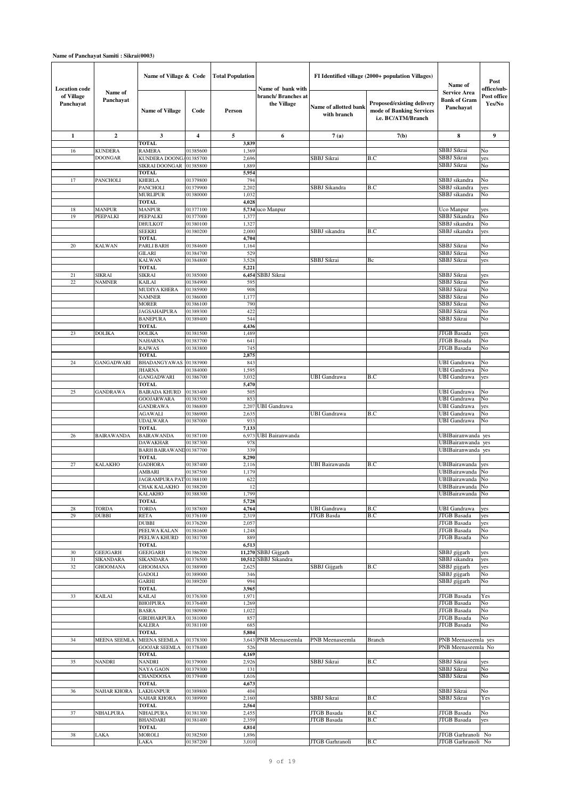### **Name of Panchayat Samiti : Sikrai(0003)**

| <b>Location</b> code    |                                  | Name of Village & Code                            |                      | <b>Total Population</b> | Name of bank with                  |                                      | FI Identified village (2000+ population Villages)                                   | Name of                                                 | Post<br>office/sub-   |
|-------------------------|----------------------------------|---------------------------------------------------|----------------------|-------------------------|------------------------------------|--------------------------------------|-------------------------------------------------------------------------------------|---------------------------------------------------------|-----------------------|
| of Village<br>Panchayat | Name of<br>Panchayat             | <b>Name of Village</b>                            | Code                 | Person                  | branch/ Branches at<br>the Village | Name of allotted bank<br>with branch | <b>Proposed/existing delivery</b><br>mode of Banking Services<br>i.e. BC/ATM/Branch | <b>Service Area</b><br><b>Bank of Gram</b><br>Panchayat | Post office<br>Yes/No |
| 1                       | $\boldsymbol{2}$                 | 3                                                 | 4                    | $\sqrt{5}$              | 6                                  | 7(a)                                 | 7(b)                                                                                | 8                                                       | $\boldsymbol{9}$      |
|                         |                                  | <b>TOTAL</b>                                      |                      | 3,839                   |                                    |                                      |                                                                                     |                                                         |                       |
| 16                      | <b>KUNDERA</b><br><b>DOONGAR</b> | <b>RAMERA</b>                                     | 01385600             | 1,369                   |                                    |                                      |                                                                                     | SBBJ Sikrai<br>SBBJ Sikrai                              | No                    |
|                         |                                  | KUNDERA DOONGA01385700<br>SIKRAI DOONGAR 01385800 |                      | 2,696<br>1,889          |                                    | SBBJ Sikrai                          | B.C                                                                                 | SBBJ Sikrai                                             | yes<br>No             |
|                         |                                  | <b>TOTAL</b>                                      |                      | 5,954                   |                                    |                                      |                                                                                     |                                                         |                       |
| 17                      | PANCHOLI                         | <b>KHERLA</b>                                     | 01379800             | 794                     |                                    |                                      |                                                                                     | SBBJ sikandra                                           | No                    |
|                         |                                  | <b>PANCHOLI</b>                                   | 01379900             | 2,202                   |                                    | SBBJ Sikandra                        | B.C                                                                                 | SBBJ sikandra                                           | yes                   |
|                         |                                  | <b>MURLIPUR</b>                                   | 01380000             | 1,032                   |                                    |                                      |                                                                                     | SBBJ sikandra                                           | No                    |
|                         |                                  | <b>TOTAL</b>                                      |                      | 4,028                   |                                    |                                      |                                                                                     |                                                         |                       |
| 18                      | <b>MANPUR</b>                    | <b>MANPUR</b>                                     | 01377100             |                         | 5,734 uco Manpur                   |                                      |                                                                                     | Uco Manpur                                              | yes                   |
| 19                      | PEEPALKI                         | PEEPALKI                                          | 01377000             | 1,377                   |                                    |                                      |                                                                                     | SBBJ Sikandra                                           | No                    |
|                         |                                  | <b>DHULKOT</b><br><b>SEEKRI</b>                   | 01380100<br>01380200 | 1,327<br>2,000          |                                    | SBBJ sikandra                        | B.C                                                                                 | SBBJ sikandra<br>SBBJ sikandra                          | No<br>yes             |
|                         |                                  | <b>TOTAL</b>                                      |                      | 4,704                   |                                    |                                      |                                                                                     |                                                         |                       |
| $20\,$                  | <b>KALWAN</b>                    | PARLI BARH                                        | 01384600             | 1,164                   |                                    |                                      |                                                                                     | SBBJ Sikrai                                             | No                    |
|                         |                                  | <b>GILARI</b>                                     | 01384700             | 529                     |                                    |                                      |                                                                                     | SBBJ Sikrai                                             | No                    |
|                         |                                  | <b>KALWAN</b>                                     | 01384800             | 3,528                   |                                    | SBBJ Sikrai                          | Bc                                                                                  | SBBJ Sikrai                                             | yes                   |
|                         |                                  | <b>TOTAL</b>                                      |                      | 5,221                   |                                    |                                      |                                                                                     |                                                         |                       |
| 21                      | SIKRAI                           | <b>SIKRAI</b>                                     | 01385000             | 6,454                   | SBBJ Sikrai                        |                                      |                                                                                     | SBBJ Sikrai                                             | yes                   |
| 22                      | <b>NAMNER</b>                    | <b>KAILAI</b><br><b>MUDIYA KHERA</b>              | 01384900<br>01385900 | 595<br>908              |                                    |                                      |                                                                                     | SBBJ Sikrai<br>SBBJ Sikrai                              | No<br>No              |
|                         |                                  | <b>NAMNER</b>                                     | 01386000             | 1,177                   |                                    |                                      |                                                                                     | SBBJ Sikrai                                             | No                    |
|                         |                                  | <b>MORER</b>                                      | 01386100             | 790                     |                                    |                                      |                                                                                     | SBBJ Sikrai                                             | No                    |
|                         |                                  | <b>JAGSAHAIPURA</b>                               | 01389300             | 422                     |                                    |                                      |                                                                                     | SBBJ Sikrai                                             | No                    |
|                         |                                  | <b>BANEPURA</b>                                   | 01389400             | 544                     |                                    |                                      |                                                                                     | SBBJ Sikrai                                             | No                    |
|                         |                                  | <b>TOTAL</b>                                      |                      | 4,436                   |                                    |                                      |                                                                                     |                                                         |                       |
| 23                      | DOLIKA                           | <b>DOLIKA</b>                                     | 01381500             | 1,489                   |                                    |                                      |                                                                                     | <b>JTGB</b> Basada                                      | yes                   |
|                         |                                  | <b>NAHARNA</b>                                    | 01383700             | 641                     |                                    |                                      |                                                                                     | JTGB Basada                                             | No                    |
|                         |                                  | <b>RAJWAS</b><br><b>TOTAL</b>                     | 01383800             | 745                     |                                    |                                      |                                                                                     | <b>JTGB</b> Basada                                      | No                    |
| 24                      | GANGADWARI                       | BHADANGYAWAS                                      | 01383900             | 2,875<br>843            |                                    |                                      |                                                                                     | UBI Gandrawa                                            | No                    |
|                         |                                  | <b>JHARNA</b>                                     | 01384000             | 1,595                   |                                    |                                      |                                                                                     | UBI Gandrawa                                            | No                    |
|                         |                                  | <b>GANGADWARI</b>                                 | 01386700             | 3,032                   |                                    | <b>UBI Gandrawa</b>                  | B.C                                                                                 | UBI Gandrawa                                            | yes                   |
|                         |                                  | <b>TOTAL</b>                                      |                      | 5,470                   |                                    |                                      |                                                                                     |                                                         |                       |
| $25\,$                  | GANDRAWA                         | <b>BAIRADA KHURD</b>                              | 01383400             | 505                     |                                    |                                      |                                                                                     | UBI Gandrawa                                            | No                    |
|                         |                                  | <b>GOOJARWARA</b>                                 | 01383500             | 853                     |                                    |                                      |                                                                                     | <b>UBI</b> Gandrawa                                     | No                    |
|                         |                                  | <b>GANDRAWA</b>                                   | 01386800             | 2,207                   | UBI Gandrawa                       |                                      |                                                                                     | UBI Gandrawa                                            | yes                   |
|                         |                                  | <b>AGAWALI</b><br><b>UDALWARA</b>                 | 01386900<br>01387000 | 2,635<br>933            |                                    | <b>UBI Gandrawa</b>                  | B.C                                                                                 | UBI Gandrawa<br>UBI Gandrawa                            | No<br>No              |
|                         |                                  | <b>TOTAL</b>                                      |                      | 7,133                   |                                    |                                      |                                                                                     |                                                         |                       |
| 26                      | BAIRAWANDA                       | <b>BAIRAWANDA</b>                                 | 01387100             | 6,973                   | <b>UBI Bairanwanda</b>             |                                      |                                                                                     | UBIBairanwanda yes                                      |                       |
|                         |                                  | <b>DAWAKHAR</b>                                   | 01387300             | 978                     |                                    |                                      |                                                                                     | UBIBairanwanda yes                                      |                       |
|                         |                                  | <b>BARH BAIRAWAND01387700</b>                     |                      | 339                     |                                    |                                      |                                                                                     | UBIBairanwanda yes                                      |                       |
|                         |                                  | <b>TOTAL</b>                                      |                      | 8,290                   |                                    |                                      |                                                                                     |                                                         |                       |
| $27\,$                  | <b>KALAKHO</b>                   | <b>GADHORA</b>                                    | 01387400             | 2,116                   |                                    | <b>UBI Bairawanda</b>                | B.C                                                                                 | UBIBairawanda                                           | yes                   |
|                         |                                  | AMBARI<br>JAGRAMPURA PAT <sup>1</sup> 01388100    | 01387500             | 1,179<br>622            |                                    |                                      |                                                                                     | UBIBairawanda<br>UBIBairawanda No                       | No                    |
|                         |                                  | CHAK KALAKHO 01388200                             |                      |                         |                                    |                                      |                                                                                     | UBIBairawanda No                                        |                       |
|                         |                                  | <b>KALAKHO</b>                                    | 01388300             | 1,799                   |                                    |                                      |                                                                                     | UBIBairawanda No                                        |                       |
|                         |                                  | <b>TOTAL</b>                                      |                      | 5,728                   |                                    |                                      |                                                                                     |                                                         |                       |
| 28                      | <b>TORDA</b>                     | <b>TORDA</b>                                      | 01387800             | 4,764                   |                                    | <b>UBI</b> Gandrawa                  | B.C                                                                                 | UBI Gandrawa                                            | yes                   |
| 29                      | <b>DUBBI</b>                     | <b>RETA</b>                                       | 01376100             | 2,319                   |                                    | JTGB Basda                           | B.C                                                                                 | <b>JTGB</b> Basada                                      | yes                   |
|                         |                                  | <b>DUBBI</b>                                      | 01376200             | 2,057                   |                                    |                                      |                                                                                     | <b>JTGB</b> Basada                                      | yes                   |
|                         |                                  | PEELWA KALAN<br>PEELWA KHURD                      | 01381600<br>01381700 | 1,248<br>889            |                                    |                                      |                                                                                     | JTGB Basada<br><b>JTGB</b> Basada                       | No<br>No              |
|                         |                                  | <b>TOTAL</b>                                      |                      | 6,513                   |                                    |                                      |                                                                                     |                                                         |                       |
| 30                      | <b>GEEJGARH</b>                  | <b>GEEJGARH</b>                                   | 01386200             |                         | 11,270 SBBJ Gijgarh                |                                      |                                                                                     | SBBJ gijgarh                                            | yes                   |
| 31                      | SIKANDARA                        | <b>SIKANDARA</b>                                  | 01376500             | 10,512                  | SBBJ Sikandra                      |                                      |                                                                                     | SBBJ sikandra                                           | yes                   |
| 32                      | GHOOMANA                         | <b>GHOOMANA</b>                                   | 01388900             | 2,625                   |                                    | SBBJ Gijgarh                         | B.C                                                                                 | SBBJ gijgarh                                            | yes                   |
|                         |                                  | <b>GADOLI</b>                                     | 01389000             | 346                     |                                    |                                      |                                                                                     | SBBJ gijgarh                                            | No                    |
|                         |                                  | <b>GARHI</b>                                      | 01389200             | 994                     |                                    |                                      |                                                                                     | SBBJ gijgarh                                            | No                    |
| 33                      | KAILAI                           | <b>TOTAL</b><br><b>KAILAI</b>                     | 01376300             | 3,965<br>1,971          |                                    |                                      |                                                                                     | <b>JTGB</b> Basada                                      | Yes                   |
|                         |                                  | <b>BHOJPURA</b>                                   | 01376400             | 1,269                   |                                    |                                      |                                                                                     | JTGB Basada                                             | No                    |
|                         |                                  | <b>BASRA</b>                                      | 01380900             | 1,022                   |                                    |                                      |                                                                                     | <b>JTGB</b> Basada                                      | No                    |
|                         |                                  | <b>GIRDHARPURA</b>                                | 01381000             | 857                     |                                    |                                      |                                                                                     | JTGB Basada                                             | No                    |
|                         |                                  | <b>KALERA</b>                                     | 01381100             | 685                     |                                    |                                      |                                                                                     | <b>JTGB</b> Basada                                      | No                    |
|                         |                                  | <b>TOTAL</b>                                      |                      | 5,804                   |                                    |                                      |                                                                                     |                                                         |                       |
| 34                      | MEENA SEEMLA                     | <b>MEENA SEEMLA</b><br><b>GOOJAR SEEMLA</b>       | 01378300             | 3,643                   | PNB Meenaseemla                    | PNB Meenaseemla                      | Branch                                                                              | PNB Meenaseemla yes                                     |                       |
|                         |                                  | TOTAL                                             | 01378400             | 526<br>4,169            |                                    |                                      |                                                                                     | PNB Meenaseemla No                                      |                       |
| 35                      | NANDRI                           | <b>NANDRI</b>                                     | 01379000             | 2,926                   |                                    | SBBJ Sikrai                          | B.C                                                                                 | SBBJ Sikrai                                             | yes                   |
|                         |                                  | <b>NAYA GAON</b>                                  | 01379300             | 131                     |                                    |                                      |                                                                                     | SBBJ Sikrai                                             | No                    |
|                         |                                  | <b>CHANDOOSA</b>                                  | 01379400             | 1,616                   |                                    |                                      |                                                                                     | SBBJ Sikrai                                             | No                    |
|                         |                                  | <b>TOTAL</b>                                      |                      | 4,673                   |                                    |                                      |                                                                                     |                                                         |                       |
| 36                      | NAHAR KHORA                      | <b>LAKHANPUR</b>                                  | 01389800             | 404                     |                                    |                                      |                                                                                     | SBBJ Sikrai                                             | No                    |
|                         |                                  | <b>NAHAR KHORA</b>                                | 01389900             | 2,160                   |                                    | SBBJ Sikrai                          | B.C                                                                                 | SBBJ Sikrai                                             | Yes                   |
| 37                      | NIHALPURA                        | TOTAL<br>NIHALPURA                                | 01381300             | 2,564<br>2,455          |                                    | JTGB Basada                          | B.C                                                                                 | <b>JTGB</b> Basada                                      | No                    |
|                         |                                  | <b>BHANDARI</b>                                   | 01381400             | 2,359                   |                                    | JTGB Basada                          | B.C                                                                                 | <b>JTGB</b> Basada                                      | yes                   |
|                         |                                  | <b>TOTAL</b>                                      |                      | 4,814                   |                                    |                                      |                                                                                     |                                                         |                       |
| $38\,$                  | LAKA                             | <b>MOROLI</b>                                     | 01382500             | 1,896                   |                                    |                                      |                                                                                     | JTGB Garhranoli No                                      |                       |
|                         |                                  | LAKA                                              | 01387200             | 3,010                   |                                    | JTGB Garhranoli                      | B.C                                                                                 | JTGB Garhranoli No                                      |                       |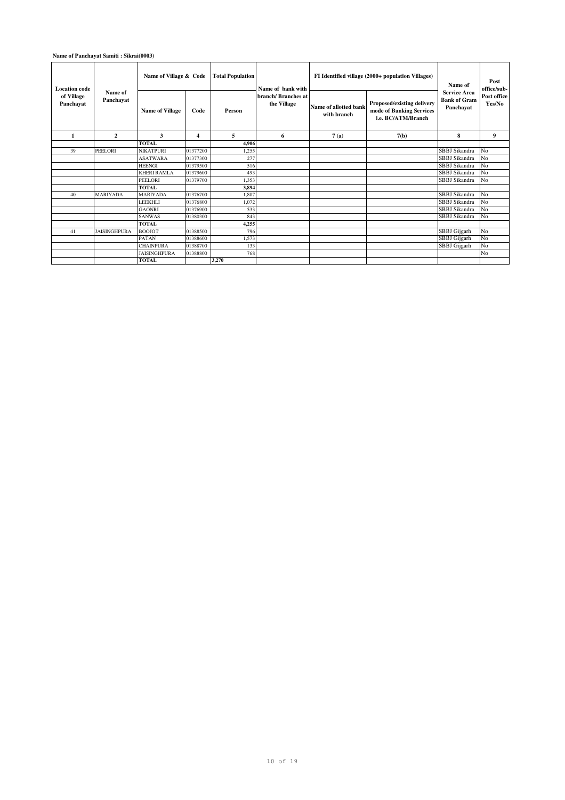### **Name of Panchayat Samiti : Sikrai(0003)**

| <b>Location</b> code<br>of Village | Name of             | Name of Village & Code |          | <b>Total Population</b> | Name of bank with                 | FI Identified village (2000+ population Villages) | Name of<br><b>Service Area</b>                                               | Post<br>office/sub-              |                       |
|------------------------------------|---------------------|------------------------|----------|-------------------------|-----------------------------------|---------------------------------------------------|------------------------------------------------------------------------------|----------------------------------|-----------------------|
| Panchayat                          | Panchayat           | <b>Name of Village</b> | Code     | Person                  | branch/Branches at<br>the Village | Name of allotted bank<br>with branch              | Proposed/existing delivery<br>mode of Banking Services<br>i.e. BC/ATM/Branch | <b>Bank of Gram</b><br>Panchavat | Post office<br>Yes/No |
| 1                                  | $\overline{2}$      | 3                      | 4        | 5                       | 6                                 | 7(a)                                              | 7(b)                                                                         | 8                                | 9                     |
|                                    |                     | TOTAL                  |          | 4.906                   |                                   |                                                   |                                                                              |                                  |                       |
| 39                                 | <b>PEELORI</b>      | <b>NIKATPURI</b>       | 01377200 | 1,255                   |                                   |                                                   |                                                                              | SBBJ Sikandra                    | No                    |
|                                    |                     | <b>ASATWARA</b>        | 01377300 | 277                     |                                   |                                                   |                                                                              | SBBJ Sikandra                    | N <sub>0</sub>        |
|                                    |                     | <b>HEENGI</b>          | 01379500 | 516                     |                                   |                                                   |                                                                              | SBBJ Sikandra                    | No                    |
|                                    |                     | <b>KHERI RAMLA</b>     | 01379600 | 493                     |                                   |                                                   |                                                                              | SBBJ Sikandra                    | N <sub>o</sub>        |
|                                    |                     | <b>PEELORI</b>         | 01379700 | 1,353                   |                                   |                                                   |                                                                              | SBBJ Sikandra                    | No                    |
|                                    |                     | TOTAL                  |          | 3.894                   |                                   |                                                   |                                                                              |                                  |                       |
| 40                                 | <b>MARIYADA</b>     | <b>MARIYADA</b>        | 01376700 | 1.807                   |                                   |                                                   |                                                                              | SBBJ Sikandra                    | No                    |
|                                    |                     | <b>LEEKHLI</b>         | 01376800 | 1,072                   |                                   |                                                   |                                                                              | SBBJ Sikandra                    | No                    |
|                                    |                     | <b>GAONRI</b>          | 01376900 | 533                     |                                   |                                                   |                                                                              | SBBJ Sikandra                    | N <sub>0</sub>        |
|                                    |                     | <b>SANWAS</b>          | 01380300 | 843                     |                                   |                                                   |                                                                              | SBBJ Sikandra                    | No                    |
|                                    |                     | <b>TOTAL</b>           |          | 4,255                   |                                   |                                                   |                                                                              |                                  |                       |
| 41                                 | <b>JAISINGHPURA</b> | <b>BOOJOT</b>          | 01388500 | 796                     |                                   |                                                   |                                                                              | SBBJ Gijgarh                     | No                    |
|                                    |                     | <b>PATAN</b>           | 01388600 | 1.573                   |                                   |                                                   |                                                                              | SBBJ Gijgarh                     | No                    |
|                                    |                     | <b>CHAINPURA</b>       | 01388700 | 133                     |                                   |                                                   |                                                                              | SBBJ Gijgarh                     | No                    |
|                                    |                     | <b>JAISINGHPURA</b>    | 01388800 | 768                     |                                   |                                                   |                                                                              |                                  | No                    |
|                                    |                     | <b>TOTAL</b>           |          | 3,270                   |                                   |                                                   |                                                                              |                                  |                       |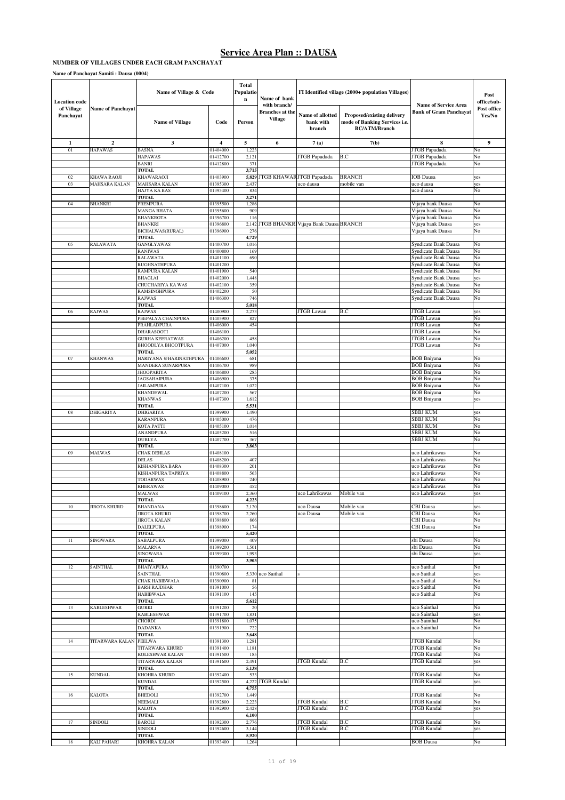#### **NUMBER OF VILLAGES UNDER EACH GRAM PANCHAYAT**

#### **Name of Panchayat Samiti : Dausa (0004)**

| <b>Location</b> code    |                          | Name of Village & Code                      |                      | <b>Total</b><br>Populatio<br>$\bf n$ | Name of bank                                             |                                         | FI Identified village (2000+ population Villages)                                   |                                                       | Post<br>office/sub-   |
|-------------------------|--------------------------|---------------------------------------------|----------------------|--------------------------------------|----------------------------------------------------------|-----------------------------------------|-------------------------------------------------------------------------------------|-------------------------------------------------------|-----------------------|
| of Village<br>Panchayat | <b>Name of Panchayat</b> | <b>Name of Village</b>                      | Code                 | Person                               | with branch/<br><b>Branches</b> at the<br><b>Village</b> | Name of allotted<br>bank with<br>branch | Proposed/existing delivery<br>mode of Banking Services i.e.<br><b>BC/ATM/Branch</b> | <b>Name of Service Area</b><br>Bank of Gram Panchayat | Post office<br>Yes/No |
| $\mathbf{1}$            | $\mathbf{2}$             | $\mathbf{3}$                                | $\overline{4}$       | 5                                    | 6                                                        | 7(a)                                    | 7(b)                                                                                | 8                                                     | 9                     |
| 01                      | <b>HAPAWAS</b>           | <b>BASNA</b>                                | 01404000             | 1,223                                |                                                          |                                         |                                                                                     | JTGB Papadada                                         | No                    |
|                         |                          | <b>HAPAWAS</b><br><b>BANRI</b>              | 01412700<br>01412800 | 2,121<br>371                         |                                                          | JTGB Papadada                           | B.C                                                                                 | JTGB Papadada<br>JTGB Papadada                        | No<br>No              |
|                         |                          | TOTAL                                       |                      | 3,715                                |                                                          |                                         |                                                                                     |                                                       |                       |
| 02                      | KHAWA RAOJI              | KHAWARAOJI                                  | 01403900             | 5,829                                |                                                          | JTGB KHAWAR JTGB Papadada               | <b>BRANCH</b>                                                                       | <b>IOB</b> Dausa                                      | yes                   |
| 03                      | MAHSARA KALAN            | MAHSARA KALAN                               | 01395300             | 2,437                                |                                                          | uco dausa                               | mobile van                                                                          | uco dausa                                             | yes                   |
|                         |                          | HAJYA KA BAS<br>TOTAL                       | 01395400             | 834<br>3,271                         |                                                          |                                         |                                                                                     | uco dausa                                             | No                    |
| 04                      | <b>BHANKRI</b>           | PREMPURA                                    | 01395500             | 1,286                                |                                                          |                                         |                                                                                     | Vijaya bank Dausa                                     | No                    |
|                         |                          | MANGA BHATA                                 | 01395600             | 909                                  |                                                          |                                         |                                                                                     | Vijaya bank Dausa                                     | No                    |
|                         |                          | <b>BHANKROTA</b>                            | 01396700             | 116                                  |                                                          |                                         |                                                                                     | Vijaya bank Dausa                                     | No                    |
|                         |                          | BHANKRI<br>BICHALWAS(RURAL)                 | 01396800<br>01396900 | 2,142<br>276                         | <b>TGB BHANKR</b>                                        | Vijaya Bank Dausa BRANCH                |                                                                                     | Vijaya bank Dausa<br>Vijaya bank Dausa                | yes<br>No             |
|                         |                          | TOTAL                                       |                      | 4,729                                |                                                          |                                         |                                                                                     |                                                       |                       |
| 05                      | <b>RALAWATA</b>          | GANGLYAWAS                                  | 01400700             | 1,016                                |                                                          |                                         |                                                                                     | Syndicate Bank Dausa                                  | No                    |
|                         |                          | <b>RANIWAS</b>                              | 01400800             | 169                                  |                                                          |                                         |                                                                                     | Syndicate Bank Dausa                                  | No                    |
|                         |                          | <b>RALAWATA</b><br>RUGHNATHPURA             | 01401100<br>01401200 | 690                                  |                                                          |                                         |                                                                                     | Syndicate Bank Dausa<br>Syndicate Bank Dausa          | No<br>No              |
|                         |                          | RAMPURA KALAN                               | 01401900             | 540                                  |                                                          |                                         |                                                                                     | Syndicate Bank Dausa                                  | No                    |
|                         |                          | <b>BHAGLAI</b>                              | 01402000             | 1,448                                |                                                          |                                         |                                                                                     | Syndicate Bank Dausa                                  | yes                   |
|                         |                          | CHUCHARIYA KA WAS                           | 01402100             | 359                                  |                                                          |                                         |                                                                                     | Syndicate Bank Dausa                                  | No                    |
|                         |                          | RAMSINGHPURA<br>RAJWAS                      | 01402200<br>01406300 | 50<br>746                            |                                                          |                                         |                                                                                     | Syndicate Bank Dausa<br>Syndicate Bank Dausa          | No<br>No              |
|                         |                          | TOTAL                                       |                      | 5,018                                |                                                          |                                         |                                                                                     |                                                       |                       |
| 06                      | RAJWAS                   | <b>RAJWAS</b>                               | 01400900             | 2,27                                 |                                                          | <b>JTGB</b> Lawan                       | B.C                                                                                 | JTGB Lawan                                            | yes                   |
|                         |                          | PEEPALYA CHAINPURA                          | 01405900             | 827                                  |                                                          |                                         |                                                                                     | <b>JTGB</b> Lawan                                     | No                    |
|                         |                          | PRAHLADPURA<br><b>DHARASOOTI</b>            | 01406000<br>01406100 | 454                                  |                                                          |                                         |                                                                                     | <b>JTGB</b> Lawan<br><b>JTGB</b> Lawan                | No<br>No              |
|                         |                          | <b>GURHA KEERATWAS</b>                      | 01406200             | 458                                  |                                                          |                                         |                                                                                     | JTGB Lawan                                            | No                    |
|                         |                          | <b>BHOODLYA BHOOTPURA</b>                   | 01407000             | 1,040                                |                                                          |                                         |                                                                                     | <b>JTGB</b> Lawan                                     | No                    |
|                         |                          | <b>TOTAL</b>                                |                      | 5,052                                |                                                          |                                         |                                                                                     |                                                       |                       |
| 07                      | <b>KHANWAS</b>           | HARIYANA @HARINATHPURA<br>MANDERA SUNARPURA | 01406600<br>01406700 | 681<br>989                           |                                                          |                                         |                                                                                     | <b>BOB</b> Bniyana<br><b>BOB</b> Bniyana              | No<br>No              |
|                         |                          | <b>JHOOPARIYA</b>                           | 01406800             | 28:                                  |                                                          |                                         |                                                                                     | <b>BOB</b> Bniyana                                    | No                    |
|                         |                          | JAGSAHAIPURA                                | 01406900             | 375                                  |                                                          |                                         |                                                                                     | <b>BOB</b> Bniyana                                    | No                    |
|                         |                          | JAILAMPURA                                  | 01407100             | 1,022                                |                                                          |                                         |                                                                                     | <b>BOB</b> Bniyana                                    | No                    |
|                         |                          | <b>KHANDEWAL</b>                            | 01407200             | 567<br>1,612                         |                                                          |                                         |                                                                                     | <b>BOB</b> Bniyana                                    | No                    |
|                         |                          | <b>KHANWAS</b><br>TOTAL                     | 01407300             | 5,531                                |                                                          |                                         |                                                                                     | <b>BOB</b> Bniyana                                    | yes                   |
| 08                      | <b>DHIGARIYA</b>         | DHIGARIYA                                   | 01399900             | 1,490                                |                                                          |                                         |                                                                                     | SBBJ KUM                                              | yes                   |
|                         |                          | <b>KARANPURA</b>                            | 01405000             | 476                                  |                                                          |                                         |                                                                                     | SBBJ KUM                                              | No                    |
|                         |                          | KOTA PATTI                                  | 01405100             | 1,014                                |                                                          |                                         |                                                                                     | SBBJ KUM                                              | No                    |
|                         |                          | ANANDPURA<br><b>DUBLYA</b>                  | 01405200<br>01407700 | 516<br>367                           |                                                          |                                         |                                                                                     | <b>SBBJ KUM</b><br>SBBJ KUM                           | No<br>No              |
|                         |                          | <b>TOTAL</b>                                |                      | 3,863                                |                                                          |                                         |                                                                                     |                                                       |                       |
| 09                      | MALWAS                   | CHAK DEHLAS                                 | 01408100             |                                      |                                                          |                                         |                                                                                     | uco Lahrikawas                                        | No                    |
|                         |                          | <b>DELAS</b>                                | 01408200             | 407                                  |                                                          |                                         |                                                                                     | uco Lahrikawas                                        | No                    |
|                         |                          | KISHANPURA BARA<br>KISHANPURA TAPRIYA       | 01408300<br>01408800 | 201<br>563                           |                                                          |                                         |                                                                                     | uco Lahrikawas<br>uco Lahrikawas                      | No<br>No              |
|                         |                          | <b>TODARWAS</b>                             | 01408900             | 240                                  |                                                          |                                         |                                                                                     | uco Lahrikawas                                        | No                    |
|                         |                          | <b>KHERAWAS</b>                             | 01409000             | 452                                  |                                                          |                                         |                                                                                     | uco Lahrikawas                                        | No                    |
|                         |                          | <b>MALWAS</b>                               | 01409100             | 2,360                                |                                                          | uco Lahrikawas                          | Mobile van                                                                          | uco Lahrikawas                                        | yes                   |
| 10                      | <b>JIROTA KHURD</b>      | <b>TOTAL</b>                                | 1398600              | 4,223                                |                                                          |                                         | Mobile van                                                                          | CBI Dausa                                             |                       |
|                         |                          | <b>BHANDANA</b><br><b>JIROTA KHURD</b>      | 01398700             | 2,120<br>2,260                       |                                                          | uco Dausa<br>uco Dausa                  | Mobile van                                                                          | CBI Dausa                                             | No                    |
|                         |                          | <b>JIROTA KALAN</b>                         | 01398800             | 866                                  |                                                          |                                         |                                                                                     | CBI Dausa                                             | No                    |
|                         |                          | <b>DALELPURA</b>                            | 01398900             | 174                                  |                                                          |                                         |                                                                                     | <b>CBI</b> Dausa                                      | No                    |
| $11\,$                  | SINGWARA                 | TOTAL<br>SABALPURA                          | 01399000             | 5,420<br>409                         |                                                          |                                         |                                                                                     | sbi Dausa                                             | No                    |
|                         |                          | MALARNA                                     | 01399200             | 1,501                                |                                                          |                                         |                                                                                     | sbi Dausa                                             | No                    |
|                         |                          | SINGWARA                                    | 01399300             | 1,993                                |                                                          |                                         |                                                                                     | sbi Dausa                                             | yes                   |
|                         |                          | TOTAL                                       |                      | 3,903                                |                                                          |                                         |                                                                                     |                                                       |                       |
| 12                      | SAINTHAL                 | BHAIYAPURA<br>SAINTHAL                      | 01390700<br>01390800 |                                      | 5,330 uco Saithal                                        |                                         |                                                                                     | uco Saithal<br>uco Saithal                            | No<br>yes             |
|                         |                          | CHAK HABIBWALA                              | 01390900             | 81                                   |                                                          |                                         |                                                                                     | uco Saithal                                           | No                    |
|                         |                          | <b>BARH RAJDHAR</b>                         | 01391000             | 56                                   |                                                          |                                         |                                                                                     | uco Saithal                                           | No                    |
|                         |                          | <b>HABIBWALA</b>                            | 01391100             | 145                                  |                                                          |                                         |                                                                                     | uco Saithal                                           | No                    |
| 13                      | <b>KABLESHWAR</b>        | <b>TOTAL</b><br>GURKI                       | 01391200             | 5,612<br>20                          |                                                          |                                         |                                                                                     | uco Sainthal                                          | No                    |
|                         |                          | KABLESHWAR                                  | 01391700             | 1,831                                |                                                          |                                         |                                                                                     | uco Sainthal                                          | yes                   |
|                         |                          | CHORDI                                      | 01391800             | 1,075                                |                                                          |                                         |                                                                                     | uco Sainthal                                          | No                    |
|                         |                          | <b>DADANKA</b>                              | 01391900             | 722                                  |                                                          |                                         |                                                                                     | uco Sainthal                                          | No                    |
| 14                      | TITARWARA KALAN          | TOTAL<br><b>PEELWA</b>                      | 01391300             | 3,648<br>1,281                       |                                                          |                                         |                                                                                     | JTGB Kundal                                           | No                    |
|                         |                          | TITARWARA KHURD                             | 01391400             | 1,181                                |                                                          |                                         |                                                                                     | <b>JTGB</b> Kundal                                    | No                    |
|                         |                          | KOLESHWAR KALAN                             | 01391500             | 185                                  |                                                          |                                         |                                                                                     | <b>JTGB</b> Kundal                                    | No                    |
|                         |                          | TITARWARA KALAN                             | 01391600             | 2,491                                |                                                          | JTGB Kundal                             | B.C                                                                                 | <b>JTGB</b> Kundal                                    | yes                   |
|                         |                          | TOTAL<br>KHOHRA KHURD                       |                      | 5,138                                |                                                          |                                         |                                                                                     |                                                       |                       |
| 15                      | <b>KUNDAL</b>            | <b>KUNDAL</b>                               | 01392400<br>01392500 | 533                                  | 4,222 JTGB Kundal                                        |                                         |                                                                                     | JTGB Kundal<br><b>JTGB</b> Kundal                     | No<br>yes             |
|                         |                          | TOTAL                                       |                      | 4,755                                |                                                          |                                         |                                                                                     |                                                       |                       |
| 16                      | <b>KALOTA</b>            | <b>BHEDOLI</b>                              | 01392700             | 1,449                                |                                                          |                                         |                                                                                     | <b>JTGB</b> Kundal                                    | No                    |
|                         |                          | NEEMALI                                     | 01392800<br>01392900 | 2,223<br>2,428                       |                                                          | JTGB Kundal<br><b>JTGB Kundal</b>       | B.C<br>B.C                                                                          | <b>JTGB</b> Kundal<br><b>JTGB</b> Kundal              | No                    |
|                         |                          | KALOTA<br>TOTAL                             |                      | 6,100                                |                                                          |                                         |                                                                                     |                                                       | yes                   |
| 17                      | SINDOLI                  | <b>BAROLI</b>                               | 01392300             | 2,776                                |                                                          | JTGB Kundal                             | B.C                                                                                 | <b>JTGB</b> Kundal                                    | No                    |
|                         |                          | SINDOLI                                     | 01392600             | 3,144                                |                                                          | JTGB Kundal                             | B.C                                                                                 | <b>JTGB</b> Kundal                                    | yes                   |
|                         |                          | TOTAL                                       |                      | 5,920                                |                                                          |                                         |                                                                                     |                                                       |                       |
| $18\,$                  | <b>KALI PAHARI</b>       | KHOHRA KALAN                                | 01393400             | 1,264                                |                                                          |                                         |                                                                                     | <b>BOB</b> Dausa                                      | No                    |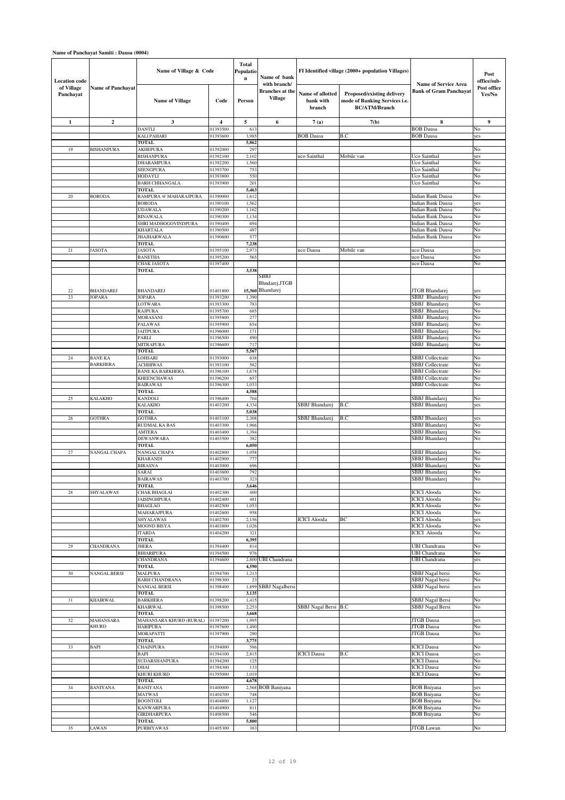| <b>Location</b> code    |                          | Name of Village & Code                        |                      | <b>Total</b><br>Populatio<br>$\bf n$ | Name of bank                                             |                                         | FI Identified village (2000+ population Villages)                                   |                                                              | Post<br>office/sub-   |
|-------------------------|--------------------------|-----------------------------------------------|----------------------|--------------------------------------|----------------------------------------------------------|-----------------------------------------|-------------------------------------------------------------------------------------|--------------------------------------------------------------|-----------------------|
| of Village<br>Panchayat | <b>Name of Panchayat</b> | <b>Name of Village</b>                        | Code                 | Person                               | with branch/<br><b>Branches at the</b><br><b>Village</b> | Name of allotted<br>bank with<br>branch | Proposed/existing delivery<br>mode of Banking Services i.e.<br><b>BC/ATM/Branch</b> | <b>Name of Service Area</b><br><b>Bank of Gram Panchayat</b> | Post office<br>Yes/No |
| $\mathbf{1}$            | $\mathbf{2}$             | 3                                             | 4                    | 5                                    | 6                                                        | 7(a)                                    | 7(b)                                                                                | 8                                                            | 9                     |
|                         |                          | <b>DANTLI</b>                                 | 01393500             | 613                                  |                                                          |                                         |                                                                                     | <b>BOB</b> Dausa                                             | No                    |
|                         |                          | KALI PAHARI                                   | 01393600             | 3,98                                 |                                                          | <b>BOB</b> Dausa                        | B.C                                                                                 | <b>BOB</b> Dausa                                             | yes                   |
| 19                      | <b>BISHANPURA</b>        | TOTAL<br><b>AKHEPURA</b>                      | 01392000             | 5,862<br>297                         |                                                          |                                         |                                                                                     |                                                              | No                    |
|                         |                          | <b>BISHANPURA</b>                             | 01392100             | 2,102                                |                                                          | uco Sainthal                            | Mobile van                                                                          | Uco Sainthal                                                 | yes                   |
|                         |                          | DHARAMPURA                                    | 01392200             | 1,560                                |                                                          |                                         |                                                                                     | Uco Sainthal                                                 | No                    |
|                         |                          | <b>SEENGPURA</b>                              | 01393700             | 753                                  |                                                          |                                         |                                                                                     | Uco Sainthal                                                 | No                    |
|                         |                          | HODAYLI                                       | 01393800             | 550                                  |                                                          |                                         |                                                                                     | Uco Sainthal                                                 | No                    |
|                         |                          | <b>BARH CHHANGALA</b><br><b>TOTAL</b>         | 01393900             | 201<br>5,463                         |                                                          |                                         |                                                                                     | Uco Sainthal                                                 | No                    |
| $20\,$                  | <b>BORODA</b>            | RAMPURA @ MAHARAJPURA                         | 01390000             | 1,612                                |                                                          |                                         |                                                                                     | <b>Indian Bank Dausa</b>                                     | No                    |
|                         |                          | <b>BORODA</b>                                 | 01390100             | 1,562                                |                                                          |                                         |                                                                                     | <b>Indian Bank Dausa</b>                                     | yes                   |
|                         |                          | <b>UDAWALA</b>                                | 01390200             | 1,162                                |                                                          |                                         |                                                                                     | <b>Indian Bank Dausa</b>                                     | No                    |
|                         |                          | <b>BINAWALA</b><br>SHRI MADHOGOVINDPURA       | 01390300<br>01390400 | 1,134<br>694                         |                                                          |                                         |                                                                                     | <b>Indian Bank Dausa</b><br>Indian Bank Dausa                | No<br>No              |
|                         |                          | KHARTALA                                      | 01390500             | 497                                  |                                                          |                                         |                                                                                     | Indian Bank Dausa                                            | No                    |
|                         |                          | <b>JHAJHARWALA</b>                            | 01390600             | 577                                  |                                                          |                                         |                                                                                     | Indian Bank Dausa                                            | No                    |
|                         |                          | <b>TOTAL</b>                                  |                      | 7,238                                |                                                          |                                         |                                                                                     |                                                              |                       |
| 21                      | <b>JASOTA</b>            | <b>JASOTA</b>                                 | 01395100             | 2.97                                 |                                                          | uco Dausa                               | Mobile van                                                                          | uco Dausa                                                    | yes                   |
|                         |                          | <b>BANETHA</b><br>CHAK JASOTA                 | 01395200<br>01397400 | 565                                  |                                                          |                                         |                                                                                     | uco Dausa<br>uco Dausa                                       | No<br>No              |
|                         |                          | TOTAL                                         |                      | 3,538                                |                                                          |                                         |                                                                                     |                                                              |                       |
|                         |                          |                                               |                      |                                      | SBBJ                                                     |                                         |                                                                                     |                                                              |                       |
|                         |                          |                                               |                      |                                      | Bhndarej, JTGB                                           |                                         |                                                                                     |                                                              |                       |
| 22<br>23                | <b>BHANDAREJ</b>         | <b>BHANDAREJ</b>                              | 01401800             |                                      | 15,360 Bhandarej                                         |                                         |                                                                                     | JTGB Bhandarej<br>SBBJ Bhandarej                             | yes                   |
|                         | <b>JOPARA</b>            | JOPARA<br>LOTWARA                             | 01393200<br>01393300 | 1,390<br>783                         |                                                          |                                         |                                                                                     | SBBJ Bhandarej                                               | No<br>No              |
|                         |                          | <b>RAJPURA</b>                                | 01395700             | 685                                  |                                                          |                                         |                                                                                     | Bhandarej<br>SBBJ                                            | No                    |
|                         |                          | MORASANI                                      | 01395800             | 277                                  |                                                          |                                         |                                                                                     | Bhandarej<br>SBBJ                                            | No                    |
|                         |                          | PALAWAS                                       | 01395900             | 654                                  |                                                          |                                         |                                                                                     | Bhandarej<br>SBBJ                                            | No                    |
|                         |                          | <b>JAITPURA</b><br>PARLI                      | 01396000<br>01396500 | 171<br>890                           |                                                          |                                         |                                                                                     | SBBJ<br>Bhandarej<br>SBBJ Bhandarej                          | No<br>No              |
|                         |                          | <b>MITRAPURA</b>                              | 01396600             | 717                                  |                                                          |                                         |                                                                                     | SBBJ Bhandarej                                               | No                    |
|                         |                          | <b>TOTAL</b>                                  |                      | 5,567                                |                                                          |                                         |                                                                                     |                                                              |                       |
| 24                      | <b>BANE KA</b>           | LOHSARI                                       | 01393000             | 638                                  |                                                          |                                         |                                                                                     | SBBJ Collectrate                                             | No                    |
|                         | <b>BARKHERA</b>          | <b>ACHHIWAS</b>                               | 01393100             | 582                                  |                                                          |                                         |                                                                                     | SBBJ Collectrate                                             | No                    |
|                         |                          | <b>BANE KA BARKHERA</b><br><b>KHEENCHAWAS</b> | 01396100<br>01396200 | 1,678<br>657                         |                                                          |                                         |                                                                                     | SBBJ Collectrate<br><b>SBBJ</b> Collectrate                  | No<br>No              |
|                         |                          | <b>BAIRAWAS</b>                               | 01396300             | 1,033                                |                                                          |                                         |                                                                                     | <b>SBBJ</b> Collectrate                                      | No                    |
|                         |                          | TOTAL                                         |                      | 4,588                                |                                                          |                                         |                                                                                     |                                                              |                       |
| 25                      | <b>KALAKHO</b>           | KANDOLI                                       | 01396400             | 704                                  |                                                          |                                         |                                                                                     | SBBJ Bhandarej                                               | No                    |
|                         |                          | KALAKHO                                       | 01403200             | 4,334                                |                                                          | SBBJ Bhandarej                          | B.C                                                                                 | SBBJ Bhandarej                                               | yes                   |
| 26                      | <b>GOTHRA</b>            | <b>TOTAL</b><br><b>GOTHRA</b>                 | 01403100             | 5,038<br>2,308                       |                                                          | SBBJ Bhandarej                          | B.C                                                                                 | SBBJ Bhandarej                                               | yes                   |
|                         |                          | RUDMAL KA BAS                                 | 01403300             | 1,966                                |                                                          |                                         |                                                                                     | SBBJ Bhandarej                                               | No                    |
|                         |                          | AMTERA                                        | 01403400             | 1,394                                |                                                          |                                         |                                                                                     | SBBJ Bhandarej                                               | No                    |
|                         |                          | DEWANWARA                                     | 01403500             | 382                                  |                                                          |                                         |                                                                                     | SBBJ Bhandarej                                               | No                    |
| $27\,$                  | NANGAL CHAPA             | <b>TOTAL</b><br><b>NANGAL CHAPA</b>           | 01402800             | 6,050<br>1,058                       |                                                          |                                         |                                                                                     | SBBJ Bhandarej                                               | No                    |
|                         |                          | KHARANDI                                      | 01402900             | 777                                  |                                                          |                                         |                                                                                     | SBBJ Bhandare                                                | No                    |
|                         |                          | <b>BIRASNA</b>                                | 01403000             | 696                                  |                                                          |                                         |                                                                                     | <b>SBBJ</b> Bhandarej                                        | No                    |
|                         |                          | SARAI                                         | 01403600             | 792                                  |                                                          |                                         |                                                                                     | SBBJ Bhandarej                                               | No                    |
|                         |                          | <b>BAIRAWAS</b><br>TOTAL                      | 01403700             | 323                                  |                                                          |                                         |                                                                                     | SBBJ Bhandarej                                               | No                    |
| 28                      | SHYALAWAS                | CHAK BHAGLAI                                  | 01402300             | 3,646<br>400                         |                                                          |                                         |                                                                                     | <b>ICICI</b> Alooda                                          | No                    |
|                         |                          | JAISINGHPURA                                  | 01402400             | 481                                  |                                                          |                                         |                                                                                     | <b>ICICI</b> Alooda                                          | No                    |
|                         |                          | <b>BHAGLAO</b>                                | 01402500             | 1,053                                |                                                          |                                         |                                                                                     | <b>ICICI</b> Alooda                                          | No                    |
|                         |                          | MAHARAJPURA                                   | 01402600             | 958                                  |                                                          |                                         |                                                                                     | <b>ICICI</b> Alooda                                          | No                    |
|                         |                          | SHYALAWAS<br>MOOND BISYA                      | 01402700<br>01403800 | 2,156<br>1,026                       |                                                          | <b>ICICI</b> Alooda                     | ВC                                                                                  | <b>ICICI</b> Alooda<br><b>ICICI</b> Alooda                   | yes<br>No             |
|                         |                          | <b>ITARDA</b>                                 | 01404200             | 321                                  |                                                          |                                         |                                                                                     | <b>ICICI</b> Alooda                                          | No                    |
|                         |                          | TOTAL                                         |                      | 6,395                                |                                                          |                                         |                                                                                     |                                                              |                       |
| 29                      | CHANDRANA                | JHERA                                         | 01394400             | 814                                  |                                                          |                                         |                                                                                     | <b>UBI</b> Chandrana                                         | No                    |
|                         |                          | <b>BIHARIPURA</b><br><b>CHANDRANA</b>         | 01394500<br>01394600 | 976<br>2,800                         | <b>UBI</b> Chandrana                                     |                                         |                                                                                     | UBI Chandrana<br><b>UBI</b> Chandrana                        | No<br>yes             |
|                         |                          | TOTAL                                         |                      | 4,590                                |                                                          |                                         |                                                                                     |                                                              |                       |
| 30                      | <b>NANGAL BERSI</b>      | <b>MALPURA</b>                                | 01394700             | 1,213                                |                                                          |                                         |                                                                                     | SBBJ Nagal bersi                                             | No                    |
|                         |                          | <b>BARH CHANDRANA</b>                         | 01398300             | 23                                   |                                                          |                                         |                                                                                     | SBBJ Nagal bersi                                             | No                    |
|                         |                          | <b>NANGAL BERSI</b><br>TOTAL                  | 01398400             | 3,135                                | 1,899 SBBJ Nagalbersi                                    |                                         |                                                                                     | SBBJ Nagal bersi                                             | yes                   |
| 31                      | <b>KHAIRWAL</b>          | <b>BARKHERA</b>                               | 01398200             | 1,415                                |                                                          |                                         |                                                                                     | SBBJ Nagal Bersi                                             | No                    |
|                         |                          | <b>KHAIRWAL</b>                               | 01398500             | 2,253                                |                                                          | SBBJ Nagal Bersi                        | B.C                                                                                 | SBBJ Nagal Bersi                                             | No                    |
|                         |                          | <b>TOTAL</b>                                  |                      | 3,668                                |                                                          |                                         |                                                                                     |                                                              |                       |
| 32                      | MAHANSARA                | MAHANSARA KHURD (RURAL)                       | 01397200             | 1,995                                |                                                          |                                         |                                                                                     | <b>JTGB</b> Dausa                                            | yes                   |
|                         | <b>KHURD</b>             | <b>HARIPURA</b><br>MORAPATTI                  | 01397600<br>01397900 | 1,490<br>290                         |                                                          |                                         |                                                                                     | <b>JTGB</b> Dausa<br><b>JTGB</b> Dausa                       | No<br>No              |
|                         |                          | <b>TOTAL</b>                                  |                      | 3,775                                |                                                          |                                         |                                                                                     |                                                              |                       |
| 33                      | <b>BAPI</b>              | CHAINPURA                                     | 01394000             | 586                                  |                                                          |                                         |                                                                                     | <b>ICICI</b> Dausa                                           | No                    |
|                         |                          | BAPI                                          | 01394100             | 2,815                                |                                                          | <b>ICICI</b> Dausa                      | B.C                                                                                 | <b>ICICI</b> Dausa                                           | yes                   |
|                         |                          | SUDARSHANPURA                                 | 01394200             | 125                                  |                                                          |                                         |                                                                                     | <b>ICICI</b> Dausa                                           | No                    |
|                         |                          | DHAI<br>KHURI KHURD                           | 01394300<br>01395000 | 133<br>1,019                         |                                                          |                                         |                                                                                     | <b>ICICI</b> Dausa<br><b>ICICI</b> Dausa                     | No<br>No              |
|                         |                          | TOTAL                                         |                      | 4,678                                |                                                          |                                         |                                                                                     |                                                              |                       |
| 34                      | <b>BANIYANA</b>          | <b>BANIYANA</b>                               | 01400000             | 2,568                                | <b>BOB</b> Baniyana                                      |                                         |                                                                                     | <b>BOB</b> Bniyana                                           | yes                   |
|                         |                          | <b>MATWAS</b>                                 | 01404700             | 748                                  |                                                          |                                         |                                                                                     | <b>BOB</b> Bniyana                                           | No                    |
|                         |                          | BOONTOLI                                      | 01404800             | 1,127                                |                                                          |                                         |                                                                                     | <b>BOB</b> Bniyana<br><b>BOB</b> Bniyana                     | No                    |
|                         |                          | <b>KANWARPURA</b><br><b>GIRDHARPURA</b>       | 01404900<br>01408500 | 811<br>546                           |                                                          |                                         |                                                                                     | <b>BOB</b> Bniyana                                           | No<br>No              |
|                         |                          | TOTAL                                         |                      | 5,800                                |                                                          |                                         |                                                                                     |                                                              |                       |
| 35                      | LAWAN                    | <b>PURBIYAWAS</b>                             | 01405300             | 383                                  |                                                          |                                         |                                                                                     | JTGB Lawan                                                   | No                    |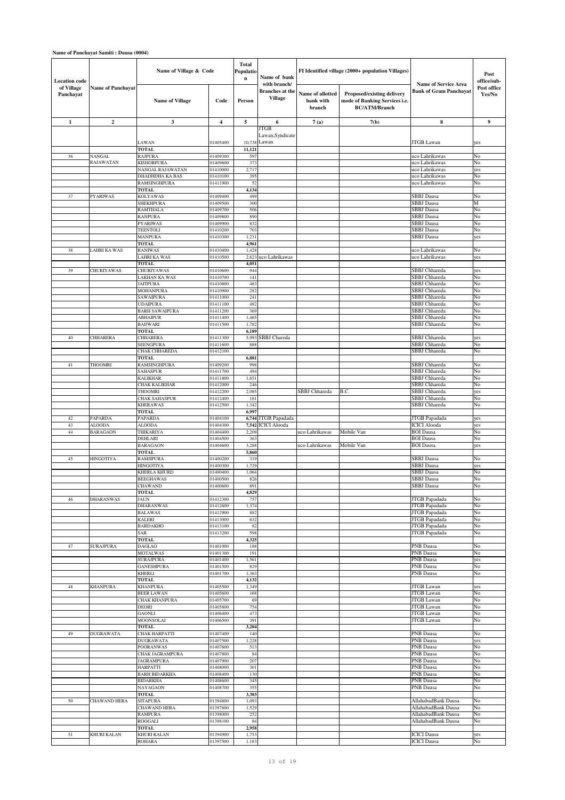| <b>Location</b> code    |                          | Name of Village & Code                   |                      | <b>Total</b><br>Populatio<br>Name of bank<br>$\mathbf n$<br>with branch/ |                                          |                                         | FI Identified village (2000+ population Villages)                                   | <b>Name of Service Area</b>                  | Post<br>office/sub-   |
|-------------------------|--------------------------|------------------------------------------|----------------------|--------------------------------------------------------------------------|------------------------------------------|-----------------------------------------|-------------------------------------------------------------------------------------|----------------------------------------------|-----------------------|
| of Village<br>Panchayat | <b>Name of Panchayat</b> | <b>Name of Village</b>                   | Code                 | Person                                                                   | <b>Branches</b> at the<br><b>Village</b> | Name of allotted<br>bank with<br>branch | Proposed/existing delivery<br>mode of Banking Services i.e.<br><b>BC/ATM/Branch</b> | <b>Bank of Gram Panchayat</b>                | Post office<br>Yes/No |
| $\mathbf{1}$            | $\mathbf{2}$             | 3                                        | 4                    | 5                                                                        | 6                                        | 7(a)                                    | 7(b)                                                                                | 8                                            | 9                     |
|                         |                          | LAWAN                                    | 01405400             | 10,738                                                                   | JTGB<br>Lawan, Syndicate<br>Lawan        |                                         |                                                                                     | JTGB Lawan                                   | yes                   |
|                         |                          | <b>TOTAL</b>                             |                      | 11,121                                                                   |                                          |                                         |                                                                                     |                                              |                       |
| 36                      | NANGAL                   | <b>RAJPURA</b>                           | 01409300             | 597                                                                      |                                          |                                         |                                                                                     | uco Lahrikawas                               | No                    |
|                         | RAJAWATAN                | <b>KISHORPURA</b>                        | 01409600             | 373                                                                      |                                          |                                         |                                                                                     | uco Lahrikawas                               | No                    |
|                         |                          | NANGAL RAJAWATAN<br>DHADHDHA KA BAS      | 01410000<br>01410100 | 2,717<br>395                                                             |                                          |                                         |                                                                                     | uco Lahrikawas<br>uco Lahrikawas             | yes<br>No             |
|                         |                          | RAMSINGHPURA                             | 01411900             | 52                                                                       |                                          |                                         |                                                                                     | uco Lahrikawas                               | No                    |
|                         |                          | <b>TOTAL</b>                             |                      | 4,134                                                                    |                                          |                                         |                                                                                     |                                              |                       |
| 37                      | PYARIWAS                 | KOLYAWAS                                 | 01409400             | 499                                                                      |                                          |                                         |                                                                                     | SBBJ Dausa                                   | No                    |
|                         |                          | <b>SHEKHPURA</b><br><b>RAMTHALA</b>      | 01409500<br>01409700 | 300<br>506                                                               |                                          |                                         |                                                                                     | <b>SBBJ</b> Dausa<br>SBBJ Dausa              | М<br>No               |
|                         |                          | <b>KANPURA</b>                           | 01409800             | 890                                                                      |                                          |                                         |                                                                                     | SBBJ Dausa                                   | No                    |
|                         |                          | <b>PYARIWAS</b>                          | 01409900             | 832                                                                      |                                          |                                         |                                                                                     | SBBJ Dausa                                   | No                    |
|                         |                          | <b>TEENTOLI</b>                          | 01410200             | 703                                                                      |                                          |                                         |                                                                                     | SBBJ Dausa                                   | No                    |
|                         |                          | <b>MANPURA</b><br><b>TOTAL</b>           | 01410300             | 1,231<br>4,961                                                           |                                          |                                         |                                                                                     | SBBJ Dausa                                   | yes                   |
| 38                      | LAHRI KA WAS             | <b>RANIWAS</b>                           | 01410400             | 1,428                                                                    |                                          |                                         |                                                                                     | uco Lahrikawas                               | No                    |
|                         |                          | LAHRI KA WAS                             | 01410500             | 2,623                                                                    | uco Lahrikawas                           |                                         |                                                                                     | uco Lahrikawas                               | yes                   |
|                         |                          | TOTAL                                    |                      | 4,051                                                                    |                                          |                                         |                                                                                     |                                              |                       |
| 39                      | <b>CHURIYAWAS</b>        | <b>CHURIYAWAS</b><br>LAKHAN KA WAS       | 01410600<br>01410700 | 944<br>141                                                               |                                          |                                         |                                                                                     | SBBJ Chhareda<br>SBBJ Chhareda               | yes<br>No             |
|                         |                          | <b>JAITPURA</b>                          | 01410800             | 483                                                                      |                                          |                                         |                                                                                     | SBBJ Chhareda                                | No                    |
|                         |                          | <b>MOHANPURA</b>                         | 01410900             | 282                                                                      |                                          |                                         |                                                                                     | SBBJ Chhareda                                | No                    |
|                         |                          | <b>SAWAIPURA</b>                         | 01411000             | 241                                                                      |                                          |                                         |                                                                                     | SBBJ Chhareda                                | No                    |
|                         |                          | <b>UDAIPURA</b><br><b>BARH SAWAIPURA</b> | 01411100<br>01411200 | 482<br>369                                                               |                                          |                                         |                                                                                     | SBBJ Chhareda<br>SBBJ Chhareda               | No<br>No              |
|                         |                          | <b>ABHAIPUR</b>                          | 01411400             | 1,465                                                                    |                                          |                                         |                                                                                     | SBBJ Chhareda                                | No                    |
|                         |                          | <b>BAIJWARI</b>                          | 01411500             | 1,782                                                                    |                                          |                                         |                                                                                     | SBBJ Chhareda                                | No                    |
|                         |                          | TOTAL                                    |                      | 6,189                                                                    |                                          |                                         |                                                                                     |                                              |                       |
| 40                      | CHHARERA                 | CHHARERA<br><b>SEENGPURA</b>             | 01411300<br>01411600 | 5,993<br>888                                                             | SBBJ Chareda                             |                                         |                                                                                     | SBBJ Chhareda<br>SBBJ Chhareda               | yes<br>No             |
|                         |                          | CHAK CHHAREDA                            | 01412100             |                                                                          |                                          |                                         |                                                                                     | SBBJ Chhareda                                | No                    |
|                         |                          | TOTAL                                    |                      | 6,881                                                                    |                                          |                                         |                                                                                     |                                              |                       |
| 41                      | <b>THOOMRI</b>           | RAMSINGHPURA                             | 01409200             | 998                                                                      |                                          |                                         |                                                                                     | SBBJ Chhareda                                | No                    |
|                         |                          | <b>SAHASPUR</b><br>KALIKHAR              | 01411700<br>01411800 | 494<br>1,651                                                             |                                          |                                         |                                                                                     | SBBJ Chhareda<br>SBBJ Chhareda               | No<br>No              |
|                         |                          | CHAK KALIKHAR                            | 01412000             | 246                                                                      |                                          |                                         |                                                                                     | SBBJ Chhareda                                | No                    |
|                         |                          | <b>THOOMRI</b>                           | 01412200             | 2,085                                                                    |                                          | SBBJ Chhareda                           | B.C                                                                                 | SBBJ Chhareda                                | yes                   |
|                         |                          | <b>CHAK SAHASPUR</b>                     | 01412400             | 181                                                                      |                                          |                                         |                                                                                     | <b>SBBJ</b> Chhareda<br><b>SBBJ</b> Chhareda | No                    |
|                         |                          | <b>KHERAWAS</b><br>TOTAL                 | 01412500             | 1,342<br>6,997                                                           |                                          |                                         |                                                                                     |                                              | No                    |
| 42                      | PAPARDA                  | PAPARDA                                  | 01404100             | 6,744                                                                    | JTGB Papadada                            |                                         |                                                                                     | JTGB Papadada                                | yes                   |
| 43                      | <b>ALOODA</b>            | <b>ALOODA</b>                            | 01404300             | 7,542                                                                    | <b>ICICI</b> Alooda                      |                                         |                                                                                     | <b>ICICI</b> Alooda                          | yes                   |
| 44                      | <b>BARAGAON</b>          | THIKARIYA                                | 01404400             | 2,209                                                                    |                                          | uco Lahrikawas                          | Mobile Van                                                                          | <b>BOI</b> Dausa                             | No                    |
|                         |                          | DEHLARI<br><b>BARAGAON</b>               | 01404500<br>01404600 | 363<br>3,288                                                             |                                          | uco Lahrikawas                          | Mobile Van                                                                          | <b>BOI</b> Dausa<br><b>BOI</b> Dausa         | No<br>yes             |
|                         |                          | <b>TOTAL</b>                             |                      | 5,860                                                                    |                                          |                                         |                                                                                     |                                              |                       |
| 45                      | <b>HINGOTIYA</b>         | <b>RAMJIPURA</b>                         | 01400200             | 319                                                                      |                                          |                                         |                                                                                     | <b>SBBJ</b> Dausa                            | No                    |
|                         |                          | HINGOTIYA<br>KHERLA KHURD                | 01400300<br>01400400 | 1,729<br>1,064                                                           |                                          |                                         |                                                                                     | <b>SBBJ</b> Dausa<br>SBBJ Dausa              | yes<br>No             |
|                         |                          | <b>BEEGHAWAS</b>                         | 01400500             | 826                                                                      |                                          |                                         |                                                                                     | SBBJ Dausa                                   | No                    |
|                         |                          | CHAWAND                                  | 01400600             | 891                                                                      |                                          |                                         |                                                                                     | SBBJ Dausa                                   | No                    |
|                         |                          | <b>TOTAL</b>                             |                      | 4,829                                                                    |                                          |                                         |                                                                                     |                                              |                       |
| 46                      | <b>DHARANWAS</b>         | JAUN<br><b>DHARANWAS</b>                 | 01412300<br>01412600 | 757<br>1,374                                                             |                                          |                                         |                                                                                     | JTGB Papadada<br>JTGB Papadada               | No<br>No              |
|                         |                          | <b>BALAWAS</b>                           | 01412900             | 882                                                                      |                                          |                                         |                                                                                     | JTGB Papadada                                | No                    |
|                         |                          | <b>KALERI</b>                            | 01413000             | 632                                                                      |                                          |                                         |                                                                                     | JTGB Papadada                                | No                    |
|                         |                          | <b>BARDAKHO</b>                          | 01413100             | 82                                                                       |                                          |                                         |                                                                                     | JTGB Papadada                                | No                    |
|                         |                          | SAR<br>TOTAL                             | 01413200             | 598<br>4,325                                                             |                                          |                                         |                                                                                     | <b>JTGB</b> Papadada                         | No                    |
| 47                      | <b>SURAJPURA</b>         | <b>DAGLAO</b>                            | 01401000             | 188                                                                      |                                          |                                         |                                                                                     | PNB Dausa                                    | No                    |
|                         |                          | <b>MOTALWAS</b>                          | 01401300             | 191                                                                      |                                          |                                         |                                                                                     | PNB Dausa                                    | No                    |
|                         |                          | <b>SURAJPURA</b><br><b>GANESHPURA</b>    | 01401400<br>01401500 | 1,561<br>829                                                             |                                          |                                         |                                                                                     | PNB Dausa<br>PNB Dausa                       | yes<br>No             |
|                         |                          | KHERLI                                   | 01401700             | 1,363                                                                    |                                          |                                         |                                                                                     | PNB Dausa                                    | No                    |
|                         |                          | <b>TOTAL</b>                             |                      | 4,132                                                                    |                                          |                                         |                                                                                     |                                              |                       |
| 48                      | <b>KHANPURA</b>          | <b>KHANPURA</b>                          | 01405500             | 1,349                                                                    |                                          |                                         |                                                                                     | JTGB Lawan                                   | yes                   |
|                         |                          | <b>BEER LAWAN</b><br>CHAK KHANPURA       | 01405600<br>01405700 | 168<br>69                                                                |                                          |                                         |                                                                                     | JTGB Lawan<br>JTGB Lawan                     | No<br>No              |
|                         |                          | DEORI                                    | 01405800             | 754                                                                      |                                          |                                         |                                                                                     | JTGB Lawan                                   | No                    |
|                         |                          | <b>GAONLI</b>                            | 01406400             | 473                                                                      |                                          |                                         |                                                                                     | JTGB Lawan                                   | No                    |
|                         |                          | MOONSOLAI<br><b>TOTAL</b>                | 01406500             | 391<br>3,204                                                             |                                          |                                         |                                                                                     | <b>JTGB</b> Lawan                            | No                    |
| 49                      | <b>DUGRAWATA</b>         | CHAK HARPATTI                            | 01407400             | 140                                                                      |                                          |                                         |                                                                                     | PNB Dausa                                    | No                    |
|                         |                          | DUGRAWATA                                | 01407500             | 1,228                                                                    |                                          |                                         |                                                                                     | PNB Dausa                                    | yes                   |
|                         |                          | <b>POORANWAS</b>                         | 01407600             | 513                                                                      |                                          |                                         |                                                                                     | PNB Dausa                                    | No                    |
|                         |                          | CHAK JAGRAMPURA                          | 01407800             | 84                                                                       |                                          |                                         |                                                                                     | PNB Dausa                                    | No                    |
|                         |                          | <b>JAGRAMPURA</b><br>HARPATTI            | 01407900<br>01408000 | 207<br>301                                                               |                                          |                                         |                                                                                     | PNB Dausa<br>PNB Dausa                       | No<br>No              |
|                         |                          | <b>BARH BIDARKHA</b>                     | 01408400             | 130                                                                      |                                          |                                         |                                                                                     | PNB Dausa                                    | No                    |
|                         |                          | <b>BIDARKHA</b>                          | 01408600             | 345                                                                      |                                          |                                         |                                                                                     | PNB Dausa                                    | No                    |
|                         |                          | NAYAGAON                                 | 01408700             | 355                                                                      |                                          |                                         |                                                                                     | PNB Dausa                                    | No                    |
| 50                      | <b>CHAWAND HERA</b>      | <b>TOTAL</b><br><b>SITAPURA</b>          | 01394800             | 3,303<br>1,09                                                            |                                          |                                         |                                                                                     | AllahabadBank Dausa                          | No                    |
|                         |                          | <b>CHAWAND HERA</b>                      | 01397800             | 1,529                                                                    |                                          |                                         |                                                                                     | AllahabadBank Dausa                          | No                    |
|                         |                          | <b>RAMPURA</b>                           | 01398000             | 252                                                                      |                                          |                                         |                                                                                     | AllahabadBank Dausa                          | No                    |
|                         |                          | <b>ROOGALI</b>                           | 01398100             | 84<br>2,958                                                              |                                          |                                         |                                                                                     | AllahabadBank Dausa                          | No                    |
| 51                      | KHURI KALAN              | TOTAL<br>KHURI KALAN                     | 01394900             | 1,753                                                                    |                                          |                                         |                                                                                     | <b>ICICI</b> Dausa                           | yes                   |
|                         |                          | <b>ROHARA</b>                            | 01397500             | 1,183                                                                    |                                          |                                         |                                                                                     | <b>ICICI</b> Dausa                           | No                    |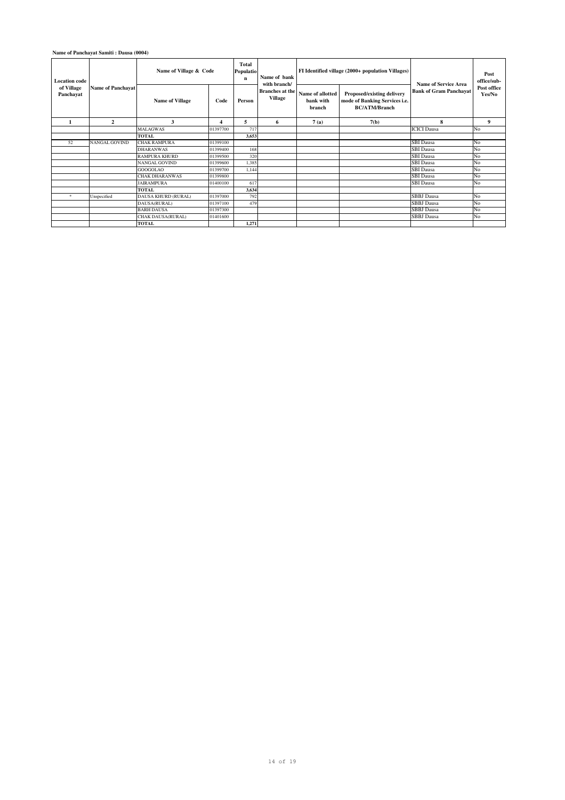**Name of Panchayat Samiti : Dausa (0004)**

| <b>Location</b> code<br>of Village<br>Panchavat | <b>Name of Panchayat</b> | Name of Village & Code     | Total<br>Populatio<br>Name of bank<br>$\mathbf n$ |        |                                                          | FI Identified village (2000+ population Villages) | Name of Service Area                                                                | Post<br>office/sub-           |                       |
|-------------------------------------------------|--------------------------|----------------------------|---------------------------------------------------|--------|----------------------------------------------------------|---------------------------------------------------|-------------------------------------------------------------------------------------|-------------------------------|-----------------------|
|                                                 |                          | <b>Name of Village</b>     | Code                                              | Person | with branch/<br><b>Branches</b> at the<br><b>Village</b> | Name of allotted<br>hank with<br>branch           | Proposed/existing delivery<br>mode of Banking Services i.e.<br><b>BC/ATM/Branch</b> | <b>Bank of Gram Panchayat</b> | Post office<br>Yes/No |
| $\mathbf{1}$                                    | $\mathbf{2}$             | 3                          | 4                                                 | 5      | 6                                                        | 7(a)                                              | 7(b)                                                                                | 8                             | 9                     |
|                                                 |                          | <b>MALAGWAS</b>            | 01397700                                          | 717    |                                                          |                                                   |                                                                                     | <b>ICICI</b> Dausa            | No                    |
|                                                 |                          | <b>TOTAL</b>               |                                                   | 3,653  |                                                          |                                                   |                                                                                     |                               |                       |
| 52                                              | <b>NANGAL GOVIND</b>     | <b>CHAK RAMPURA</b>        | 01399100                                          |        |                                                          |                                                   |                                                                                     | <b>SBI</b> Dausa              | No                    |
|                                                 |                          | <b>DHARANWAS</b>           | 01399400                                          | 168    |                                                          |                                                   |                                                                                     | <b>SBI</b> Dausa              | No                    |
|                                                 |                          | <b>RAMPURA KHURD</b>       | 01399500                                          | 320    |                                                          |                                                   |                                                                                     | <b>SBI</b> Dausa              | No                    |
|                                                 |                          | NANGAL GOVIND              | 01399600                                          | 1.385  |                                                          |                                                   |                                                                                     | <b>SBI</b> Dausa              | No                    |
|                                                 |                          | <b>GOOGOLAO</b>            | 01399700                                          | 1.144  |                                                          |                                                   |                                                                                     | <b>SBI</b> Dausa              | No                    |
|                                                 |                          | <b>CHAK DHARANWAS</b>      | 01399800                                          |        |                                                          |                                                   |                                                                                     | <b>SBI</b> Dausa              | No                    |
|                                                 |                          | <b>JAIRAMPURA</b>          | 01400100                                          | 617    |                                                          |                                                   |                                                                                     | <b>SBI</b> Dausa              | No                    |
|                                                 |                          | <b>TOTAL</b>               |                                                   | 3,634  |                                                          |                                                   |                                                                                     |                               |                       |
| *                                               | Unspecified              | <b>DAUSA KHURD (RURAL)</b> | 01397000                                          | 792    |                                                          |                                                   |                                                                                     | <b>SBBJ</b> Dausa             | No                    |
|                                                 |                          | DAUSA(RURAL)               | 01397100                                          | 479    |                                                          |                                                   |                                                                                     | <b>SBBJ</b> Dausa             | No                    |
|                                                 |                          | <b>BARH DAUSA</b>          | 01397300                                          |        |                                                          |                                                   |                                                                                     | <b>SBBJ</b> Dausa             | No                    |
|                                                 |                          | CHAK DAUSA(RURAL)          | 01401600                                          |        |                                                          |                                                   |                                                                                     | <b>SBBJ</b> Dausa             | No                    |
|                                                 |                          | <b>TOTAL</b>               |                                                   | 1.271  |                                                          |                                                   |                                                                                     |                               |                       |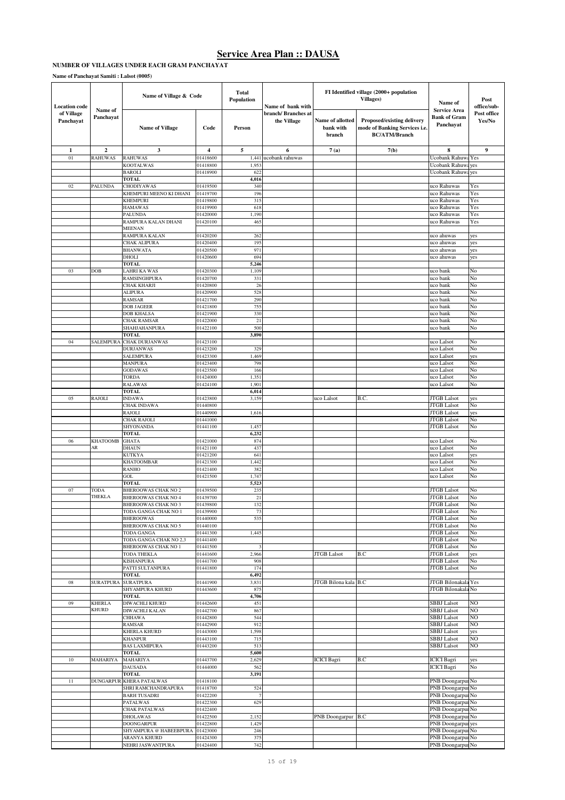#### **NUMBER OF VILLAGES UNDER EACH GRAM PANCHAYAT**

**Name of Panchayat Samiti : Lalsot (0005)**

| <b>Location</b> code    | Name of          | Name of Village & Code                     | Total<br>Population  | Name of bank with |                                    | FI Identified village (2000+ population<br><b>Villages</b> ) | Name of<br><b>Service Area</b>                                                      | Post<br>office/sub-                      |                       |
|-------------------------|------------------|--------------------------------------------|----------------------|-------------------|------------------------------------|--------------------------------------------------------------|-------------------------------------------------------------------------------------|------------------------------------------|-----------------------|
| of Village<br>Panchayat | Panchayat        | <b>Name of Village</b>                     | Code                 | Person            | branch/ Branches at<br>the Village | Name of allotted<br>bank with<br>branch                      | Proposed/existing delivery<br>mode of Banking Services i.e.<br><b>BC/ATM/Branch</b> | <b>Bank of Gram</b><br>Panchayat         | Post office<br>Yes/No |
| 1                       | $\mathbf{2}$     | 3                                          | 4                    | 5                 | 6                                  | 7(a)                                                         | 7(b)                                                                                | 8                                        | $\boldsymbol{9}$      |
| 01                      | <b>RAHUWAS</b>   | <b>RAHUWAS</b>                             | 01418600             | 1,44              | ucobank rahuwas                    |                                                              |                                                                                     | Ucobank Rahuw                            | Yes                   |
|                         |                  | <b>KOOTALWAS</b><br><b>BAROLI</b>          | 01418800<br>01418900 | 1,95<br>622       |                                    |                                                              |                                                                                     | <b>Ucobank Rahuw</b><br>Ucobank Rahuw    | yes<br>yes            |
|                         |                  | <b>TOTAL</b>                               |                      | 4,016             |                                    |                                                              |                                                                                     |                                          |                       |
| 02                      | <b>PALUNDA</b>   | CHODIYAWAS                                 | 01419500             | 340               |                                    |                                                              |                                                                                     | uco Rahuwas                              | Yes                   |
|                         |                  | KHEMPURI MEENO KI DHANI                    | 01419700             | 196               |                                    |                                                              |                                                                                     | uco Rahuwas                              | Yes                   |
|                         |                  | <b>KHEMPURI</b>                            | 01419800             | 315               |                                    |                                                              |                                                                                     | uco Rahuwas                              | Yes                   |
|                         |                  | <b>HAMAWAS</b><br><b>PALUNDA</b>           | 01419900<br>01420000 | 618<br>1,190      |                                    |                                                              |                                                                                     | uco Rahuwas<br>uco Rahuwas               | Yes<br>Yes            |
|                         |                  | RAMPURA KALAN DHANI                        | 01420100             | 465               |                                    |                                                              |                                                                                     | uco Rahuwas                              | Yes                   |
|                         |                  | MEENAN                                     |                      |                   |                                    |                                                              |                                                                                     |                                          |                       |
|                         |                  | RAMPURA KALAN                              | 01420200             | 262<br>195        |                                    |                                                              |                                                                                     | uco ahuwas                               | yes                   |
|                         |                  | CHAK ALIPURA<br><b>BHANWATA</b>            | 01420400<br>01420500 | 971               |                                    |                                                              |                                                                                     | uco ahuwas<br>uco ahuwas                 | yes<br>yes            |
|                         |                  | DHOLI                                      | 01420600             | 694               |                                    |                                                              |                                                                                     | uco ahuwas                               | yes                   |
|                         |                  | TOTAL                                      |                      | 5,246             |                                    |                                                              |                                                                                     |                                          |                       |
| 03                      | DOB              | LAHRI KA WAS                               | 01420300             | 1,109             |                                    |                                                              |                                                                                     | uco bank                                 | No                    |
|                         |                  | RAMSINGHPURA<br>CHAK KHARJI                | 01420700<br>01420800 | 331<br>26         |                                    |                                                              |                                                                                     | uco bank<br>uco bank                     | No<br>No              |
|                         |                  | <b>ALIPURA</b>                             | 01420900             | 528               |                                    |                                                              |                                                                                     | uco bank                                 | No                    |
|                         |                  | RAMSAR                                     | 01421700             | 290               |                                    |                                                              |                                                                                     | uco bank                                 | No                    |
|                         |                  | <b>DOB JAGEER</b>                          | 01421800             | 755               |                                    |                                                              |                                                                                     | uco bank                                 | No                    |
|                         |                  | <b>DOB KHALSA</b><br>CHAK RAMSAR           | 01421900<br>01422000 | 330<br>21         |                                    |                                                              |                                                                                     | uco bank<br>uco bank                     | No<br>No              |
|                         |                  | SHAHJAHANPURA                              | 01422100             | 500               |                                    |                                                              |                                                                                     | uco bank                                 | No                    |
|                         |                  | TOTAL                                      |                      | 3,890             |                                    |                                                              |                                                                                     |                                          |                       |
| 04                      | <b>SALEMPURA</b> | <b>CHAK DURJANWAS</b>                      | 01423100             |                   |                                    |                                                              |                                                                                     | uco Lalsot                               | No                    |
|                         |                  | <b>DURJANWAS</b><br><b>SALEMPURA</b>       | 01423200             | 329<br>1,469      |                                    |                                                              |                                                                                     | uco Lalsot<br>uco Lalsot                 | No<br>yes             |
|                         |                  | <b>MANPURA</b>                             | 01423300<br>01423400 | 798               |                                    |                                                              |                                                                                     | uco Lalsot                               | No                    |
|                         |                  | <b>GODAWAS</b>                             | 01423500             | 166               |                                    |                                                              |                                                                                     | uco Lalsot                               | No                    |
|                         |                  | TORDA                                      | 01424000             | 1,351             |                                    |                                                              |                                                                                     | uco Lalsot                               | No                    |
|                         |                  | RALAWAS                                    | 01424100             | 1,901             |                                    |                                                              |                                                                                     | uco Lalsot                               | No                    |
| 05                      | RAJOLI           | TOTAL<br><b>INDAWA</b>                     | 01423800             | 6,014<br>3,159    |                                    | uco Lalsot                                                   | B.C.                                                                                | <b>TGB</b> Lalsot                        | yes                   |
|                         |                  | CHAK INDAWA                                | 01440800             |                   |                                    |                                                              |                                                                                     | <b>TGB</b> Lalsot                        | No                    |
|                         |                  | RAJOLI                                     | 01440900             | 1,616             |                                    |                                                              |                                                                                     | <b>JTGB</b> Lalsot                       | yes                   |
|                         |                  | CHAK RAJOLI<br>SHYONANDA                   | 01441000<br>01441100 |                   |                                    |                                                              |                                                                                     | <b>JTGB</b> Lalsot<br><b>JTGB</b> Lalsot | No<br>No              |
|                         |                  | <b>TOTAL</b>                               |                      | 1,457<br>6,232    |                                    |                                                              |                                                                                     |                                          |                       |
| 06                      | <b>KHATOOMB</b>  | <b>GHATA</b>                               | 01421000             | 874               |                                    |                                                              |                                                                                     | uco Lalsot                               | No                    |
|                         | AR               | <b>DHAUN</b>                               | 01421100             | 437               |                                    |                                                              |                                                                                     | uco Lalsot                               | No                    |
|                         |                  | KUTKYA                                     | 01421200             | 641               |                                    |                                                              |                                                                                     | uco Lalsot                               | yes                   |
|                         |                  | <b>KHATOOMBAR</b><br><b>RANHO</b>          | 01421300<br>01421400 | 1,442<br>382      |                                    |                                                              |                                                                                     | uco Lalsot<br>uco Lalsot                 | No<br>No              |
|                         |                  | GOL                                        | 01421500             | 1,747             |                                    |                                                              |                                                                                     | uco Lalsot                               | No                    |
|                         |                  | <b>TOTAL</b>                               |                      | 5,523             |                                    |                                                              |                                                                                     |                                          |                       |
| 07                      | TODA<br>THEKLA   | BHEROOWAS CHAK NO 2                        | 01439500             | 235               |                                    |                                                              |                                                                                     | <b>ITGB Lalsot</b>                       | No                    |
|                         |                  | BHEROOWAS CHAK NO 4<br>BHEROOWAS CHAK NO 3 | 01439700<br>01439800 | 21<br>132         |                                    |                                                              |                                                                                     | <b>TGB</b> Lalsot<br><b>JTGB</b> Lalsot  | No<br>No              |
|                         |                  | TODA GANGA CHAK NO 1                       | 01439900             | 73                |                                    |                                                              |                                                                                     | JTGB Lalsot                              | No                    |
|                         |                  | <b>BHEROOWAS</b>                           | 01440000             | 535               |                                    |                                                              |                                                                                     | <b>JTGB</b> Lalsot                       | No                    |
|                         |                  | BHEROOWAS CHAK NO 5                        | 01440100<br>01441300 |                   |                                    |                                                              |                                                                                     | <b>JTGB</b> Lalsot<br><b>JTGB</b> Lalsot | No<br>No              |
|                         |                  | TODA GANGA<br>TODA GANGA CHAK NO 2,3       | 01441400             | 1,445             |                                    |                                                              |                                                                                     | <b>JTGB</b> Lalsot                       | No                    |
|                         |                  | BHEROOWAS CHAK NO 1                        | 01441500             | 3                 |                                    |                                                              |                                                                                     | <b>JTGB</b> Lalsot                       | No                    |
|                         |                  | <b>TODA THEKLA</b>                         | 01441600             | 2,966             |                                    | <b>JTGB</b> Lalsot                                           | B.C                                                                                 | <b>JTGB</b> Lalsot                       | yes                   |
|                         |                  | <b>KISHANPURA</b><br>PATTI SULTANPURA      | 01441700<br>01441800 | 908<br>174        |                                    |                                                              |                                                                                     | <b>JTGB</b> Lalsot<br><b>JTGB</b> Lalsot | No<br>No              |
|                         |                  | <b>TOTAL</b>                               |                      | 6,492             |                                    |                                                              |                                                                                     |                                          |                       |
| ${\bf 08}$              | <b>SURATPURA</b> | <b>SURATPURA</b>                           | 01441900             | 3,831             |                                    | JTGB Bilona kala B.C                                         |                                                                                     | JTGB Bilonakala Yes                      |                       |
|                         |                  | SHYAMPURA KHURD                            | 01443600             | 875               |                                    |                                                              |                                                                                     | JTGB Bilonakala No                       |                       |
| 09                      | <b>KHERLA</b>    | <b>TOTAL</b><br>DIWACHLI KHURD             | 01442600             | 4,706<br>451      |                                    |                                                              |                                                                                     | <b>SBBJ</b> Lalsot                       | NO                    |
|                         | KHURD            | DIWACHLI KALAN                             | 01442700             | 867               |                                    |                                                              |                                                                                     | <b>SBBJ</b> Lalsot                       | N <sub>O</sub>        |
|                         |                  | <b>CHHAWA</b>                              | 01442800             | 544               |                                    |                                                              |                                                                                     | <b>SBBJ</b> Lalsot                       | N <sub>O</sub>        |
|                         |                  | RAMSAR                                     | 01442900             | 912               |                                    |                                                              |                                                                                     | <b>SBBJ</b> Lalsot                       | NO                    |
|                         |                  | <b>KHERLA KHURD</b><br><b>KHANPUR</b>      | 01443000<br>01443100 | 1,598<br>715      |                                    |                                                              |                                                                                     | <b>SBBJ</b> Lalsot<br><b>SBBJ</b> Lalsot | yes<br>NO             |
|                         |                  | <b>BAS LAXMIPURA</b>                       | 01443200             | 513               |                                    |                                                              |                                                                                     | <b>SBBJ</b> Lalsot                       | NO                    |
|                         |                  | <b>TOTAL</b>                               |                      | 5,600             |                                    |                                                              |                                                                                     |                                          |                       |
| $10$                    | MAHARIYA         | MAHARIYA                                   | 01443700             | 2,629             |                                    | <b>ICICI</b> Bagri                                           | B.C                                                                                 | <b>ICICI</b> Bagri                       | yes                   |
|                         |                  | <b>DAUSADA</b><br><b>TOTAL</b>             | 01444000             | 562<br>3,191      |                                    |                                                              |                                                                                     | <b>ICICI</b> Bagri                       | No                    |
| 11                      | <b>DUNGARPUF</b> | <b>KHERA PATALWAS</b>                      | 01418100             |                   |                                    |                                                              |                                                                                     | PNB Doongarpur No                        |                       |
|                         |                  | SHRI RAMCHANDRAPURA                        | 01418700             | 524               |                                    |                                                              |                                                                                     | PNB Doongarpur No                        |                       |
|                         |                  | <b>BARH TUSADRI</b>                        | 01422200             | $\overline{7}$    |                                    |                                                              |                                                                                     | PNB Doongarpur No<br>PNB Doongarpur No   |                       |
|                         |                  | <b>PATALWAS</b><br><b>CHAK PATALWAS</b>    | 01422300<br>01422400 | 629               |                                    |                                                              |                                                                                     | PNB Doongarpur No                        |                       |
|                         |                  | <b>DHOLAWAS</b>                            | 01422500             | 2,152             |                                    | PNB Doongarpur B.C                                           |                                                                                     | PNB Doongarpur No                        |                       |
|                         |                  | <b>DOONGARPUR</b>                          | 01422800             | 1,429             |                                    |                                                              |                                                                                     | PNB Doongarpur yes                       |                       |
|                         |                  | SHYAMPURA @ HABEEBPURA<br>ARANYA KHURD     | 01423000<br>01424300 | 246<br>375        |                                    |                                                              |                                                                                     | PNB Doongarpur No<br>PNB Doongarpur No   |                       |
|                         |                  | NEHRI JASWANTPURA                          | 01424400             | 742               |                                    |                                                              |                                                                                     | PNB Doongarpur No                        |                       |
|                         |                  |                                            |                      |                   |                                    |                                                              |                                                                                     |                                          |                       |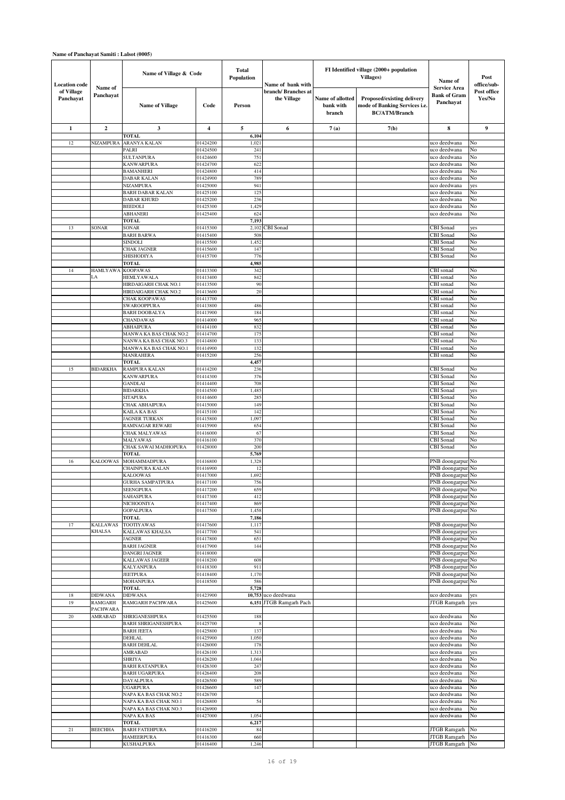| <b>Location</b> code    | Name of<br>Panchayat | Name of Village & Code                       |                      | <b>Total</b><br><b>Population</b> | Name of bank with                 |                                         | FI Identified village (2000+ population<br><b>Villages</b> )                        | Name of<br><b>Service Area</b>      | Post<br>office/sub-   |
|-------------------------|----------------------|----------------------------------------------|----------------------|-----------------------------------|-----------------------------------|-----------------------------------------|-------------------------------------------------------------------------------------|-------------------------------------|-----------------------|
| of Village<br>Panchayat |                      | <b>Name of Village</b>                       | Code                 | Person                            | branch/Branches at<br>the Village | Name of allotted<br>bank with<br>branch | Proposed/existing delivery<br>mode of Banking Services i.e.<br><b>BC/ATM/Branch</b> | <b>Bank of Gram</b><br>Panchayat    | Post office<br>Yes/No |
| 1                       | $\boldsymbol{2}$     | 3                                            | $\boldsymbol{4}$     | 5                                 | 6                                 | 7(a)                                    | 7(b)                                                                                | 8                                   | 9                     |
|                         |                      | <b>TOTAL</b>                                 |                      | 6,104                             |                                   |                                         |                                                                                     |                                     |                       |
| 12                      | NIZAMPURA            | ARANYA KALAN<br>PALRI                        | 01424200<br>01424500 | 1,021<br>241                      |                                   |                                         |                                                                                     | uco deedwana<br>uco deedwana        | No<br>No              |
|                         |                      | SULTANPURA                                   | 01424600             | 751                               |                                   |                                         |                                                                                     | uco deedwana                        | No                    |
|                         |                      | KANWARPURA                                   | 01424700             | 622                               |                                   |                                         |                                                                                     | uco deedwana                        | No                    |
|                         |                      | <b>BAMANHERI</b>                             | 01424800             | 414                               |                                   |                                         |                                                                                     | uco deedwana                        | No                    |
|                         |                      | DABAR KALAN<br>NIZAMPURA                     | 01424900<br>01425000 | 789<br>941                        |                                   |                                         |                                                                                     | uco deedwana<br>uco deedwana        | No<br>yes             |
|                         |                      | <b>BARH DABAR KALAN</b>                      | 01425100             | 125                               |                                   |                                         |                                                                                     | uco deedwana                        | No                    |
|                         |                      | DABAR KHURD                                  | 01425200             | 236                               |                                   |                                         |                                                                                     | uco deedwana                        | No                    |
|                         |                      | <b>BEEDOLI</b>                               | 01425300             | 1,429                             |                                   |                                         |                                                                                     | uco deedwana                        | No                    |
|                         |                      | ABHANERI<br>TOTAL                            | 01425400             | 624<br>7,193                      |                                   |                                         |                                                                                     | uco deedwana                        | No                    |
| 13                      | SONAR                | <b>SONAR</b>                                 | 01415300             | 2,102                             | CBI Sonad                         |                                         |                                                                                     | CBI Sonad                           | yes                   |
|                         |                      | BARH BARWA                                   | 01415400             | 508                               |                                   |                                         |                                                                                     | CBI Sonad                           | No                    |
|                         |                      | SINDOLI                                      | 01415500             | 1,452                             |                                   |                                         |                                                                                     | CBI Sonad                           | No                    |
|                         |                      | CHAK JAGNER<br>SHISHODIYA                    | 01415600<br>01415700 | 147<br>776                        |                                   |                                         |                                                                                     | CBI Sonad<br><b>CBI</b> Sonad       | No<br>No              |
|                         |                      | TOTAL                                        |                      | 4,985                             |                                   |                                         |                                                                                     |                                     |                       |
| 14                      | <b>HAMLYAWA</b>      | <b>KOOPAWAS</b>                              | 01413300             | 342                               |                                   |                                         |                                                                                     | CBI sonad                           | No                    |
|                         | LA                   | <b>HEMLYAWALA</b>                            | 01413400             | 842                               |                                   |                                         |                                                                                     | CBI sonad                           | No                    |
|                         |                      | HIRDAIGARH CHAK NO.1<br>HIRDAIGARH CHAK NO.2 | 01413500<br>01413600 | 90<br>20                          |                                   |                                         |                                                                                     | CBI sonad<br>CBI sonad              | No<br>No              |
|                         |                      | CHAK KOOPAWAS                                | 01413700             |                                   |                                   |                                         |                                                                                     | CBI sonad                           | No                    |
|                         |                      | <b>SWAROOPPURA</b>                           | 01413800             | 486                               |                                   |                                         |                                                                                     | CBI sonad                           | No                    |
|                         |                      | BARH DOOBALYA                                | 01413900             | 184                               |                                   |                                         |                                                                                     | CBI sonad                           | No                    |
|                         |                      | <b>CHANDAWAS</b><br>ABHAIPURA                | 01414000<br>01414100 | 965<br>832                        |                                   |                                         |                                                                                     | CBI sonad<br>CBI sonad              | No<br>No              |
|                         |                      | MANWA KA BAS CHAK NO.2                       | 01414700             | 175                               |                                   |                                         |                                                                                     | CBI sonad                           | No                    |
|                         |                      | NANWA KA BAS CHAK NO.3                       | 01414800             | 133                               |                                   |                                         |                                                                                     | CBI sonad                           | No                    |
|                         |                      | MANWA KA BAS CHAK NO.1                       | 01414900             | 132                               |                                   |                                         |                                                                                     | CBI sonad                           | No                    |
|                         |                      | <b>MANRAHERA</b><br><b>TOTAL</b>             | 01415200             | 256<br>4,457                      |                                   |                                         |                                                                                     | CBI sonad                           | No                    |
| 15                      | <b>BIDARKHA</b>      | RAMPURA KALAN                                | 01414200             | 236                               |                                   |                                         |                                                                                     | <b>CBI</b> Sonad                    | No                    |
|                         |                      | KANWARPURA                                   | 01414300             | 376                               |                                   |                                         |                                                                                     | <b>CBI</b> Sonad                    | No                    |
|                         |                      | <b>GANDLAI</b>                               | 01414400             | 708                               |                                   |                                         |                                                                                     | <b>CBI</b> Sonad                    | No                    |
|                         |                      | BIDARKHA<br>SITAPURA                         | 01414500<br>01414600 | 1,485<br>285                      |                                   |                                         |                                                                                     | <b>CBI</b> Sonad<br>CBI Sonad       | yes<br>No             |
|                         |                      | CHAK ABHAIPURA                               | 01415000             | 149                               |                                   |                                         |                                                                                     | CBI Sonad                           | No                    |
|                         |                      | KAILA KA BAS                                 | 01415100             | 142                               |                                   |                                         |                                                                                     | <b>CBI</b> Sonad                    | No                    |
|                         |                      | AGNER TURKAN                                 | 01415800             | 1,097                             |                                   |                                         |                                                                                     | CBI Sonad                           | No                    |
|                         |                      | RAMNAGAR REWARI                              | 01415900             | 654                               |                                   |                                         |                                                                                     | CBI Sonad<br><b>CBI</b> Sonad       | No<br>No              |
|                         |                      | CHAK MALYAWAS<br>MALYAWAS                    | 01416000<br>01416100 | 67<br>370                         |                                   |                                         |                                                                                     | CBI Sonad                           | No                    |
|                         |                      | CHAK SAWAI MADHOPURA                         | 01428000             | 200                               |                                   |                                         |                                                                                     | CBI Sonad                           | No                    |
|                         |                      | <b>TOTAL</b>                                 |                      | 5,769                             |                                   |                                         |                                                                                     |                                     |                       |
| 16                      | <b>KALOOWAS</b>      | MOHAMMADPURA<br>CHAINPURA KALAN              | 01416800<br>01416900 | 1,328<br>12                       |                                   |                                         |                                                                                     | PNB doongarpur<br>PNB doongarpui    | No<br>No              |
|                         |                      | KALOOWAS                                     | 01417000             | 1,692                             |                                   |                                         |                                                                                     | PNB doongarpur                      | No                    |
|                         |                      | <b>GURHA SAMPATPURA</b>                      | 01417100             | 756                               |                                   |                                         |                                                                                     | PNB doongarpur No                   |                       |
|                         |                      | SEENGPURA                                    | 01417200             | 659                               |                                   |                                         |                                                                                     | PNB doongarpur No                   |                       |
|                         |                      | SAHASPURA                                    | 01417300             | 412                               |                                   |                                         |                                                                                     | PNB doongarpur                      | No                    |
|                         |                      | NICHOONIYA<br><b>GOPALPURA</b>               | 01417400<br>01417500 | 869<br>1,458                      |                                   |                                         |                                                                                     | PNB doongarpur<br>PNB doongarpur No | No                    |
|                         |                      | <b>TOTAL</b>                                 |                      | 7,186                             |                                   |                                         |                                                                                     |                                     |                       |
| 17                      | KALLAWAS             | TOOTIYAWAS                                   | 01417600             | 1,117                             |                                   |                                         |                                                                                     | PNB doongarpur No                   |                       |
|                         | <b>KHALSA</b>        | KALLAWAS KHALSA<br><b>JAGNER</b>             | 01417700<br>01417800 | 541<br>651                        |                                   |                                         |                                                                                     | PNB doongarpur                      | yes                   |
|                         |                      | <b>BARH JAGNER</b>                           | 01417900             | 144                               |                                   |                                         |                                                                                     | PNB doongarpur No<br>PNB doongarpur | No                    |
|                         |                      | <b>DANGRI JAGNER</b>                         | 01418000             |                                   |                                   |                                         |                                                                                     | PNB doongarpur No                   |                       |
|                         |                      | KALLAWAS JAGEER                              | 01418200             | 608                               |                                   |                                         |                                                                                     | PNB doongarpur                      | No                    |
|                         |                      | KALYANPURA<br><b>JEETPURA</b>                | 01418300<br>01418400 | 911<br>1,170                      |                                   |                                         |                                                                                     | PNB doongarpur<br>PNB doongarpur    | No<br>No              |
|                         |                      | <b>MOHANPURA</b>                             | 01418500             | 586                               |                                   |                                         |                                                                                     | PNB doongarpur No                   |                       |
|                         |                      | <b>TOTAL</b>                                 |                      | 5,728                             |                                   |                                         |                                                                                     |                                     |                       |
| 18                      | DIDWANA              | <b>DIDWANA</b>                               | 01423900             |                                   | 10,753 uco deedwana               |                                         |                                                                                     | uco deedwana                        | yes                   |
| 19                      | RAMGARH<br>PACHWARA  | RAMGARH PACHWARA                             | 01425600             |                                   | 6,151 JTGB Ramgarh Pach           |                                         |                                                                                     | JTGB Ramgarh                        | yes                   |
| $20\,$                  | AMRABAD              | SHRIGANESHPURA                               | 01425500             | 188                               |                                   |                                         |                                                                                     | uco deedwana                        | No                    |
|                         |                      | <b>BARH SHRIGANESHPURA</b>                   | 01425700             | 8                                 |                                   |                                         |                                                                                     | uco deedwana                        | No                    |
|                         |                      | <b>BARH JEETA</b>                            | 01425800             | 137                               |                                   |                                         |                                                                                     | uco deedwana                        | No                    |
|                         |                      | <b>DEHLAL</b><br><b>BARH DEHLAL</b>          | 01425900<br>01426000 | 1,050<br>178                      |                                   |                                         |                                                                                     | uco deedwana<br>uco deedwana        | No<br>No              |
|                         |                      | <b>AMRABAD</b>                               | 01426100             | 1,313                             |                                   |                                         |                                                                                     | uco deedwana                        | yes                   |
|                         |                      | SHRIYA                                       | 01426200             | 1,044                             |                                   |                                         |                                                                                     | uco deedwana                        | No                    |
|                         |                      | <b>BARH RATANPURA</b>                        | 01426300             | 247                               |                                   |                                         |                                                                                     | uco deedwana                        | No                    |
|                         |                      | <b>BARH UGARPURA</b><br>DAYALPURA            | 01426400<br>01426500 | 208<br>589                        |                                   |                                         |                                                                                     | uco deedwana                        | No<br>No              |
|                         |                      | <b>UGARPURA</b>                              | 01426600             | 147                               |                                   |                                         |                                                                                     | uco deedwana<br>uco deedwana        | No                    |
|                         |                      | NAPA KA BAS CHAK NO.2                        | 01426700             |                                   |                                   |                                         |                                                                                     | uco deedwana                        | No                    |
|                         |                      | NAPA KA BAS CHAK NO.1                        | 01426800             | 54                                |                                   |                                         |                                                                                     | uco deedwana                        | No                    |
|                         |                      | NAPA KA BAS CHAK NO.3                        | 01426900             |                                   |                                   |                                         |                                                                                     | uco deedwana<br>uco deedwana        | No<br>No              |
|                         |                      | NAPA KA BAS<br><b>TOTAL</b>                  | 01427000             | 1,054<br>6,217                    |                                   |                                         |                                                                                     |                                     |                       |
| 21                      | <b>BEECHHA</b>       | <b>BARH FATEHPURA</b>                        | 01416200             | 84                                |                                   |                                         |                                                                                     | JTGB Ramgarh                        | No                    |
|                         |                      | <b>HAMEERPURA</b>                            | 01416300             | 660                               |                                   |                                         |                                                                                     | <b>JTGB Ramgarh</b>                 | No                    |
|                         |                      | <b>KUSHALPURA</b>                            | 01416400             | 1,246                             |                                   |                                         |                                                                                     | <b>JTGB</b> Ramgarh                 | No                    |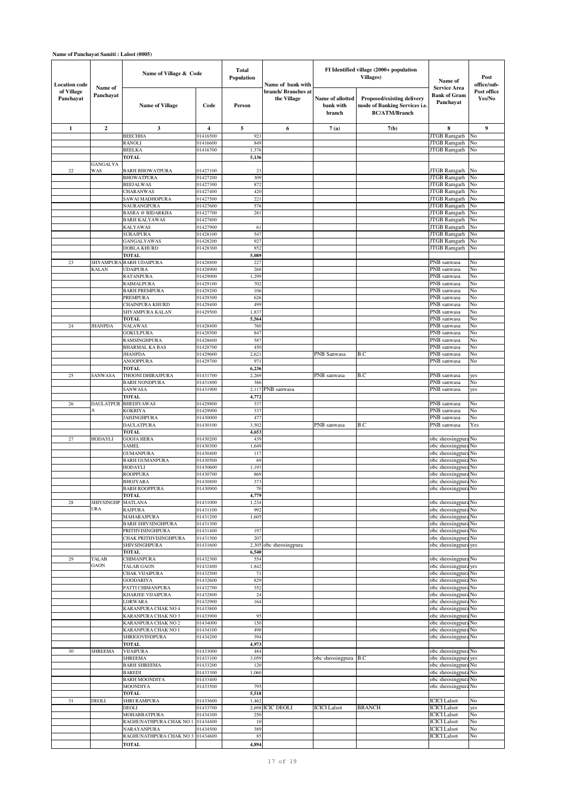| <b>Location code</b>    | Name of<br>Panchayat      | Name of Village & Code                      |                      | Total<br>Population | Name of bank with                  |                                         | FI Identified village (2000+ population<br><b>Villages</b> )                               | Name of                                                 | Post<br>office/sub-   |
|-------------------------|---------------------------|---------------------------------------------|----------------------|---------------------|------------------------------------|-----------------------------------------|--------------------------------------------------------------------------------------------|---------------------------------------------------------|-----------------------|
| of Village<br>Panchayat |                           | <b>Name of Village</b>                      | Code                 | Person              | branch/ Branches at<br>the Village | Name of allotted<br>bank with<br>branch | <b>Proposed/existing delivery</b><br>mode of Banking Services i.e.<br><b>BC/ATM/Branch</b> | <b>Service Area</b><br><b>Bank of Gram</b><br>Panchayat | Post office<br>Yes/No |
| 1                       | $\boldsymbol{2}$          | 3                                           | 4                    | 5                   | 6                                  | 7(a)                                    | 7(b)                                                                                       | 8                                                       | $\boldsymbol{9}$      |
|                         |                           | <b>BEECHHA</b>                              | 01416500             | 921                 |                                    |                                         |                                                                                            | <b>JTGB Ramgarh</b>                                     | No                    |
|                         |                           | RANOLI<br><b>BEELKA</b>                     | 01416600<br>01416700 | 849<br>1,376        |                                    |                                         |                                                                                            | <b>JTGB Ramgarh</b><br><b>JTGB</b> Ramgarh              | No<br>No              |
|                         |                           | TOTAL                                       |                      | 5,136               |                                    |                                         |                                                                                            |                                                         |                       |
|                         | GANGALYA                  |                                             |                      |                     |                                    |                                         |                                                                                            |                                                         |                       |
| $22\,$                  | WAS                       | <b>BARH BHOWATPURA</b><br><b>BHOWATPURA</b> | 01427100<br>01427200 | 23<br>309           |                                    |                                         |                                                                                            | JTGB Ramgarh<br><b>JTGB</b> Ramgarh                     | No<br>No              |
|                         |                           | <b>BEEJALWAS</b>                            | 01427300             | 872                 |                                    |                                         |                                                                                            | <b>JTGB</b> Ramgarh                                     | No                    |
|                         |                           | CHARANWAS                                   | 01427400             | 420                 |                                    |                                         |                                                                                            | <b>JTGB</b> Ramgarh                                     | No                    |
|                         |                           | SAWAI MADHOPURA<br>NAURANGPURA              | 01427500<br>01427600 | 221<br>576          |                                    |                                         |                                                                                            | <b>JTGB</b> Ramgarh<br><b>JTGB</b> Ramgarh              | No<br>No              |
|                         |                           | <b>BASRA @ BIDARKHA</b>                     | 01427700             | 281                 |                                    |                                         |                                                                                            | <b>JTGB</b> Ramgarh                                     | No                    |
|                         |                           | <b>BARH KALYAWAS</b>                        | 01427800             |                     |                                    |                                         |                                                                                            | <b>JTGB</b> Ramgarh                                     | No                    |
|                         |                           | <b>KALYAWAS</b>                             | 01427900             | 61<br>547           |                                    |                                         |                                                                                            | <b>JTGB</b> Ramgarh                                     | No                    |
|                         |                           | <b>SURAJPURA</b><br><b>GANGALYAWAS</b>      | 01428100<br>01428200 | 927                 |                                    |                                         |                                                                                            | <b>JTGB Ramgarh</b><br><b>JTGB Ramgarh</b>              | No<br>No              |
|                         |                           | <b>DOBLA KHURD</b>                          | 01428300             | 852                 |                                    |                                         |                                                                                            | JTGB Ramgarh                                            | No                    |
|                         |                           | <b>TOTAL</b>                                |                      | 5,089               |                                    |                                         |                                                                                            |                                                         |                       |
| 23                      | SHYAMPURA<br><b>KALAN</b> | <b>BARH UDAIPURA</b><br><b>UDAIPURA</b>     | 01428800<br>01428900 | 227<br>268          |                                    |                                         |                                                                                            | PNB sanwasa<br>PNB sanwasa                              | No<br>No              |
|                         |                           | <b>RATANPURA</b>                            | 01429000             | 1,299               |                                    |                                         |                                                                                            | PNB sanwasa                                             | No                    |
|                         |                           | RAIMALPURA                                  | 01429100             | 702                 |                                    |                                         |                                                                                            | PNB sanwasa                                             | No                    |
|                         |                           | <b>BARH PREMPURA</b><br>PREMPURA            | 01429200<br>01429300 | 106<br>626          |                                    |                                         |                                                                                            | PNB sanwasa<br>PNB sanwasa                              | No<br>No              |
|                         |                           | CHAINPURA KHURD                             | 01429400             | 499                 |                                    |                                         |                                                                                            | PNB sanwasa                                             | No                    |
|                         |                           | SHYAMPURA KALAN                             | 01429500             | 1,837               |                                    |                                         |                                                                                            | PNB sanwasa                                             | No                    |
|                         | <b>JHANPDA</b>            | <b>TOTAL</b><br><b>NALAWAS</b>              |                      | 5,564<br>760        |                                    |                                         |                                                                                            | PNB sanwasa<br>PNB sanwasa                              | No<br>No              |
| 24                      |                           | <b>GOKULPURA</b>                            | 01428400<br>01428500 | 847                 |                                    |                                         |                                                                                            | PNB sanwasa                                             | No                    |
|                         |                           | RAMSINGHPURA                                | 01428600             | 587                 |                                    |                                         |                                                                                            | PNB sanwasa                                             | No                    |
|                         |                           | <b>BHARMAL KA BAS</b>                       | 01428700             | 450                 |                                    |                                         |                                                                                            | PNB sanwasa                                             | No                    |
|                         |                           | <b>JHANPDA</b><br><b>ANOOPPURA</b>          | 01429600<br>01429700 | 2,621<br>971        |                                    | PNB Sanwasa                             | B.C                                                                                        | PNB sanwasa<br>PNB sanwasa                              | No<br>No              |
|                         |                           | TOTAL                                       |                      | 6,236               |                                    |                                         |                                                                                            |                                                         |                       |
| 25                      | SANWASA                   | THOONI DHIRAJPURA                           | 01431700             | 2,269               |                                    | PNB sanwasa                             | B.C                                                                                        | PNB sanwasa                                             | yes                   |
|                         |                           | <b>BARH NONDPURA</b><br><b>SANWASA</b>      | 01431800<br>01431900 | 386<br>2,117        | PNB sanwasa                        |                                         |                                                                                            | PNB sanwasa<br>PNB sanwasa                              | No<br>yes             |
|                         |                           | <b>TOTAL</b>                                |                      | 4,772               |                                    |                                         |                                                                                            |                                                         |                       |
| 26                      | <b>DAULATPUR</b>          | <b>BHEDIYAWAS</b>                           | 01429800             | 337                 |                                    |                                         |                                                                                            | PNB sanwasa                                             | No                    |
|                         | А                         | <b>KOKRIYA</b>                              | 01429900             | 337                 |                                    |                                         |                                                                                            | PNB sanwasa                                             | No                    |
|                         |                           | <b>JAISINGHPURA</b><br><b>DAULATPURA</b>    | 01430000<br>01430100 | 477<br>3,502        |                                    | PNB sanwasa                             | B.C                                                                                        | PNB sanwasa<br>PNB sanwasa                              | No<br>Yes             |
|                         |                           | TOTAL                                       |                      | 4,653               |                                    |                                         |                                                                                            |                                                         |                       |
| 27                      | HODAYLI                   | <b>GOOJA HERA</b>                           | 01430200             | 439                 |                                    |                                         |                                                                                            | obc sheosingpura No                                     |                       |
|                         |                           | <b>SAMEL</b><br><b>GUMANPURA</b>            | 01430300<br>01430400 | 1,649<br>117        |                                    |                                         |                                                                                            | obc sheosingpura No<br>obc sheosingpura No              |                       |
|                         |                           | <b>BARH GUMANPURA</b>                       | 01430500             | 69                  |                                    |                                         |                                                                                            | obc sheosingpura                                        | No                    |
|                         |                           | HODAYLI                                     | 01430600             | 1,193               |                                    |                                         |                                                                                            | obc sheosingpura No                                     |                       |
|                         |                           | <b>ROOPPURA</b><br><b>BHOJYARA</b>          | 01430700<br>01430800 | 869<br>373          |                                    |                                         |                                                                                            | obc sheosingpura No<br>obc sheosingpura No              |                       |
|                         |                           | <b>BARH ROOPPURA</b>                        | 01430900             | 70                  |                                    |                                         |                                                                                            | obc sheosingpura No                                     |                       |
|                         |                           | <b>TOTAL</b>                                |                      | 4,779               |                                    |                                         |                                                                                            |                                                         |                       |
| 28                      | SHIVSINGHF<br>URA         | <b>MATLANA</b><br><b>RAJPURA</b>            | 01431000<br>01431100 | 1,234<br>992        |                                    |                                         |                                                                                            | obc sheosingpura No                                     |                       |
|                         |                           | MAHARAJPURA                                 | 01431200             | 1,605               |                                    |                                         |                                                                                            | obc sheosingpura No<br>obc sheosingpura No              |                       |
|                         |                           | <b>BARH SHIVSINGHPURA</b>                   | 01431300             |                     |                                    |                                         |                                                                                            | obc sheosingpura No                                     |                       |
|                         |                           | PRITHVISINGHPURA                            | 01431400<br>01431500 | 197                 |                                    |                                         |                                                                                            | obc sheosingpura No                                     |                       |
|                         |                           | CHAK PRITHVISINGHPURA<br>SHIVSINGHPURA      | 01431600             | 207                 | 2,305 obc sheosingpura             |                                         |                                                                                            | obc sheosingpura No<br>obc sheosingpura yes             |                       |
|                         |                           | <b>TOTAL</b>                                |                      | 6,540               |                                    |                                         |                                                                                            |                                                         |                       |
| 29                      | TALAB<br>GAON             | <b>CHIMANPURA</b>                           | 01432300             | 554                 |                                    |                                         |                                                                                            | obc sheosingpura No                                     |                       |
|                         |                           | <b>TALAB GAON</b><br>CHAK VIJAIPURA         | 01432400<br>01432500 | 1,842<br>71         |                                    |                                         |                                                                                            | obc sheosingpura yes<br>obc sheosingpura No             |                       |
|                         |                           | <b>GOODARIYA</b>                            | 01432600             | 829                 |                                    |                                         |                                                                                            | obc sheosingpura No                                     |                       |
|                         |                           | PATTI CHIMANPURA                            | 01432700             | 352                 |                                    |                                         |                                                                                            | obc sheosingpura No                                     |                       |
|                         |                           | KHARJEE VIJAIPURA<br>LORWARA                | 01432800<br>01432900 | 24<br>164           |                                    |                                         |                                                                                            | obc sheosingpura No<br>obc sheosingpura No              |                       |
|                         |                           | KARANPURA CHAK NO 4                         | 01433800             |                     |                                    |                                         |                                                                                            | obc sheosingpura                                        | No                    |
|                         |                           | KARANPURA CHAK NO 3                         | 01433900             | 95                  |                                    |                                         |                                                                                            | obc sheosingpura No                                     |                       |
|                         |                           | KARANPURA CHAK NO 2<br>KARANPURA CHAK NO 1  | 01434000<br>01434100 | 150<br>498          |                                    |                                         |                                                                                            | obc sheosingpura No<br>obc sheosingpura No              |                       |
|                         |                           | SHRIGOVINDPURA                              | 01434200             | 394                 |                                    |                                         |                                                                                            | obc sheosingpura No                                     |                       |
|                         |                           | <b>TOTAL</b>                                |                      | 4,973               |                                    |                                         |                                                                                            |                                                         |                       |
| 30                      | <b>SHREEMA</b>            | <b>VIJAIPURA</b>                            | 01433000<br>01433100 | 484<br>3,059        |                                    |                                         |                                                                                            | obc sheosingpura No                                     |                       |
|                         |                           | <b>SHREEMA</b><br><b>BARH SHREEMA</b>       | 01433200             | 120                 |                                    | obc sheosingpura                        | B.C                                                                                        | obc sheosingpura yes<br>obc sheosingpura                | No                    |
|                         |                           | <b>BAREDI</b>                               | 01433300             | 1,060               |                                    |                                         |                                                                                            | obc sheosingpura No                                     |                       |
|                         |                           | <b>BARH MOONDIYA</b>                        | 01433400             |                     |                                    |                                         |                                                                                            | obc sheosingpura                                        | No                    |
|                         |                           | <b>MOONDIYA</b><br><b>TOTAL</b>             | 01433500             | 795<br>5,518        |                                    |                                         |                                                                                            | obc sheosingpura No                                     |                       |
| 31                      | <b>DEOLI</b>              | <b>SHRI RAMPURA</b>                         | 01433600             | 1,462               |                                    |                                         |                                                                                            | <b>ICICI</b> Lalsot                                     | No                    |
|                         |                           | DEOLI                                       | 01433700             |                     | 2,698 ICIC DEOLI                   | <b>ICICI</b> Lalsot                     | <b>BRANCH</b>                                                                              | <b>ICICI</b> Lalsot                                     | yes                   |
|                         |                           | MOHABBATPURA<br>RAGHUNATHPURA CHAK NO       | 01434300<br>01434400 | 250<br>10           |                                    |                                         |                                                                                            | <b>ICICI</b> Lalsot<br><b>ICICI</b> Lalsot              | No<br>No              |
|                         |                           | NARAYANPURA                                 | 01434500             | 389                 |                                    |                                         |                                                                                            | <b>ICICI</b> Lalsot                                     | No                    |
|                         |                           | RAGHUNATHPURA CHAK NO 3                     | 01434600             | 85                  |                                    |                                         |                                                                                            | <b>ICICI</b> Lalsot                                     | No                    |
|                         |                           | <b>TOTAL</b>                                |                      | 4,894               |                                    |                                         |                                                                                            |                                                         |                       |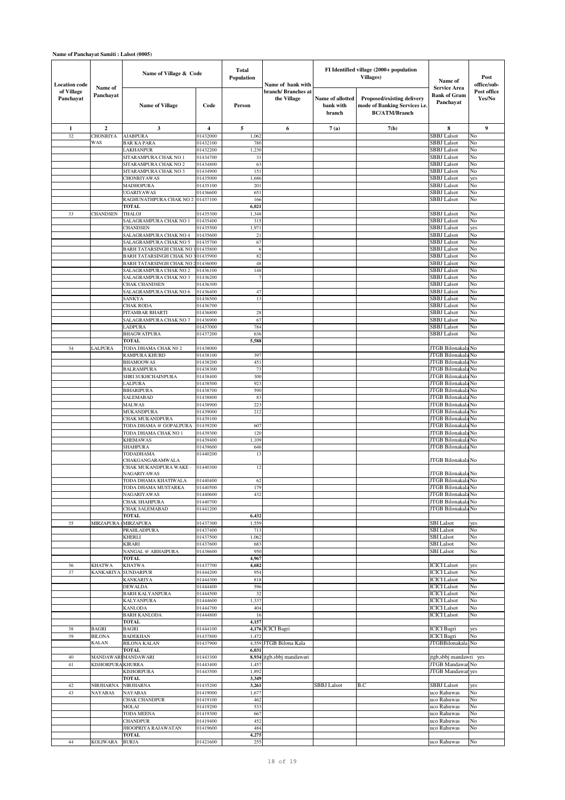| <b>Location</b> code    | Name of                            | Name of Village & Code                                   | <b>Total</b><br>Population | Name of bank with |                                    | FI Identified village (2000+ population<br><b>Villages</b> ) | Name of                                                                             | Post<br>office/sub-                                     |                       |
|-------------------------|------------------------------------|----------------------------------------------------------|----------------------------|-------------------|------------------------------------|--------------------------------------------------------------|-------------------------------------------------------------------------------------|---------------------------------------------------------|-----------------------|
| of Village<br>Panchayat | Panchayat                          | <b>Name of Village</b>                                   | Code                       | Person            | branch/ Branches at<br>the Village | Name of allotted<br>bank with<br>branch                      | Proposed/existing delivery<br>mode of Banking Services i.e.<br><b>BC/ATM/Branch</b> | <b>Service Area</b><br><b>Bank of Gram</b><br>Panchayat | Post office<br>Yes/No |
| 1                       | $\overline{2}$                     | 3                                                        | 4                          | 5                 | 6                                  | 7(a)                                                         | 7(b)                                                                                | 8                                                       | 9                     |
| 32                      | <b>CHONRIYA</b>                    | <b>AJABPURA</b>                                          | 01432000                   | 1,062             |                                    |                                                              |                                                                                     | <b>SBBJ</b> Lalsot                                      | No                    |
|                         | WAS                                | <b>BAR KA PARA</b>                                       | 01432100                   | 780               |                                    |                                                              |                                                                                     | <b>SBBJ</b> Lalsot                                      | No                    |
|                         |                                    | LAKHANPUR                                                | 01432200                   | 1,230             |                                    |                                                              |                                                                                     | <b>SBBJ</b> Lalsot                                      | No                    |
|                         |                                    | SITARAMPURA CHAK NO 1                                    | 01434700                   | 31                |                                    |                                                              |                                                                                     | <b>SBBJ</b> Lalsot                                      | No                    |
|                         |                                    | SITARAMPURA CHAK NO 2                                    | 01434800                   | 63                |                                    |                                                              |                                                                                     | <b>SBBJ</b> Lalsot                                      | No                    |
|                         |                                    | SITARAMPURA CHAK NO 3                                    | 01434900                   | 151               |                                    |                                                              |                                                                                     | <b>SBBJ</b> Lalsot                                      | No                    |
|                         |                                    | <b>CHONRIYAWAS</b><br><b>MADHOPURA</b>                   | 01435000<br>01435100       | 1,686<br>201      |                                    |                                                              |                                                                                     | <b>SBBJ</b> Lalsot<br><b>SBBJ</b> Lalsot                | yes<br>No             |
|                         |                                    | <b>UGARIYAWAS</b>                                        | 01436600                   | 651               |                                    |                                                              |                                                                                     | <b>SBBJ</b> Lalsot                                      | No                    |
|                         |                                    | RAGHUNATHPURA CHAK NO 2                                  | 01437100                   | 166               |                                    |                                                              |                                                                                     | <b>SBBJ</b> Lalsot                                      | No                    |
|                         |                                    | <b>TOTAL</b>                                             |                            | 6,021             |                                    |                                                              |                                                                                     |                                                         |                       |
| 33                      | CHANDSEN                           | <b>THALOJ</b>                                            | 01435300                   | 1,348             |                                    |                                                              |                                                                                     | <b>SBBJ</b> Lalsot                                      | No                    |
|                         |                                    | SALAGRAMPURA CHAK NO 1                                   | 01435400                   | 315               |                                    |                                                              |                                                                                     | <b>SBBJ</b> Lalsot                                      | No                    |
|                         |                                    | <b>CHANDSEN</b>                                          | 01435500                   | 1,971             |                                    |                                                              |                                                                                     | <b>SBBJ</b> Lalsot                                      | yes                   |
|                         |                                    | SALAGRAMPURA CHAK NO 4                                   | 01435600                   | 21                |                                    |                                                              |                                                                                     | <b>SBBJ</b> Lalsot                                      | No                    |
|                         |                                    | SALAGRAMPURA CHAK NO 5<br><b>BARH TATARSINGH CHAK NO</b> | 01435700<br>01435800       | 67<br>6           |                                    |                                                              |                                                                                     | <b>SBBJ</b> Lalsot<br><b>SBBJ</b> Lalsot                | No<br>No              |
|                         |                                    | BARH TATARSINGH CHAK NO                                  | 01435900                   | 82                |                                    |                                                              |                                                                                     | <b>SBBJ</b> Lalsot                                      | No                    |
|                         |                                    | BARH TATARSINGH CHAK NO                                  | 201436000                  | 48                |                                    |                                                              |                                                                                     | SBBJ Lalsot                                             | No                    |
|                         |                                    | SALAGRAMPURA CHAK NO 2                                   | 01436100                   | 148               |                                    |                                                              |                                                                                     | <b>SBBJ</b> Lalsot                                      | No                    |
|                         |                                    | SALAGRAMPURA CHAK NO 3                                   | 01436200                   | 7                 |                                    |                                                              |                                                                                     | <b>SBBJ</b> Lalsot                                      | No                    |
|                         |                                    | <b>CHAK CHANDSEN</b>                                     | 01436300                   |                   |                                    |                                                              |                                                                                     | <b>SBBJ</b> Lalsot                                      | No                    |
|                         |                                    | SALAGRAMPURA CHAK NO 6                                   | 01436400                   | 47                |                                    |                                                              |                                                                                     | SBBJ Lalsot                                             | No                    |
|                         |                                    | <b>SANKYA</b><br><b>CHAK RODA</b>                        | 01436500<br>01436700       | 13                |                                    |                                                              |                                                                                     | <b>SBBJ</b> Lalsot<br><b>SBBJ</b> Lalsot                | No<br>No              |
|                         |                                    | PITAMBAR BHARTI                                          | 01436800                   | 28                |                                    |                                                              |                                                                                     | <b>SBBJ</b> Lalsot                                      | No                    |
|                         |                                    | SALAGRAMPURA CHAK NO 7                                   | 01436900                   | 67                |                                    |                                                              |                                                                                     | <b>SBBJ</b> Lalsot                                      | No                    |
|                         |                                    | LADPURA                                                  | 01437000                   | 784               |                                    |                                                              |                                                                                     | <b>SBBJ</b> Lalsot                                      | No                    |
|                         |                                    | <b>BHAGWATPURA</b>                                       | 01437200                   | 636               |                                    |                                                              |                                                                                     | <b>SBBJ</b> Lalsot                                      | No                    |
|                         |                                    | TOTAL                                                    |                            | 5,588             |                                    |                                                              |                                                                                     |                                                         |                       |
| 34                      | <b>LALPURA</b>                     | TODA DHAMA CHAK N0 2                                     | 01438000                   |                   |                                    |                                                              |                                                                                     | JTGB Bilonakala No                                      |                       |
|                         |                                    | RAMPURA KHURD<br><b>BHAMOOWAS</b>                        | 01438100<br>01438200       | 397<br>451        |                                    |                                                              |                                                                                     | JTGB Bilonakala<br>JTGB Bilonakala                      | No<br>No              |
|                         |                                    | <b>BALRAMPURA</b>                                        | 01438300                   | 73                |                                    |                                                              |                                                                                     | JTGB Bilonakala                                         | No                    |
|                         |                                    | SHRI SUKHCHAINPURA                                       | 01438400                   | 300               |                                    |                                                              |                                                                                     | JTGB Bilonakala                                         | No                    |
|                         |                                    | LALPURA                                                  | 01438500                   | 923               |                                    |                                                              |                                                                                     | JTGB Bilonakala                                         | No                    |
|                         |                                    | <b>BIHARIPURA</b>                                        | 01438700                   | 590               |                                    |                                                              |                                                                                     | JTGB Bilonakala No                                      |                       |
|                         |                                    | SALEMABAD                                                | 01438800                   | 83                |                                    |                                                              |                                                                                     | JTGB Bilonakala                                         | No                    |
|                         |                                    | <b>MALWAS</b>                                            | 01438900                   | 223               |                                    |                                                              |                                                                                     | JTGB Bilonakala                                         | No                    |
|                         |                                    | MUKANDPURA<br>CHAK MUKANDPURA                            | 01439000<br>01439100       | 212               |                                    |                                                              |                                                                                     | <b>JTGB</b> Bilonakala<br>JTGB Bilonakala No            | No                    |
|                         |                                    | TODA DHAMA @ GOPALPURA                                   | 01439200                   | 607               |                                    |                                                              |                                                                                     | JTGB Bilonakala                                         | No                    |
|                         |                                    | TODA DHAMA CHAK NO 1                                     | 01439300                   | 120               |                                    |                                                              |                                                                                     | <b>JTGB</b> Bilonakala                                  | No                    |
|                         |                                    | <b>KHEMAWAS</b>                                          | 01439400                   | 1,109             |                                    |                                                              |                                                                                     | JTGB Bilonakala                                         | No                    |
|                         |                                    | <b>SHAHPURA</b>                                          | 01439600                   | 646               |                                    |                                                              |                                                                                     | <b>JTGB</b> Bilonakala                                  | No                    |
|                         |                                    | TODADHAMA<br>CHAKGANGARAMWALA                            | 01440200                   | 13                |                                    |                                                              |                                                                                     | JTGB Bilonakala No                                      |                       |
|                         |                                    | CHAK MUKANDPURA WAKE -                                   | 01440300                   | 12                |                                    |                                                              |                                                                                     |                                                         |                       |
|                         |                                    | NAGARIYAWAS                                              |                            |                   |                                    |                                                              |                                                                                     | JTGB Bilonakala No                                      |                       |
|                         |                                    | TODA DHAMA KHATIWALA                                     | 01440400                   | 62                |                                    |                                                              |                                                                                     | JTGB Bilonakala No                                      |                       |
|                         |                                    | TODA DHAMA MUSTARKA                                      | 01440500                   | 179               |                                    |                                                              |                                                                                     | JTGB Bilonakala No                                      |                       |
|                         |                                    | NAGARIYAWAS<br><b>CHAK SHAHPURA</b>                      | 01440600<br>01440700       | 432               |                                    |                                                              |                                                                                     | JTGB Bilonakala No<br>JTGB Bilonakala No                |                       |
|                         |                                    | <b>CHAK SALEMABAD</b>                                    | 01441200                   |                   |                                    |                                                              |                                                                                     | JTGB Bilonakala No                                      |                       |
|                         |                                    | TOTAL                                                    |                            | 6,432             |                                    |                                                              |                                                                                     |                                                         |                       |
| 35                      | MIRZAPURA                          | <b>MIRZAPURA</b>                                         | 01437300                   | 1,559             |                                    |                                                              |                                                                                     | <b>SBI</b> Lalsot                                       | yes                   |
|                         |                                    | PRAHLADPURA                                              | 01437400                   | 713               |                                    |                                                              |                                                                                     | <b>SBI</b> Lalsot                                       | No                    |
|                         |                                    | KHERLI                                                   | 01437500                   | 1,062             |                                    |                                                              |                                                                                     | <b>SBI</b> Lalsot                                       | No<br>No              |
|                         |                                    | <b>KIRARI</b><br>NANGAL @ ABHAIPURA                      | 01437600<br>01438600       | 683<br>950        |                                    |                                                              |                                                                                     | <b>SBI</b> Lalsot<br><b>SBI</b> Lalsot                  | No                    |
|                         |                                    | <b>TOTAL</b>                                             |                            | 4,967             |                                    |                                                              |                                                                                     |                                                         |                       |
| 36                      | <b>KHATWA</b>                      | <b>KHATWA</b>                                            | 01437700                   | 4,682             |                                    |                                                              |                                                                                     | <b>ICICI</b> Lalsot                                     | yes                   |
| 37                      | <b>KANKARIYA</b>                   | <b>SUNDARPUR</b>                                         | 01444200                   | 954               |                                    |                                                              |                                                                                     | <b>ICICI</b> Lalsot                                     | No                    |
|                         |                                    | <b>KANKARIYA</b>                                         | 01444300                   | 818               |                                    |                                                              |                                                                                     | <b>ICICI</b> Lalsot                                     | No                    |
|                         |                                    | <b>DEWALDA</b><br><b>BARH KALYANPURA</b>                 | 01444400<br>01444500       | 596<br>32         |                                    |                                                              |                                                                                     | <b>ICICI</b> Lalsot<br><b>ICICI</b> Lalsot              | No<br>No              |
|                         |                                    | <b>KALYANPURA</b>                                        | 01444600                   | 1,337             |                                    |                                                              |                                                                                     | <b>ICICI</b> Lalsot                                     | No                    |
|                         |                                    | <b>KANLODA</b>                                           | 01444700                   | 404               |                                    |                                                              |                                                                                     | <b>ICICI</b> Lalsot                                     | No                    |
|                         |                                    | <b>BARH KANLODA</b>                                      | 01444800                   | 16                |                                    |                                                              |                                                                                     | <b>ICICI</b> Lalsot                                     | No                    |
|                         |                                    | TOTAL                                                    |                            | 4,157             |                                    |                                                              |                                                                                     |                                                         |                       |
| 38                      | <b>BAGRI</b>                       | <b>BAGRI</b>                                             | 01444100                   |                   | 4,176 ICICI Bagri                  |                                                              |                                                                                     | <b>ICICI</b> Bagri                                      | yes                   |
| 39                      | <b>BILONA</b><br><b>KALAN</b>      | <b>BADEKHAN</b><br><b>BILONA KALAN</b>                   | 01437800<br>01437900       | 1,472             | 4,559 JTGB Bilona Kala             |                                                              |                                                                                     | <b>ICICI</b> Bagri<br>JTGBBilonakala No                 | No                    |
|                         |                                    | TOTAL                                                    |                            | 6,031             |                                    |                                                              |                                                                                     |                                                         |                       |
| 40                      | <b>MANDAWAR</b>                    | <b>MANDAWARI</b>                                         | 01443300                   |                   | 8,934 jtgb,sbbj mandawari          |                                                              |                                                                                     | jtgb,sbbj mandawri yes                                  |                       |
| 41                      | KISHORPURA KHURRA                  |                                                          | 01443400                   | 1,45              |                                    |                                                              |                                                                                     | JTGB Mandawar No                                        |                       |
|                         |                                    | <b>KISHORPURA</b>                                        | 01443500                   | 1,892             |                                    |                                                              |                                                                                     | <b>JTGB</b> Mandawar yes                                |                       |
|                         |                                    | <b>TOTAL</b>                                             |                            | 3,349             |                                    |                                                              |                                                                                     |                                                         |                       |
| 42<br>43                | <b>NIRJHARNA</b><br><b>NAYABAS</b> | <b>NIRJHARNA</b><br><b>NAYABAS</b>                       | 01435200<br>01419000       | 3,261<br>1,677    |                                    | <b>SBBJ</b> Lalsot                                           | B.C                                                                                 | <b>SBBJ</b> Lalsot<br>uco Rahuwas                       | yes<br>No             |
|                         |                                    | <b>CHAK CHANDPUR</b>                                     | 01419100                   | 462               |                                    |                                                              |                                                                                     | uco Rahuwas                                             | No                    |
|                         |                                    | MOLAI                                                    | 01419200                   | 533               |                                    |                                                              |                                                                                     | uco Rahuwas                                             | No                    |
|                         |                                    | <b>TODA MEENA</b>                                        | 01419300                   | 667               |                                    |                                                              |                                                                                     | uco Rahuwas                                             | No                    |
|                         |                                    | <b>CHANDPUR</b>                                          | 01419400                   | 452               |                                    |                                                              |                                                                                     | uco Rahuwas                                             | No                    |
|                         |                                    | JHOOPRIYA RAJAWATAN                                      | 01419600                   | 484               |                                    |                                                              |                                                                                     | uco Rahuwas                                             | No                    |
| 44                      | <b>KOLIWARA</b>                    | <b>TOTAL</b><br><b>BURJA</b>                             | 01421600                   | 4,275<br>255      |                                    |                                                              |                                                                                     | uco Rahuwas                                             | No                    |
|                         |                                    |                                                          |                            |                   |                                    |                                                              |                                                                                     |                                                         |                       |